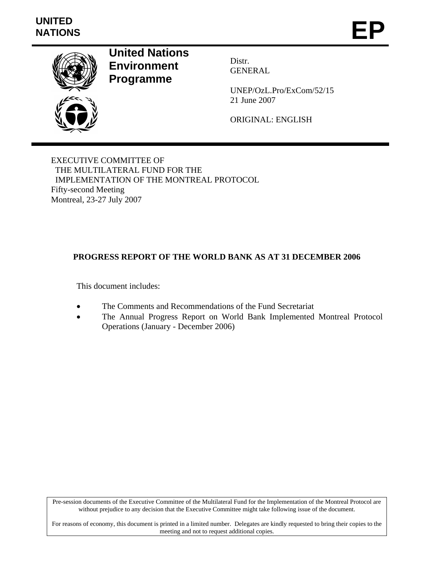# **UNITED**  UNITED<br>NATIONS **EP**



**United Nations Environment Programme** 

Distr. GENERAL

UNEP/OzL.Pro/ExCom/52/15 21 June 2007

ORIGINAL: ENGLISH

EXECUTIVE COMMITTEE OF THE MULTILATERAL FUND FOR THE IMPLEMENTATION OF THE MONTREAL PROTOCOL Fifty-second Meeting Montreal, 23-27 July 2007

## **PROGRESS REPORT OF THE WORLD BANK AS AT 31 DECEMBER 2006**

This document includes:

- The Comments and Recommendations of the Fund Secretariat
- The Annual Progress Report on World Bank Implemented Montreal Protocol Operations (January - December 2006)

Pre-session documents of the Executive Committee of the Multilateral Fund for the Implementation of the Montreal Protocol are without prejudice to any decision that the Executive Committee might take following issue of the document.

For reasons of economy, this document is printed in a limited number. Delegates are kindly requested to bring their copies to the meeting and not to request additional copies.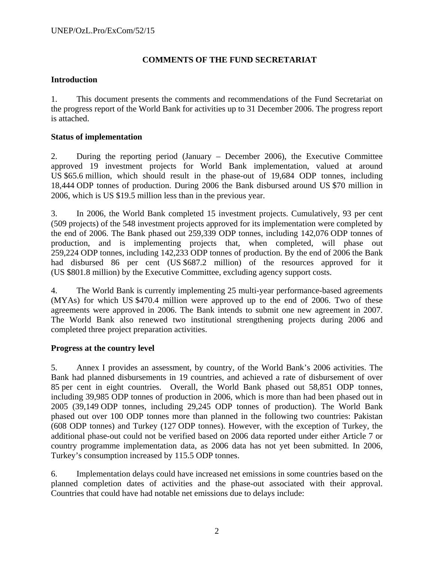### **COMMENTS OF THE FUND SECRETARIAT**

#### **Introduction**

1. This document presents the comments and recommendations of the Fund Secretariat on the progress report of the World Bank for activities up to 31 December 2006. The progress report is attached.

#### **Status of implementation**

2. During the reporting period (January – December 2006), the Executive Committee approved 19 investment projects for World Bank implementation, valued at around US \$65.6 million, which should result in the phase-out of 19,684 ODP tonnes, including 18,444 ODP tonnes of production. During 2006 the Bank disbursed around US \$70 million in 2006, which is US \$19.5 million less than in the previous year.

3. In 2006, the World Bank completed 15 investment projects. Cumulatively, 93 per cent (509 projects) of the 548 investment projects approved for its implementation were completed by the end of 2006. The Bank phased out 259,339 ODP tonnes, including 142,076 ODP tonnes of production, and is implementing projects that, when completed, will phase out 259,224 ODP tonnes, including 142,233 ODP tonnes of production. By the end of 2006 the Bank had disbursed 86 per cent (US \$687.2 million) of the resources approved for it (US \$801.8 million) by the Executive Committee, excluding agency support costs.

4. The World Bank is currently implementing 25 multi-year performance-based agreements (MYAs) for which US \$470.4 million were approved up to the end of 2006. Two of these agreements were approved in 2006. The Bank intends to submit one new agreement in 2007. The World Bank also renewed two institutional strengthening projects during 2006 and completed three project preparation activities.

### **Progress at the country level**

5. Annex I provides an assessment, by country, of the World Bank's 2006 activities. The Bank had planned disbursements in 19 countries, and achieved a rate of disbursement of over 85 per cent in eight countries. Overall, the World Bank phased out 58,851 ODP tonnes, including 39,985 ODP tonnes of production in 2006, which is more than had been phased out in 2005 (39,149 ODP tonnes, including 29,245 ODP tonnes of production). The World Bank phased out over 100 ODP tonnes more than planned in the following two countries: Pakistan (608 ODP tonnes) and Turkey (127 ODP tonnes). However, with the exception of Turkey, the additional phase-out could not be verified based on 2006 data reported under either Article 7 or country programme implementation data, as 2006 data has not yet been submitted. In 2006, Turkey's consumption increased by 115.5 ODP tonnes.

6. Implementation delays could have increased net emissions in some countries based on the planned completion dates of activities and the phase-out associated with their approval. Countries that could have had notable net emissions due to delays include: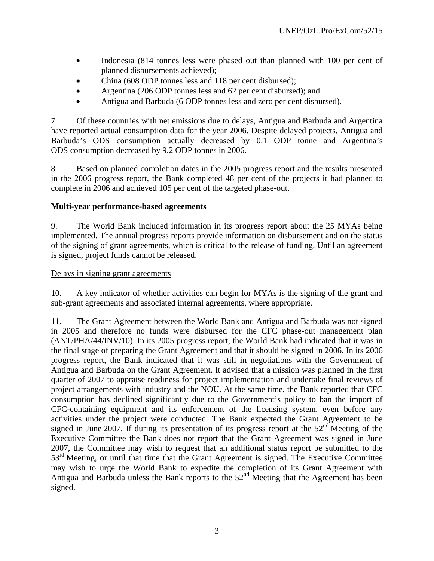- Indonesia (814 tonnes less were phased out than planned with 100 per cent of planned disbursements achieved);
- China (608 ODP tonnes less and 118 per cent disbursed);
- Argentina (206 ODP tonnes less and 62 per cent disbursed); and
- Antigua and Barbuda (6 ODP tonnes less and zero per cent disbursed).

7. Of these countries with net emissions due to delays, Antigua and Barbuda and Argentina have reported actual consumption data for the year 2006. Despite delayed projects, Antigua and Barbuda's ODS consumption actually decreased by 0.1 ODP tonne and Argentina's ODS consumption decreased by 9.2 ODP tonnes in 2006.

8. Based on planned completion dates in the 2005 progress report and the results presented in the 2006 progress report, the Bank completed 48 per cent of the projects it had planned to complete in 2006 and achieved 105 per cent of the targeted phase-out.

#### **Multi-year performance-based agreements**

9. The World Bank included information in its progress report about the 25 MYAs being implemented. The annual progress reports provide information on disbursement and on the status of the signing of grant agreements, which is critical to the release of funding. Until an agreement is signed, project funds cannot be released.

#### Delays in signing grant agreements

10. A key indicator of whether activities can begin for MYAs is the signing of the grant and sub-grant agreements and associated internal agreements, where appropriate.

11. The Grant Agreement between the World Bank and Antigua and Barbuda was not signed in 2005 and therefore no funds were disbursed for the CFC phase-out management plan (ANT/PHA/44/INV/10). In its 2005 progress report, the World Bank had indicated that it was in the final stage of preparing the Grant Agreement and that it should be signed in 2006. In its 2006 progress report, the Bank indicated that it was still in negotiations with the Government of Antigua and Barbuda on the Grant Agreement. It advised that a mission was planned in the first quarter of 2007 to appraise readiness for project implementation and undertake final reviews of project arrangements with industry and the NOU. At the same time, the Bank reported that CFC consumption has declined significantly due to the Government's policy to ban the import of CFC-containing equipment and its enforcement of the licensing system, even before any activities under the project were conducted. The Bank expected the Grant Agreement to be signed in June 2007. If during its presentation of its progress report at the  $52<sup>nd</sup>$  Meeting of the Executive Committee the Bank does not report that the Grant Agreement was signed in June 2007, the Committee may wish to request that an additional status report be submitted to the 53<sup>rd</sup> Meeting, or until that time that the Grant Agreement is signed. The Executive Committee may wish to urge the World Bank to expedite the completion of its Grant Agreement with Antigua and Barbuda unless the Bank reports to the  $52<sup>nd</sup>$  Meeting that the Agreement has been signed.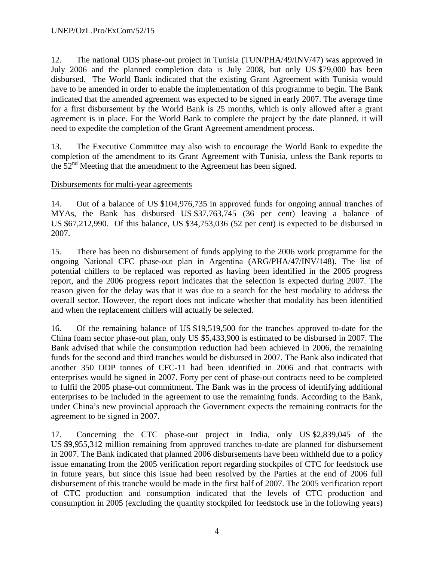12. The national ODS phase-out project in Tunisia (TUN/PHA/49/INV/47) was approved in July 2006 and the planned completion data is July 2008, but only US \$79,000 has been disbursed. The World Bank indicated that the existing Grant Agreement with Tunisia would have to be amended in order to enable the implementation of this programme to begin. The Bank indicated that the amended agreement was expected to be signed in early 2007. The average time for a first disbursement by the World Bank is 25 months, which is only allowed after a grant agreement is in place. For the World Bank to complete the project by the date planned, it will need to expedite the completion of the Grant Agreement amendment process.

13. The Executive Committee may also wish to encourage the World Bank to expedite the completion of the amendment to its Grant Agreement with Tunisia, unless the Bank reports to the  $52<sup>nd</sup>$  Meeting that the amendment to the Agreement has been signed.

#### Disbursements for multi-year agreements

14. Out of a balance of US \$104,976,735 in approved funds for ongoing annual tranches of MYAs, the Bank has disbursed US \$37,763,745 (36 per cent) leaving a balance of US \$67,212,990. Of this balance, US \$34,753,036 (52 per cent) is expected to be disbursed in 2007.

15. There has been no disbursement of funds applying to the 2006 work programme for the ongoing National CFC phase-out plan in Argentina (ARG/PHA/47/INV/148). The list of potential chillers to be replaced was reported as having been identified in the 2005 progress report, and the 2006 progress report indicates that the selection is expected during 2007. The reason given for the delay was that it was due to a search for the best modality to address the overall sector. However, the report does not indicate whether that modality has been identified and when the replacement chillers will actually be selected.

16. Of the remaining balance of US \$19,519,500 for the tranches approved to-date for the China foam sector phase-out plan, only US \$5,433,900 is estimated to be disbursed in 2007. The Bank advised that while the consumption reduction had been achieved in 2006, the remaining funds for the second and third tranches would be disbursed in 2007. The Bank also indicated that another 350 ODP tonnes of CFC-11 had been identified in 2006 and that contracts with enterprises would be signed in 2007. Forty per cent of phase-out contracts need to be completed to fulfil the 2005 phase-out commitment. The Bank was in the process of identifying additional enterprises to be included in the agreement to use the remaining funds. According to the Bank, under China's new provincial approach the Government expects the remaining contracts for the agreement to be signed in 2007.

17. Concerning the CTC phase-out project in India, only US \$2,839,045 of the US \$9,955,312 million remaining from approved tranches to-date are planned for disbursement in 2007. The Bank indicated that planned 2006 disbursements have been withheld due to a policy issue emanating from the 2005 verification report regarding stockpiles of CTC for feedstock use in future years, but since this issue had been resolved by the Parties at the end of 2006 full disbursement of this tranche would be made in the first half of 2007. The 2005 verification report of CTC production and consumption indicated that the levels of CTC production and consumption in 2005 (excluding the quantity stockpiled for feedstock use in the following years)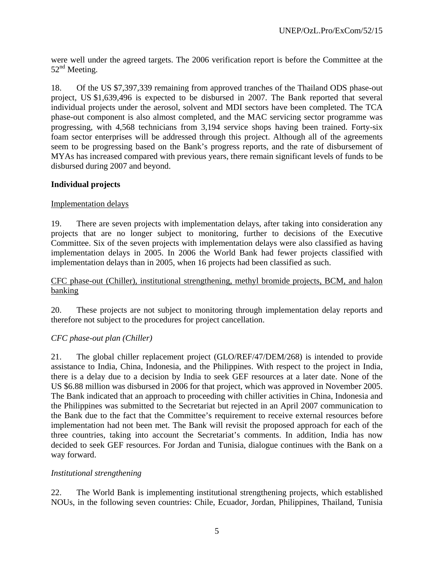were well under the agreed targets. The 2006 verification report is before the Committee at the  $52<sup>nd</sup>$  Meeting.

18. Of the US \$7,397,339 remaining from approved tranches of the Thailand ODS phase-out project, US \$1,639,496 is expected to be disbursed in 2007. The Bank reported that several individual projects under the aerosol, solvent and MDI sectors have been completed. The TCA phase-out component is also almost completed, and the MAC servicing sector programme was progressing, with 4,568 technicians from 3,194 service shops having been trained. Forty-six foam sector enterprises will be addressed through this project. Although all of the agreements seem to be progressing based on the Bank's progress reports, and the rate of disbursement of MYAs has increased compared with previous years, there remain significant levels of funds to be disbursed during 2007 and beyond.

### **Individual projects**

#### Implementation delays

19. There are seven projects with implementation delays, after taking into consideration any projects that are no longer subject to monitoring, further to decisions of the Executive Committee. Six of the seven projects with implementation delays were also classified as having implementation delays in 2005. In 2006 the World Bank had fewer projects classified with implementation delays than in 2005, when 16 projects had been classified as such.

#### CFC phase-out (Chiller), institutional strengthening, methyl bromide projects, BCM, and halon banking

20. These projects are not subject to monitoring through implementation delay reports and therefore not subject to the procedures for project cancellation.

### *CFC phase-out plan (Chiller)*

21. The global chiller replacement project (GLO/REF/47/DEM/268) is intended to provide assistance to India, China, Indonesia, and the Philippines. With respect to the project in India, there is a delay due to a decision by India to seek GEF resources at a later date. None of the US \$6.88 million was disbursed in 2006 for that project, which was approved in November 2005. The Bank indicated that an approach to proceeding with chiller activities in China, Indonesia and the Philippines was submitted to the Secretariat but rejected in an April 2007 communication to the Bank due to the fact that the Committee's requirement to receive external resources before implementation had not been met. The Bank will revisit the proposed approach for each of the three countries, taking into account the Secretariat's comments. In addition, India has now decided to seek GEF resources. For Jordan and Tunisia, dialogue continues with the Bank on a way forward.

### *Institutional strengthening*

22. The World Bank is implementing institutional strengthening projects, which established NOUs, in the following seven countries: Chile, Ecuador, Jordan, Philippines, Thailand, Tunisia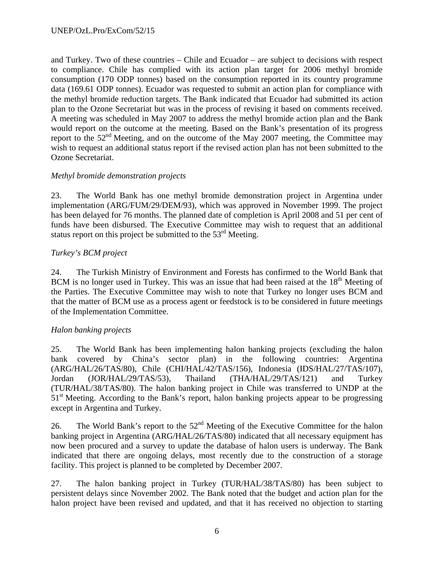and Turkey. Two of these countries – Chile and Ecuador – are subject to decisions with respect to compliance. Chile has complied with its action plan target for 2006 methyl bromide consumption (170 ODP tonnes) based on the consumption reported in its country programme data (169.61 ODP tonnes). Ecuador was requested to submit an action plan for compliance with the methyl bromide reduction targets. The Bank indicated that Ecuador had submitted its action plan to the Ozone Secretariat but was in the process of revising it based on comments received. A meeting was scheduled in May 2007 to address the methyl bromide action plan and the Bank would report on the outcome at the meeting. Based on the Bank's presentation of its progress report to the  $52<sup>nd</sup>$  Meeting, and on the outcome of the May 2007 meeting, the Committee may wish to request an additional status report if the revised action plan has not been submitted to the Ozone Secretariat.

### *Methyl bromide demonstration projects*

23. The World Bank has one methyl bromide demonstration project in Argentina under implementation (ARG/FUM/29/DEM/93), which was approved in November 1999. The project has been delayed for 76 months. The planned date of completion is April 2008 and 51 per cent of funds have been disbursed. The Executive Committee may wish to request that an additional status report on this project be submitted to the  $53<sup>rd</sup>$  Meeting.

#### *Turkey's BCM project*

24. The Turkish Ministry of Environment and Forests has confirmed to the World Bank that BCM is no longer used in Turkey. This was an issue that had been raised at the  $18<sup>th</sup>$  Meeting of the Parties. The Executive Committee may wish to note that Turkey no longer uses BCM and that the matter of BCM use as a process agent or feedstock is to be considered in future meetings of the Implementation Committee.

### *Halon banking projects*

25. The World Bank has been implementing halon banking projects (excluding the halon bank covered by China's sector plan) in the following countries: Argentina (ARG/HAL/26/TAS/80), Chile (CHI/HAL/42/TAS/156), Indonesia (IDS/HAL/27/TAS/107), Jordan (JOR/HAL/29/TAS/53), Thailand (THA/HAL/29/TAS/121) and Turkey (TUR/HAL/38/TAS/80). The halon banking project in Chile was transferred to UNDP at the 51<sup>st</sup> Meeting. According to the Bank's report, halon banking projects appear to be progressing except in Argentina and Turkey.

26. The World Bank's report to the  $52<sup>nd</sup>$  Meeting of the Executive Committee for the halon banking project in Argentina (ARG/HAL/26/TAS/80) indicated that all necessary equipment has now been procured and a survey to update the database of halon users is underway. The Bank indicated that there are ongoing delays, most recently due to the construction of a storage facility. This project is planned to be completed by December 2007.

27. The halon banking project in Turkey (TUR/HAL/38/TAS/80) has been subject to persistent delays since November 2002. The Bank noted that the budget and action plan for the halon project have been revised and updated, and that it has received no objection to starting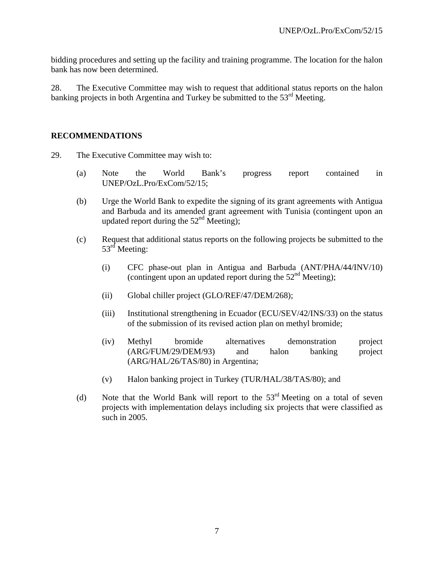bidding procedures and setting up the facility and training programme. The location for the halon bank has now been determined.

28. The Executive Committee may wish to request that additional status reports on the halon banking projects in both Argentina and Turkey be submitted to the  $53<sup>rd</sup>$  Meeting.

#### **RECOMMENDATIONS**

- 29. The Executive Committee may wish to:
	- (a) Note the World Bank's progress report contained in UNEP/OzL.Pro/ExCom/52/15;
	- (b) Urge the World Bank to expedite the signing of its grant agreements with Antigua and Barbuda and its amended grant agreement with Tunisia (contingent upon an updated report during the  $52<sup>nd</sup>$  Meeting);
	- (c) Request that additional status reports on the following projects be submitted to the 53<sup>rd</sup> Meeting:
		- (i) CFC phase-out plan in Antigua and Barbuda (ANT/PHA/44/INV/10) (contingent upon an updated report during the  $52<sup>nd</sup>$  Meeting);
		- (ii) Global chiller project (GLO/REF/47/DEM/268);
		- (iii) Institutional strengthening in Ecuador (ECU/SEV/42/INS/33) on the status of the submission of its revised action plan on methyl bromide;
		- (iv) Methyl bromide alternatives demonstration project (ARG/FUM/29/DEM/93) and halon banking project (ARG/HAL/26/TAS/80) in Argentina;
		- (v) Halon banking project in Turkey (TUR/HAL/38/TAS/80); and
	- (d) Note that the World Bank will report to the  $53<sup>rd</sup>$  Meeting on a total of seven projects with implementation delays including six projects that were classified as such in 2005.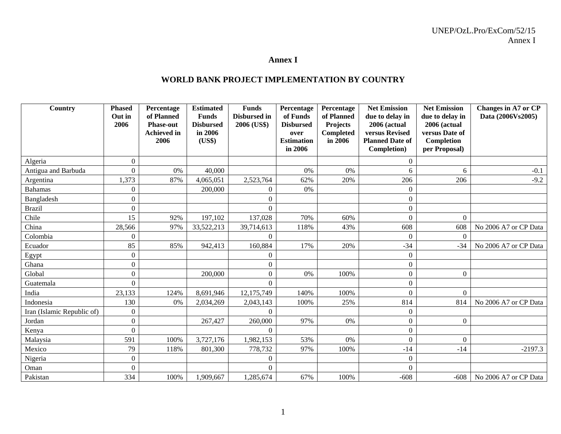#### **Annex I**

#### **WORLD BANK PROJECT IMPLEMENTATION BY COUNTRY**

| Country                    | <b>Phased</b><br>Out in | Percentage<br>of Planned | <b>Estimated</b><br><b>Funds</b> | <b>Funds</b><br><b>Disbursed</b> in | Percentage<br>of Funds       | Percentage<br>of Planned | <b>Net Emission</b><br>due to delay in | <b>Net Emission</b><br>due to delay in | <b>Changes in A7 or CP</b><br>Data (2006Vs2005) |
|----------------------------|-------------------------|--------------------------|----------------------------------|-------------------------------------|------------------------------|--------------------------|----------------------------------------|----------------------------------------|-------------------------------------------------|
|                            | 2006                    | <b>Phase-out</b>         | <b>Disbursed</b>                 | 2006 (US\$)                         | <b>Disbursed</b>             | <b>Projects</b>          | <b>2006 (actual</b>                    | 2006 (actual                           |                                                 |
|                            |                         | <b>Achieved</b> in       | in 2006                          |                                     | over                         | <b>Completed</b>         | versus Revised                         | versus Date of                         |                                                 |
|                            |                         | 2006                     | (US\$)                           |                                     | <b>Estimation</b><br>in 2006 | in 2006                  | <b>Planned Date of</b><br>Completion)  | Completion<br>per Proposal)            |                                                 |
| Algeria                    | $\overline{0}$          |                          |                                  |                                     |                              |                          | $\overline{0}$                         |                                        |                                                 |
| Antigua and Barbuda        | $\overline{0}$          | 0%                       | 40,000                           |                                     | 0%                           | 0%                       | 6                                      | 6                                      | $-0.1$                                          |
| Argentina                  | 1,373                   | 87%                      | 4,065,051                        | 2,523,764                           | 62%                          | 20%                      | 206                                    | 206                                    | $-9.2$                                          |
| <b>Bahamas</b>             | $\overline{0}$          |                          | 200,000                          | $\Omega$                            | 0%                           |                          | $\mathbf{0}$                           |                                        |                                                 |
| Bangladesh                 | $\Omega$                |                          |                                  | $\theta$                            |                              |                          | $\mathbf{0}$                           |                                        |                                                 |
| <b>Brazil</b>              | $\boldsymbol{0}$        |                          |                                  | $\theta$                            |                              |                          | $\boldsymbol{0}$                       |                                        |                                                 |
| Chile                      | 15                      | 92%                      | 197,102                          | 137,028                             | 70%                          | 60%                      | $\Omega$                               | $\Omega$                               |                                                 |
| China                      | 28,566                  | 97%                      | 33,522,213                       | 39,714,613                          | 118%                         | 43%                      | 608                                    | 608                                    | No 2006 A7 or CP Data                           |
| Colombia                   | 0                       |                          |                                  | $\boldsymbol{0}$                    |                              |                          | $\Omega$                               | $\Omega$                               |                                                 |
| Ecuador                    | 85                      | 85%                      | 942,413                          | 160,884                             | 17%                          | 20%                      | $-34$                                  | $-34$                                  | No 2006 A7 or CP Data                           |
| Egypt                      | $\overline{0}$          |                          |                                  | $\theta$                            |                              |                          | $\Omega$                               |                                        |                                                 |
| Ghana                      | $\overline{0}$          |                          |                                  | $\overline{0}$                      |                              |                          | $\overline{0}$                         |                                        |                                                 |
| Global                     | 0                       |                          | 200,000                          | $\boldsymbol{0}$                    | 0%                           | 100%                     | $\mathbf{0}$                           | $\overline{0}$                         |                                                 |
| Guatemala                  | $\theta$                |                          |                                  | $\theta$                            |                              |                          | $\boldsymbol{0}$                       |                                        |                                                 |
| India                      | 23,133                  | 124%                     | 8,691,946                        | 12,175,749                          | 140%                         | 100%                     | $\overline{0}$                         | $\Omega$                               |                                                 |
| Indonesia                  | 130                     | 0%                       | 2,034,269                        | 2,043,143                           | 100%                         | 25%                      | 814                                    | 814                                    | No 2006 A7 or CP Data                           |
| Iran (Islamic Republic of) | $\boldsymbol{0}$        |                          |                                  | $\boldsymbol{0}$                    |                              |                          | $\mathbf{0}$                           |                                        |                                                 |
| Jordan                     | $\mathbf{0}$            |                          | 267,427                          | 260,000                             | 97%                          | 0%                       | $\mathbf{0}$                           | $\overline{0}$                         |                                                 |
| Kenya                      | $\overline{0}$          |                          |                                  | $\theta$                            |                              |                          | $\overline{0}$                         |                                        |                                                 |
| Malaysia                   | 591                     | 100%                     | 3,727,176                        | 1,982,153                           | 53%                          | 0%                       | $\overline{0}$                         | $\Omega$                               |                                                 |
| Mexico                     | 79                      | 118%                     | 801,300                          | 778,732                             | 97%                          | 100%                     | $-14$                                  | $-14$                                  | $-2197.3$                                       |
| Nigeria                    | $\boldsymbol{0}$        |                          |                                  | $\theta$                            |                              |                          | $\overline{0}$                         |                                        |                                                 |
| Oman                       | $\boldsymbol{0}$        |                          |                                  | $\boldsymbol{0}$                    |                              |                          | $\mathbf{0}$                           |                                        |                                                 |
| Pakistan                   | 334                     | 100%                     | 1,909,667                        | 1,285,674                           | 67%                          | 100%                     | $-608$                                 | $-608$                                 | No 2006 A7 or CP Data                           |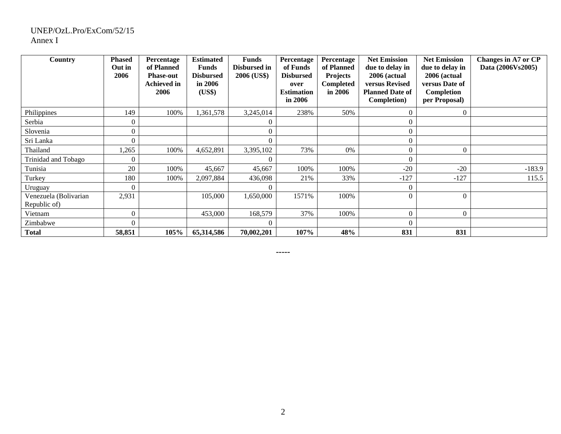#### UNEP/OzL.Pro/ExCom/52/15 Annex I

| Country                               | <b>Phased</b><br>Out in<br>2006 | Percentage<br>of Planned<br><b>Phase-out</b><br><b>Achieved in</b><br>2006 | <b>Estimated</b><br><b>Funds</b><br><b>Disbursed</b><br>in 2006<br>(US\$) | <b>Funds</b><br>Disbursed in<br>2006 (US\$) | Percentage<br>of Funds<br><b>Disbursed</b><br>over<br><b>Estimation</b><br>in 2006 | Percentage<br>of Planned<br><b>Projects</b><br><b>Completed</b><br>in 2006 | <b>Net Emission</b><br>due to delay in<br>2006 (actual<br>versus Revised<br><b>Planned Date of</b><br>Completion) | <b>Net Emission</b><br>due to delay in<br>2006 (actual<br>versus Date of<br>Completion<br>per Proposal) | Changes in A7 or CP<br>Data (2006Vs2005) |
|---------------------------------------|---------------------------------|----------------------------------------------------------------------------|---------------------------------------------------------------------------|---------------------------------------------|------------------------------------------------------------------------------------|----------------------------------------------------------------------------|-------------------------------------------------------------------------------------------------------------------|---------------------------------------------------------------------------------------------------------|------------------------------------------|
| Philippines                           | 149                             | 100%                                                                       | 1,361,578                                                                 | 3,245,014                                   | 238%                                                                               | 50%                                                                        | $\theta$                                                                                                          | $\overline{0}$                                                                                          |                                          |
| Serbia                                | $\theta$                        |                                                                            |                                                                           | $\Omega$                                    |                                                                                    |                                                                            | 0                                                                                                                 |                                                                                                         |                                          |
| Slovenia                              | $\overline{0}$                  |                                                                            |                                                                           | $\bigcap$                                   |                                                                                    |                                                                            | $\theta$                                                                                                          |                                                                                                         |                                          |
| Sri Lanka                             | 0                               |                                                                            |                                                                           | $\Omega$                                    |                                                                                    |                                                                            | 0                                                                                                                 |                                                                                                         |                                          |
| Thailand                              | 1,265                           | 100%                                                                       | 4,652,891                                                                 | 3,395,102                                   | 73%                                                                                | 0%                                                                         | 0                                                                                                                 | $\Omega$                                                                                                |                                          |
| Trinidad and Tobago                   | 0                               |                                                                            |                                                                           | $\Omega$                                    |                                                                                    |                                                                            | $\overline{0}$                                                                                                    |                                                                                                         |                                          |
| Tunisia                               | 20                              | 100%                                                                       | 45,667                                                                    | 45,667                                      | 100%                                                                               | 100%                                                                       | $-20$                                                                                                             | $-20$                                                                                                   | $-183.9$                                 |
| Turkey                                | 180                             | 100%                                                                       | 2,097,884                                                                 | 436,098                                     | 21%                                                                                | 33%                                                                        | $-127$                                                                                                            | $-127$                                                                                                  | 115.5                                    |
| Uruguay                               | $\Omega$                        |                                                                            |                                                                           | $\Omega$                                    |                                                                                    |                                                                            | $\theta$                                                                                                          |                                                                                                         |                                          |
| Venezuela (Bolivarian<br>Republic of) | 2,931                           |                                                                            | 105,000                                                                   | 1,650,000                                   | 1571%                                                                              | 100%                                                                       | $\Omega$                                                                                                          | $\Omega$                                                                                                |                                          |
| Vietnam                               | $\Omega$                        |                                                                            | 453,000                                                                   | 168,579                                     | 37%                                                                                | 100%                                                                       | $\theta$                                                                                                          | $\Omega$                                                                                                |                                          |
| Zimbabwe                              | $\Omega$                        |                                                                            |                                                                           | $\bigcap$                                   |                                                                                    |                                                                            | $\theta$                                                                                                          |                                                                                                         |                                          |
| <b>Total</b>                          | 58,851                          | 105%                                                                       | 65,314,586                                                                | 70,002,201                                  | 107%                                                                               | 48%                                                                        | 831                                                                                                               | 831                                                                                                     |                                          |

**-----**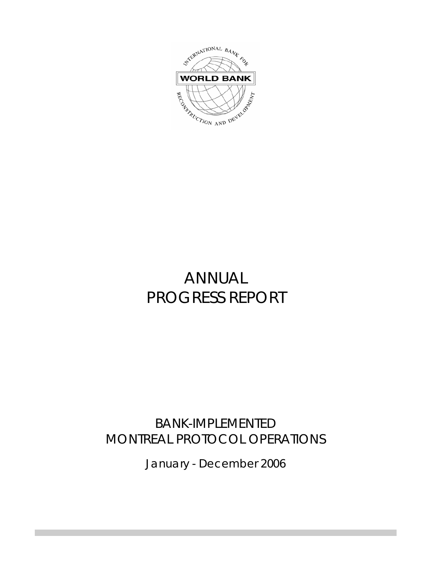

# ANNUAL PROGRESS REPORT

# BANK-IMPLEMENTED MONTREAL PROTOCOL OPERATIONS

January - December 2006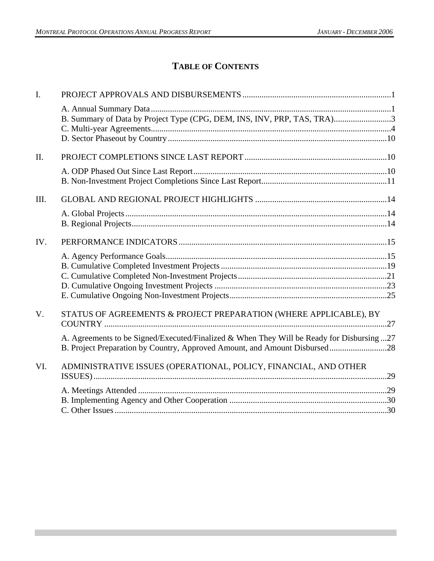# **TABLE OF CONTENTS**

| $I_{\cdot}$ |                                                                                                                                                                         |  |
|-------------|-------------------------------------------------------------------------------------------------------------------------------------------------------------------------|--|
|             | B. Summary of Data by Project Type (CPG, DEM, INS, INV, PRP, TAS, TRA)3                                                                                                 |  |
| $\Pi$ .     |                                                                                                                                                                         |  |
|             |                                                                                                                                                                         |  |
| III.        |                                                                                                                                                                         |  |
|             |                                                                                                                                                                         |  |
| IV.         |                                                                                                                                                                         |  |
|             |                                                                                                                                                                         |  |
| $V_{\cdot}$ | STATUS OF AGREEMENTS & PROJECT PREPARATION (WHERE APPLICABLE), BY                                                                                                       |  |
|             | A. Agreements to be Signed/Executed/Finalized & When They Will be Ready for Disbursing 27<br>B. Project Preparation by Country, Approved Amount, and Amount Disbursed28 |  |
| VI.         | ADMINISTRATIVE ISSUES (OPERATIONAL, POLICY, FINANCIAL, AND OTHER                                                                                                        |  |
|             |                                                                                                                                                                         |  |
|             |                                                                                                                                                                         |  |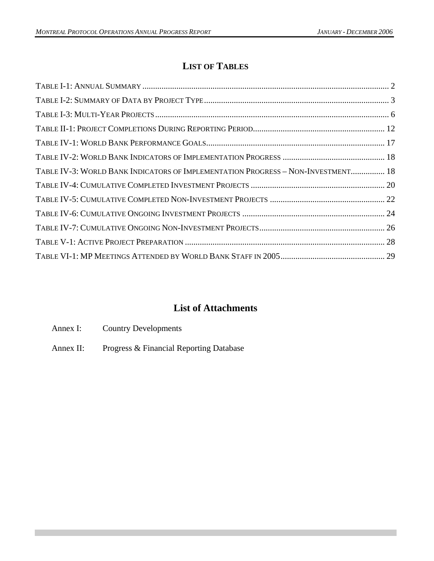# **LIST OF TABLES**

| TABLE IV-3: WORLD BANK INDICATORS OF IMPLEMENTATION PROGRESS - NON-INVESTMENT 18 |  |
|----------------------------------------------------------------------------------|--|
|                                                                                  |  |
|                                                                                  |  |
|                                                                                  |  |
|                                                                                  |  |
|                                                                                  |  |
|                                                                                  |  |

# **List of Attachments**

- Annex I: Country Developments
- Annex II: Progress & Financial Reporting Database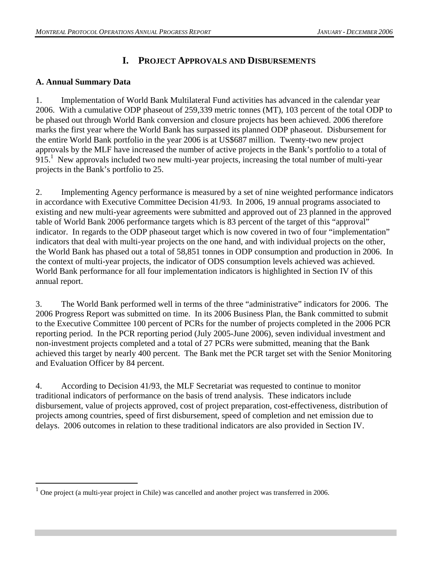# **I. PROJECT APPROVALS AND DISBURSEMENTS**

### **A. Annual Summary Data**

 $\overline{a}$ 

1. Implementation of World Bank Multilateral Fund activities has advanced in the calendar year 2006. With a cumulative ODP phaseout of 259,339 metric tonnes (MT), 103 percent of the total ODP to be phased out through World Bank conversion and closure projects has been achieved. 2006 therefore marks the first year where the World Bank has surpassed its planned ODP phaseout. Disbursement for the entire World Bank portfolio in the year 2006 is at US\$687 million. Twenty-two new project approvals by the MLF have increased the number of active projects in the Bank's portfolio to a total of  $915<sup>1</sup>$  New approvals included two new multi-year projects, increasing the total number of multi-year projects in the Bank's portfolio to 25.

2. Implementing Agency performance is measured by a set of nine weighted performance indicators in accordance with Executive Committee Decision 41/93. In 2006, 19 annual programs associated to existing and new multi-year agreements were submitted and approved out of 23 planned in the approved table of World Bank 2006 performance targets which is 83 percent of the target of this "approval" indicator. In regards to the ODP phaseout target which is now covered in two of four "implementation" indicators that deal with multi-year projects on the one hand, and with individual projects on the other, the World Bank has phased out a total of 58,851 tonnes in ODP consumption and production in 2006. In the context of multi-year projects, the indicator of ODS consumption levels achieved was achieved. World Bank performance for all four implementation indicators is highlighted in Section IV of this annual report.

3. The World Bank performed well in terms of the three "administrative" indicators for 2006. The 2006 Progress Report was submitted on time. In its 2006 Business Plan, the Bank committed to submit to the Executive Committee 100 percent of PCRs for the number of projects completed in the 2006 PCR reporting period. In the PCR reporting period (July 2005-June 2006), seven individual investment and non-investment projects completed and a total of 27 PCRs were submitted, meaning that the Bank achieved this target by nearly 400 percent. The Bank met the PCR target set with the Senior Monitoring and Evaluation Officer by 84 percent.

4. According to Decision 41/93, the MLF Secretariat was requested to continue to monitor traditional indicators of performance on the basis of trend analysis. These indicators include disbursement, value of projects approved, cost of project preparation, cost-effectiveness, distribution of projects among countries, speed of first disbursement, speed of completion and net emission due to delays. 2006 outcomes in relation to these traditional indicators are also provided in Section IV.

<sup>1</sup> One project (a multi-year project in Chile) was cancelled and another project was transferred in 2006.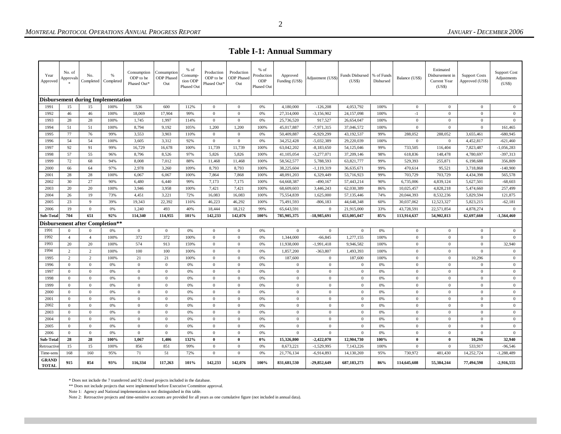**Table I-1: Annual Summary** 

| Year<br>Approved          | No. of<br>Approvals | No.                                    | %<br>Completed   Completed                | Consumption<br>ODP to be<br>Phased Out* | Consumption<br><b>ODP</b> Phased<br>Out | % of<br>Consump-<br>tion ODP<br>Phased Out | Production<br>ODP to be<br>Phased Out* | Production<br><b>ODP</b> Phased<br>Out | % of<br>Production<br><b>ODP</b><br>Phased Out | Approved<br>Funding (US\$) | Adjustment (US\$) | Funds Disbursed   % of Funds<br>(US\$) | Disbursed | Balance (US\$) | Estimated<br>Disbursement in<br>Current Year<br>(US\$) | <b>Support Costs</b><br>Approved (US\$) | <b>Support Cost</b><br>Adjustments<br>(US\$) |
|---------------------------|---------------------|----------------------------------------|-------------------------------------------|-----------------------------------------|-----------------------------------------|--------------------------------------------|----------------------------------------|----------------------------------------|------------------------------------------------|----------------------------|-------------------|----------------------------------------|-----------|----------------|--------------------------------------------------------|-----------------------------------------|----------------------------------------------|
|                           |                     |                                        | <b>Disbursement during Implementation</b> |                                         |                                         |                                            |                                        |                                        |                                                |                            |                   |                                        |           |                |                                                        |                                         |                                              |
| 1991                      | 15                  | 15                                     | 100%                                      | 536                                     | 600                                     | 112%                                       | $\mathbf{0}$                           | $\overline{0}$                         | 0%                                             | 4,180,000                  | $-126,208$        | 4,053,792                              | 100%      | $\mathbf{0}$   | $\mathbf{0}$                                           | $\mathbf{0}$                            | $\mathbf{0}$                                 |
| 1992                      | 46                  | 46                                     | 100%                                      | 18,069                                  | 17,904                                  | 99%                                        | $\mathbf{0}$                           | $\overline{0}$                         | 0%                                             | 27,314,000                 | $-3,156,902$      | 24,157,098                             | 100%      | $-1$           | $\mathbf{0}$                                           | $\mathbf{0}$                            | $\mathbf{0}$                                 |
| 1993                      | 28                  | 28                                     | 100%                                      | 1,745                                   | 1,997                                   | 114%                                       | $\mathbf{0}$                           | $\mathbf{0}$                           | 0%                                             | 25,736,520                 | 917,527           | 26,654,047                             | 100%      | $\mathbf{0}$   | $\mathbf{0}$                                           | $\mathbf{0}$                            | $\mathbf{0}$                                 |
| 1994                      | 51                  | 51                                     | 100%                                      | 8,794                                   | 9,192                                   | 105%                                       | 1.200                                  | 1,200                                  | 100%                                           | 45,017,887                 | $-7,971,315$      | 37,046,572                             | 100%      | $\theta$       | $\mathbf{0}$                                           | $\Omega$                                | 161,465                                      |
| 1995                      | 77                  | 76                                     | 99%                                       | 3,553                                   | 3,903                                   | 110%                                       | $\Omega$                               | $\overline{0}$                         | 0%                                             | 50,409,887                 | $-6,929,299$      | 43,192,537                             | 99%       | 288,052        | 288,052                                                | 3,655,461                               | $-680,945$                                   |
| 1996                      | 54                  | 54                                     | 100%                                      | 3,605                                   | 3,312                                   | 92%                                        | $\mathbf{0}$                           | $\overline{0}$                         | 0%                                             | 34,252,428                 | $-5,032,389$      | 29,220,039                             | 100%      | $\mathbf{0}$   | $\mathbf{0}$                                           | 4,452,817                               | $-621,460$                                   |
| 1997                      | 92                  | 91                                     | 99%                                       | 16,729                                  | 16,678                                  | 100%                                       | 11,739                                 | 11,739                                 | 100%                                           | 63,042,202                 | $-8,183,650$      | 54,125,046                             | 99%       | 733,505        | 116,404                                                | 7,823,487                               | $-1,056,283$                                 |
| 1998                      | 57                  | 55                                     | 96%                                       | 8,796                                   | 8,526                                   | 97%                                        | 5,826                                  | 5,826                                  | 100%                                           | 41,105,054                 | $-3,277,071$      | 37,209,146                             | 98%       | 618,836        | 148,478                                                | 4,780,697                               | $-397,313$                                   |
| 1999                      | 72                  | 68                                     | 94%                                       | 8,008                                   | 7,012                                   | 88%                                        | 11,468                                 | 11,468                                 | 100%                                           | 58,562,577                 | 5,788,593         | 63,821,777                             | 99%       | 529,393        | 255,871                                                | 6,198,688                               | 356,809                                      |
| 2000                      | 66                  | 64                                     | 97%                                       | 2,978                                   | 3,260                                   | 109%                                       | 8,793                                  | 8,793                                  | 100%                                           | 38,225,604                 | $-1, 119, 319$    | 36,635,671                             | 99%       | 470,614        | 95,521                                                 | 3,718,868                               | $-140,900$                                   |
| 2001                      | 28                  | 28                                     | 100%                                      | 6,067                                   | 6,067                                   | 100%                                       | 7,864                                  | 7,868                                  | 100%                                           | 48,091,203                 | 6,329,449         | 53,716,923                             | 99%       | 703,729        | 703,729                                                | 4,434,398                               | 565,578                                      |
| 2002                      | 30                  | 27                                     | 90%                                       | 6,480                                   | 6,440                                   | 99%                                        | 7,173                                  | 7,175                                  | 100%                                           | 64,668,387                 | $-490,167$        | 57,443,214                             | 90%       | 6,735,006      | 4,839,124                                              | 5,627,501                               | $-68,603$                                    |
| 2003                      | 20                  | 20                                     | 100%                                      | 3,946                                   | 3,958                                   | 100%                                       | 7,421                                  | 7,421                                  | 100%                                           | 68,609,603                 | 3,446,243         | 62,030,389                             | 86%       | 10,025,457     | 4,828,218                                              | 5,474,660                               | 257,499                                      |
| 2004                      | 26                  | 19                                     | 73%                                       | 4,451                                   | 3,221                                   | 72%                                        | 16,083                                 | 16,083                                 | 100%                                           | 75,554,839                 | 1,625,000         | 57,135,446                             | 74%       | 20,044,393     | 8,532,236                                              | 5,829,594                               | 121,875                                      |
| 2005                      | 23                  | 9                                      | 39%                                       | 19,343                                  | 22,392                                  | 116%                                       | 46,223                                 | 46,292                                 | 100%                                           | 75,491,593                 | $-806,183$        | 44,648,348                             | 60%       | 30,037,062     | 12,523,327                                             | 5,823,215                               | $-62,181$                                    |
| 2006                      | 19                  | $\overline{0}$                         | 0%                                        | 1,240                                   | 493                                     | 40%                                        | 18,444                                 | 18,212                                 | 99%                                            | 65,643,591                 | $\mathbf{0}$      | 21,915,000                             | 33%       | 43,728,591     | 22,571,854                                             | 4,878,274                               | $\Omega$                                     |
| Sub-Total                 | 704                 | 651                                    | 92%                                       | 114,340                                 | 114,955                                 | 101%                                       | 142,233                                | 142,076                                | 100%                                           | 785,905,375                | -18,985,691       | 653,005,047                            | 85%       | 113,914,637    | 54,902,813                                             | 62,697,660                              | $-1,564,460$                                 |
|                           |                     | <b>Disbursement after Completion**</b> |                                           |                                         |                                         |                                            |                                        |                                        |                                                |                            |                   |                                        |           |                |                                                        |                                         |                                              |
| 1991                      | $\mathbf{0}$        | $\Omega$                               | 0%                                        | $\boldsymbol{0}$                        | $\mathbf{0}$                            | 0%                                         | $\mathbf{0}$                           | $\mathbf{0}$                           | 0%                                             | $\mathbf{0}$               | $\mathbf{0}$      | $\mathbf{0}$                           | 0%        | $\mathbf{0}$   | $\mathbf{0}$                                           | $\mathbf{0}$                            | $\mathbf{0}$                                 |
| 1992                      | $\overline{4}$      | $\overline{4}$                         | 100%                                      | 372                                     | 372                                     | 100%                                       | $\mathbf{0}$                           | $\overline{0}$                         | 0%                                             | 1,344,000                  | $-66,845$         | 1,277,155                              | 100%      | $\mathbf{0}$   | $\theta$                                               | $\mathbf{0}$                            | $\theta$                                     |
| 1993                      | 20                  | 20                                     | 100%                                      | 574                                     | 913                                     | 159%                                       | $\mathbf{0}$                           | $\overline{0}$                         | 0%                                             | 11,938,000                 | $-1,991,418$      | 9,946,582                              | 100%      | $\mathbf{0}$   | $\mathbf{0}$                                           | $\mathbf{0}$                            | 32,940                                       |
| 1994                      | 2                   | $\overline{2}$                         | 100%                                      | 100                                     | 100                                     | 100%                                       | $\mathbf{0}$                           | $\mathbf{0}$                           | 0%                                             | 1,857,200                  | $-363,807$        | 1,493,393                              | 100%      | $\mathbf{0}$   | $\overline{0}$                                         | $\Omega$                                | $\mathbf{0}$                                 |
| 1995                      | 2                   | $\overline{2}$                         | 100%                                      | 21                                      | 21                                      | 100%                                       | $\mathbf{0}$                           | $\overline{0}$                         | 0%                                             | 187,600                    | $\mathbf{0}$      | 187,600                                | 100%      | $\mathbf{0}$   | $\theta$                                               | 10,296                                  | $\mathbf{0}$                                 |
| 1996                      | $\overline{0}$      | $\mathbf{0}$                           | 0%                                        | $\mathbf{0}$                            | $\overline{0}$                          | 0%                                         | $\mathbf{0}$                           | $\overline{0}$                         | 0%                                             | $\mathbf{0}$               | $\mathbf{0}$      | $\boldsymbol{0}$                       | 0%        | $\mathbf{0}$   | $\mathbf{0}$                                           | $\mathbf{0}$                            | $\mathbf{0}$                                 |
| 1997                      | $\overline{0}$      | $\mathbf{0}$                           | 0%                                        | $\mathbf{0}$                            | $\overline{0}$                          | 0%                                         | $\mathbf{0}$                           | $\overline{0}$                         | 0%                                             | $\boldsymbol{0}$           | $\mathbf{0}$      | $\mathbf{0}$                           | 0%        | $\mathbf{0}$   | $\mathbf{0}$                                           | $\mathbf{0}$                            | $\boldsymbol{0}$                             |
| 1998                      | $\overline{0}$      | $\overline{0}$                         | 0%                                        | $\mathbf{0}$                            | $\overline{0}$                          | 0%                                         | $\mathbf{0}$                           | $\overline{0}$                         | 0%                                             | $\mathbf{0}$               | $\mathbf{0}$      | $\mathbf{0}$                           | 0%        | $\mathbf{0}$   | $\theta$                                               | $\mathbf{0}$                            | $\mathbf{0}$                                 |
| 1999                      | $\overline{0}$      | $\mathbf{0}$                           | 0%                                        | $\mathbf{0}$                            | $\overline{0}$                          | 0%                                         | $\mathbf{0}$                           | $\mathbf{0}$                           | 0%                                             | $\mathbf{0}$               | $\mathbf{0}$      | $\boldsymbol{0}$                       | 0%        | $\mathbf{0}$   | $\mathbf{0}$                                           | $\mathbf{0}$                            | $\mathbf{0}$                                 |
| 2000                      | $\overline{0}$      | $\overline{0}$                         | 0%                                        | $\mathbf{0}$                            | $\mathbf{0}$                            | 0%                                         | $\mathbf{0}$                           | $\overline{0}$                         | 0%                                             | $\mathbf{0}$               | $\mathbf{0}$      | $\mathbf{0}$                           | 0%        | $\mathbf{0}$   | $\theta$                                               | $\mathbf{0}$                            | $\boldsymbol{0}$                             |
| 2001                      | $\overline{0}$      | $\overline{0}$                         | 0%                                        | $\mathbf{0}$                            | $\overline{0}$                          | 0%                                         | $\mathbf{0}$                           | $\overline{0}$                         | 0%                                             | $\mathbf{0}$               | $\mathbf{0}$      | $\mathbf{0}$                           | 0%        | $\mathbf{0}$   | $\mathbf{0}$                                           | $\mathbf{0}$                            | $\boldsymbol{0}$                             |
| 2002                      | $\mathbf{0}$        | $\mathbf{0}$                           | 0%                                        | $\bf{0}$                                | $\mathbf{0}$                            | 0%                                         | $\bf{0}$                               | $\mathbf{0}$                           | 0%                                             | $\mathbf{0}$               | $\mathbf{0}$      | $\bf{0}$                               | 0%        | $\mathbf{0}$   | $\mathbf{0}$                                           | $\mathbf{0}$                            | $\mathbf{0}$                                 |
| 2003                      | $\mathbf{0}$        | $\mathbf{0}$                           | 0%                                        | $\mathbf{0}$                            | $\overline{0}$                          | 0%                                         | $\mathbf{0}$                           | $\mathbf{0}$                           | 0%                                             | $\mathbf{0}$               | $\mathbf{0}$      | $\mathbf{0}$                           | 0%        | $\mathbf{0}$   | $\mathbf{0}$                                           | $\mathbf{0}$                            | $\boldsymbol{0}$                             |
| 2004                      |                     |                                        |                                           |                                         |                                         |                                            |                                        |                                        |                                                |                            |                   |                                        |           |                |                                                        |                                         |                                              |
|                           | $\overline{0}$      | $\overline{0}$                         | 0%                                        | $\mathbf{0}$                            | $\overline{0}$                          | 0%                                         | $\mathbf{0}$                           | $\overline{0}$                         | 0%                                             | $\mathbf{0}$               | $\mathbf{0}$      | $\mathbf{0}$                           | 0%        | $\mathbf{0}$   | $\theta$                                               | $\mathbf{0}$                            | $\boldsymbol{0}$                             |
| 2005                      | $\mathbf{0}$        | $\mathbf{0}$                           | 0%                                        | $\mathbf{0}$                            | $\mathbf{0}$                            | 0%                                         | $\mathbf{0}$                           | $\mathbf{0}$                           | 0%                                             | $\mathbf{0}$               | $\mathbf{0}$      | $\mathbf{0}$                           | 0%        | $\mathbf{0}$   | $\mathbf{0}$                                           | $\mathbf{0}$                            | $\mathbf{0}$                                 |
| 2006                      | $\overline{0}$      | $\overline{0}$                         | 0%                                        | $\mathbf{0}$                            | $\overline{0}$                          | 0%                                         | $\mathbf{0}$                           | $\overline{0}$                         | 0%                                             | $\mathbf{0}$               | $\mathbf{0}$      | $\mathbf{0}$                           | 0%        | $\mathbf{0}$   | $\mathbf{0}$                                           | $\mathbf{0}$                            | $\boldsymbol{0}$                             |
| Sub-Tota                  | 28                  | 28                                     | 100%                                      | 1,067                                   | 1,406                                   | 132%                                       | $\bf{0}$                               | $\bf{0}$                               | 0%                                             | 15,326,800                 | $-2,422,070$      | 12,904,730                             | 100%      | $\mathbf{0}$   | $\mathbf{0}$                                           | 10,296                                  | 32,940                                       |
| Retroactiv                | 15                  | 15                                     | 100%                                      | 856                                     | 851                                     | 99%                                        | $\bf{0}$                               | $\overline{0}$                         | $0\%$                                          | 8,673,221                  | $-1,529,995$      | 7,143,226                              | 100%      | $\mathbf{0}$   | $\mathbf{0}$                                           | 533,917                                 | $-96,546$                                    |
| Time-sens<br><b>GRAND</b> | 168                 | 160                                    | 95%                                       | 71                                      | 51                                      | 72%                                        | $\mathbf{0}$                           | $\mathbf{0}$                           | 0%                                             | 21,776,134                 | $-6,914,893$      | 14,130,269                             | 95%       | 730,972        | 481,430                                                | 14,252,724                              | $-1,288,489$                                 |

 $^\ast$  Does not include the 7 transferred and 92 closed projects included in the database.

\*\* Does not include projects that were implemented before Executive Committee approval.

Note 1: Agency and National implementation is not distinguished in this table.

Note 2: Retroactive projects and time-sensitive accounts are provided for all years as one cumulative figure (not included in annual data).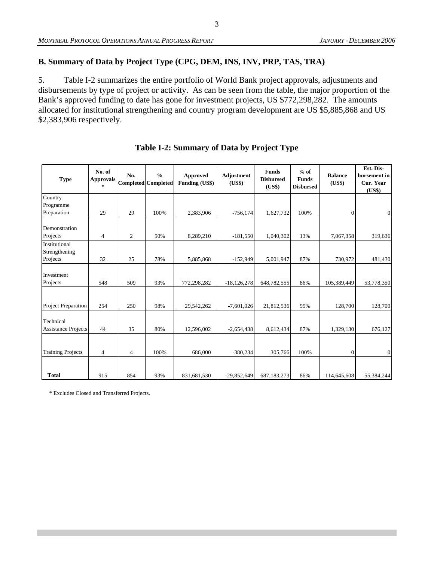### **B. Summary of Data by Project Type (CPG, DEM, INS, INV, PRP, TAS, TRA)**

5. Table I-2 summarizes the entire portfolio of World Bank project approvals, adjustments and disbursements by type of project or activity. As can be seen from the table, the major proportion of the Bank's approved funding to date has gone for investment projects, US \$772,298,282. The amounts allocated for institutional strengthening and country program development are US \$5,885,868 and US \$2,383,906 respectively.

| <b>Type</b>                             | No. of<br>No.<br><b>Approvals</b><br>$\star$ |                | $\frac{0}{0}$<br><b>Completed</b> Completed | Approved<br><b>Funding (US\$)</b> | <b>Adjustment</b><br>(US\$) | <b>Funds</b><br><b>Disbursed</b><br>(US\$) | $%$ of<br><b>Funds</b><br><b>Disbursed</b> | <b>Balance</b><br>(US\$) | Est. Dis-<br>bursement in<br>Cur. Year<br>(US\$) |
|-----------------------------------------|----------------------------------------------|----------------|---------------------------------------------|-----------------------------------|-----------------------------|--------------------------------------------|--------------------------------------------|--------------------------|--------------------------------------------------|
| Country                                 |                                              |                |                                             |                                   |                             |                                            |                                            |                          |                                                  |
| Programme                               |                                              |                |                                             |                                   |                             |                                            |                                            |                          |                                                  |
| Preparation                             | 29                                           | 29             | 100%                                        | 2,383,906                         | $-756,174$                  | 1,627,732                                  | 100%                                       | $\boldsymbol{0}$         | $\boldsymbol{0}$                                 |
| Demonstration                           |                                              |                |                                             |                                   |                             |                                            |                                            |                          |                                                  |
| Projects                                | $\overline{4}$                               | $\mathfrak{2}$ | 50%                                         | 8,289,210                         | $-181,550$                  | 1,040,302                                  | 13%                                        | 7,067,358                | 319,636                                          |
| Institutional<br>Strengthening          |                                              |                |                                             |                                   |                             |                                            |                                            |                          |                                                  |
| Projects                                | 32                                           | 25             | 78%                                         | 5,885,868                         | $-152,949$                  | 5,001,947                                  | 87%                                        | 730,972                  | 481,430                                          |
| Investment<br>Projects                  | 548                                          | 509            | 93%                                         | 772,298,282                       | $-18, 126, 278$             | 648,782,555                                | 86%                                        | 105,389,449              | 53,778,350                                       |
|                                         |                                              |                |                                             |                                   |                             |                                            |                                            |                          |                                                  |
| <b>Project Preparation</b>              | 254                                          | 250            | 98%                                         | 29,542,262                        | $-7,601,026$                | 21,812,536                                 | 99%                                        | 128,700                  | 128,700                                          |
| Technical<br><b>Assistance Projects</b> | 44                                           | 35             | 80%                                         | 12,596,002                        | $-2,654,438$                | 8,612,434                                  | 87%                                        | 1,329,130                | 676,127                                          |
|                                         |                                              |                |                                             |                                   |                             |                                            |                                            |                          |                                                  |
| <b>Training Projects</b>                | $\overline{4}$                               | $\overline{4}$ | 100%                                        | 686,000                           | $-380,234$                  | 305,766                                    | 100%                                       | $\theta$                 | $\boldsymbol{0}$                                 |
| <b>Total</b>                            | 915                                          | 854            | 93%                                         | 831,681,530                       | $-29,852,649$               | 687,183,273                                | 86%                                        | 114,645,608              | 55,384,244                                       |

### **Table I-2: Summary of Data by Project Type**

\* Excludes Closed and Transferred Projects.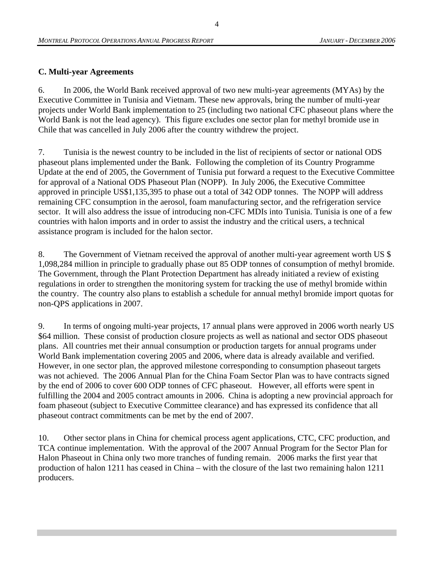#### **C. Multi-year Agreements**

6. In 2006, the World Bank received approval of two new multi-year agreements (MYAs) by the Executive Committee in Tunisia and Vietnam. These new approvals, bring the number of multi-year projects under World Bank implementation to 25 (including two national CFC phaseout plans where the World Bank is not the lead agency). This figure excludes one sector plan for methyl bromide use in Chile that was cancelled in July 2006 after the country withdrew the project.

7. Tunisia is the newest country to be included in the list of recipients of sector or national ODS phaseout plans implemented under the Bank. Following the completion of its Country Programme Update at the end of 2005, the Government of Tunisia put forward a request to the Executive Committee for approval of a National ODS Phaseout Plan (NOPP). In July 2006, the Executive Committee approved in principle US\$1,135,395 to phase out a total of 342 ODP tonnes. The NOPP will address remaining CFC consumption in the aerosol, foam manufacturing sector, and the refrigeration service sector. It will also address the issue of introducing non-CFC MDIs into Tunisia. Tunisia is one of a few countries with halon imports and in order to assist the industry and the critical users, a technical assistance program is included for the halon sector.

8. The Government of Vietnam received the approval of another multi-year agreement worth US \$ 1,098,284 million in principle to gradually phase out 85 ODP tonnes of consumption of methyl bromide. The Government, through the Plant Protection Department has already initiated a review of existing regulations in order to strengthen the monitoring system for tracking the use of methyl bromide within the country. The country also plans to establish a schedule for annual methyl bromide import quotas for non-QPS applications in 2007.

9. In terms of ongoing multi-year projects, 17 annual plans were approved in 2006 worth nearly US \$64 million. These consist of production closure projects as well as national and sector ODS phaseout plans. All countries met their annual consumption or production targets for annual programs under World Bank implementation covering 2005 and 2006, where data is already available and verified. However, in one sector plan, the approved milestone corresponding to consumption phaseout targets was not achieved. The 2006 Annual Plan for the China Foam Sector Plan was to have contracts signed by the end of 2006 to cover 600 ODP tonnes of CFC phaseout. However, all efforts were spent in fulfilling the 2004 and 2005 contract amounts in 2006. China is adopting a new provincial approach for foam phaseout (subject to Executive Committee clearance) and has expressed its confidence that all phaseout contract commitments can be met by the end of 2007.

10. Other sector plans in China for chemical process agent applications, CTC, CFC production, and TCA continue implementation. With the approval of the 2007 Annual Program for the Sector Plan for Halon Phaseout in China only two more tranches of funding remain. 2006 marks the first year that production of halon 1211 has ceased in China – with the closure of the last two remaining halon 1211 producers.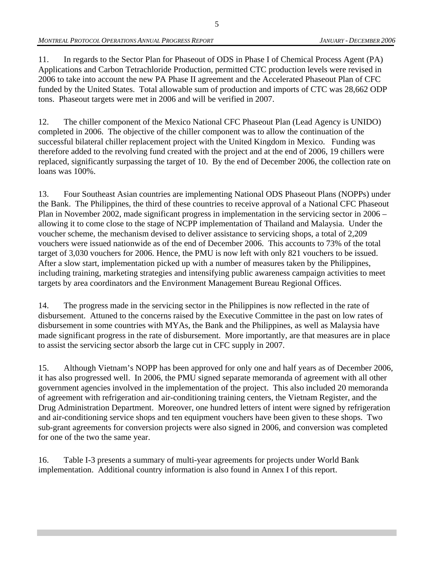11. In regards to the Sector Plan for Phaseout of ODS in Phase I of Chemical Process Agent (PA) Applications and Carbon Tetrachloride Production, permitted CTC production levels were revised in 2006 to take into account the new PA Phase II agreement and the Accelerated Phaseout Plan of CFC funded by the United States. Total allowable sum of production and imports of CTC was 28,662 ODP tons. Phaseout targets were met in 2006 and will be verified in 2007.

12. The chiller component of the Mexico National CFC Phaseout Plan (Lead Agency is UNIDO) completed in 2006. The objective of the chiller component was to allow the continuation of the successful bilateral chiller replacement project with the United Kingdom in Mexico. Funding was therefore added to the revolving fund created with the project and at the end of 2006, 19 chillers were replaced, significantly surpassing the target of 10. By the end of December 2006, the collection rate on loans was 100%.

13. Four Southeast Asian countries are implementing National ODS Phaseout Plans (NOPPs) under the Bank. The Philippines, the third of these countries to receive approval of a National CFC Phaseout Plan in November 2002, made significant progress in implementation in the servicing sector in 2006 – allowing it to come close to the stage of NCPP implementation of Thailand and Malaysia. Under the voucher scheme, the mechanism devised to deliver assistance to servicing shops, a total of 2,209 vouchers were issued nationwide as of the end of December 2006. This accounts to 73% of the total target of 3,030 vouchers for 2006. Hence, the PMU is now left with only 821 vouchers to be issued. After a slow start, implementation picked up with a number of measures taken by the Philippines, including training, marketing strategies and intensifying public awareness campaign activities to meet targets by area coordinators and the Environment Management Bureau Regional Offices.

14. The progress made in the servicing sector in the Philippines is now reflected in the rate of disbursement. Attuned to the concerns raised by the Executive Committee in the past on low rates of disbursement in some countries with MYAs, the Bank and the Philippines, as well as Malaysia have made significant progress in the rate of disbursement. More importantly, are that measures are in place to assist the servicing sector absorb the large cut in CFC supply in 2007.

15. Although Vietnam's NOPP has been approved for only one and half years as of December 2006, it has also progressed well. In 2006, the PMU signed separate memoranda of agreement with all other government agencies involved in the implementation of the project. This also included 20 memoranda of agreement with refrigeration and air-conditioning training centers, the Vietnam Register, and the Drug Administration Department. Moreover, one hundred letters of intent were signed by refrigeration and air-conditioning service shops and ten equipment vouchers have been given to these shops. Two sub-grant agreements for conversion projects were also signed in 2006, and conversion was completed for one of the two the same year.

16. Table I-3 presents a summary of multi-year agreements for projects under World Bank implementation. Additional country information is also found in Annex I of this report.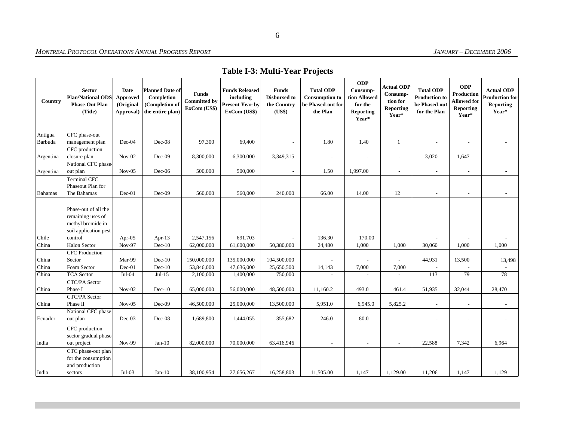# **Table I-3: Multi-Year Projects**

| Country            | <b>Sector</b><br><b>Plan/National ODS</b><br><b>Phase-Out Plan</b><br>(Title)                      | Date<br>Approved<br>(Original<br>Approval) | <b>Planned Date of</b><br>Completion<br>(Completion of<br>the entire plan) | <b>Funds</b><br><b>Committed by</b><br>ExCom (US\$) | <b>Funds Released</b><br>including<br><b>Present Year by</b><br>ExCom (US\$) | <b>Funds</b><br><b>Disbursed to</b><br>the Country<br>(US\$) | <b>Total ODP</b><br><b>Consumption to</b><br>be Phased-out for<br>the Plan | <b>ODP</b><br>Consump-<br>tion Allowed<br>for the<br><b>Reporting</b><br>Year* | Actual ODP<br>Consump-<br>tion for<br><b>Reporting</b><br>Year* | <b>Total ODP</b><br><b>Production to</b><br>be Phased-out<br>for the Plan | <b>ODP</b><br><b>Production</b><br><b>Allowed for</b><br>Reporting<br>Year* | <b>Actual ODP</b><br><b>Production for</b><br>Reporting<br>Year* |
|--------------------|----------------------------------------------------------------------------------------------------|--------------------------------------------|----------------------------------------------------------------------------|-----------------------------------------------------|------------------------------------------------------------------------------|--------------------------------------------------------------|----------------------------------------------------------------------------|--------------------------------------------------------------------------------|-----------------------------------------------------------------|---------------------------------------------------------------------------|-----------------------------------------------------------------------------|------------------------------------------------------------------|
|                    |                                                                                                    |                                            |                                                                            |                                                     |                                                                              |                                                              |                                                                            |                                                                                |                                                                 |                                                                           |                                                                             |                                                                  |
| Antigua<br>Barbuda | CFC phase-out                                                                                      | $Dec-04$                                   | $Dec-08$                                                                   | 97,300                                              |                                                                              |                                                              | 1.80                                                                       |                                                                                |                                                                 |                                                                           |                                                                             |                                                                  |
|                    | management plan<br>CFC production                                                                  |                                            |                                                                            |                                                     | 69,400                                                                       | $\overline{\phantom{a}}$                                     |                                                                            | 1.40                                                                           | 1                                                               | $\overline{\phantom{a}}$                                                  |                                                                             |                                                                  |
| Argentina          | closure plan                                                                                       | $Nov-02$                                   | Dec-09                                                                     | 8,300,000                                           | 6,300,000                                                                    | 3,349,315                                                    |                                                                            | $\overline{\phantom{a}}$                                                       | $\overline{\phantom{a}}$                                        | 3,020                                                                     | 1,647                                                                       |                                                                  |
|                    | National CFC phase-                                                                                |                                            |                                                                            |                                                     |                                                                              |                                                              |                                                                            |                                                                                |                                                                 |                                                                           |                                                                             |                                                                  |
| Argentina          | out plan                                                                                           | $Nov-05$                                   | Dec-06                                                                     | 500,000                                             | 500,000                                                                      | $\sim$                                                       | 1.50                                                                       | 1,997.00                                                                       | $\sim$                                                          | $\sim$                                                                    | $\sim$                                                                      | $\sim$                                                           |
| <b>Bahamas</b>     | Terminal CFC<br>Phaseout Plan for<br>The Bahamas                                                   | Dec-01                                     | Dec-09                                                                     | 560,000                                             | 560,000                                                                      | 240,000                                                      | 66.00                                                                      | 14.00                                                                          | 12                                                              | $\overline{\phantom{a}}$                                                  | $\sim$                                                                      |                                                                  |
| Chile              | Phase-out of all the<br>remaining uses of<br>methyl bromide in<br>soil application pest<br>control | Apr- $05$                                  | Apr- $13$                                                                  | 2,547,156                                           | 691,703                                                                      |                                                              | 136.30                                                                     | 170.00                                                                         |                                                                 |                                                                           |                                                                             |                                                                  |
| China              | <b>Halon Sector</b>                                                                                | $Nov-97$                                   | $Dec-10$                                                                   | 62,000,000                                          | 61,600,000                                                                   | 50,380,000                                                   | 24,480                                                                     | 1,000                                                                          | 1,000                                                           | 30,060                                                                    | 1,000                                                                       | 1,000                                                            |
|                    | <b>CFC</b> Production                                                                              |                                            |                                                                            |                                                     |                                                                              |                                                              |                                                                            |                                                                                |                                                                 |                                                                           |                                                                             |                                                                  |
| China              | Sector                                                                                             | Mar-99                                     | $Dec-10$                                                                   | 150,000,000                                         | 135,000,000                                                                  | 104,500,000                                                  |                                                                            |                                                                                | $\overline{a}$                                                  | 44,931                                                                    | 13,500                                                                      | 13,498                                                           |
| China              | Foam Sector                                                                                        | $Dec-01$                                   | $Dec-10$                                                                   | 53,846,000                                          | 47,636,000                                                                   | 25,650,500                                                   | 14,143                                                                     | 7,000                                                                          | 7,000                                                           | $\blacksquare$                                                            | $\sim$                                                                      | $\sim$                                                           |
| China              | <b>TCA</b> Sector                                                                                  | $Jul-04$                                   | $Jul-15$                                                                   | 2,100,000                                           | 1,400,000                                                                    | 750,000                                                      |                                                                            | $\overline{\phantom{a}}$                                                       |                                                                 | 113                                                                       | 79                                                                          | 78                                                               |
| China              | <b>CTC/PA Sector</b><br>Phase I                                                                    | $Nov-02$                                   | $Dec-10$                                                                   | 65,000,000                                          | 56,000,000                                                                   | 48,500,000                                                   | 11,160.2                                                                   | 493.0                                                                          | 461.4                                                           | 51,935                                                                    | 32,044                                                                      | 28,470                                                           |
|                    | <b>CTC/PA Sector</b>                                                                               |                                            |                                                                            |                                                     |                                                                              |                                                              |                                                                            |                                                                                |                                                                 |                                                                           |                                                                             |                                                                  |
| China              | Phase II                                                                                           | $Nov-05$                                   | Dec-09                                                                     | 46,500,000                                          | 25,000,000                                                                   | 13,500,000                                                   | 5,951.0                                                                    | 6,945.0                                                                        | 5,825.2                                                         | $\overline{\phantom{a}}$                                                  |                                                                             |                                                                  |
|                    | National CFC phase-                                                                                |                                            |                                                                            |                                                     |                                                                              |                                                              |                                                                            |                                                                                |                                                                 |                                                                           |                                                                             |                                                                  |
| Ecuador            | out plan                                                                                           | $Dec-03$                                   | Dec-08                                                                     | 1,689,800                                           | 1,444,055                                                                    | 355,682                                                      | 246.0                                                                      | 80.0                                                                           |                                                                 | $\overline{\phantom{a}}$                                                  | $\overline{\phantom{a}}$                                                    |                                                                  |
| India              | CFC production<br>sector gradual phase-<br>out project                                             | <b>Nov-99</b>                              | $Jan-10$                                                                   | 82,000,000                                          | 70,000,000                                                                   | 63,416,946                                                   | $\overline{\phantom{a}}$                                                   | $\sim$                                                                         | $\sim$                                                          | 22,588                                                                    | 7,342                                                                       | 6,964                                                            |
| India              | CTC phase-out plan<br>for the consumption<br>and production<br>sectors                             | $Jul-03$                                   | $Jan-10$                                                                   | 38,100,954                                          | 27,656,267                                                                   | 16,258,803                                                   | 11,505.00                                                                  | 1,147                                                                          | 1,129.00                                                        | 11,206                                                                    | 1,147                                                                       | 1,129                                                            |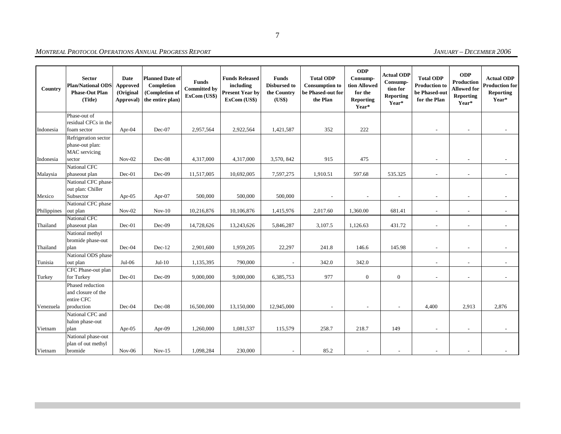| Country     | <b>Sector</b><br><b>Plan/National ODS</b><br><b>Phase-Out Plan</b><br>(Title) | Date<br>Approved<br>(Original<br>Approval) | <b>Planned Date of</b><br>Completion<br>(Completion of<br>the entire plan) | Funds<br><b>Committed by</b><br>ExCom (US\$) | <b>Funds Released</b><br>including<br><b>Present Year by</b><br>ExCom (US\$) | <b>Funds</b><br><b>Disbursed to</b><br>the Country<br>(US\$) | <b>Total ODP</b><br><b>Consumption to</b><br>be Phased-out for<br>the Plan | <b>ODP</b><br>Consump-<br>tion Allowed<br>for the<br><b>Reporting</b><br>Year* | <b>Actual ODP</b><br>Consump-<br>tion for<br><b>Reporting</b><br>Year* | <b>Total ODP</b><br><b>Production to</b><br>be Phased-out<br>for the Plan | <b>ODP</b><br>Production<br><b>Allowed for</b><br>Reporting<br>Year* | <b>Actual ODP</b><br><b>Production for</b><br><b>Reporting</b><br>Year* |
|-------------|-------------------------------------------------------------------------------|--------------------------------------------|----------------------------------------------------------------------------|----------------------------------------------|------------------------------------------------------------------------------|--------------------------------------------------------------|----------------------------------------------------------------------------|--------------------------------------------------------------------------------|------------------------------------------------------------------------|---------------------------------------------------------------------------|----------------------------------------------------------------------|-------------------------------------------------------------------------|
|             | Phase-out of                                                                  |                                            |                                                                            |                                              |                                                                              |                                                              |                                                                            |                                                                                |                                                                        |                                                                           |                                                                      |                                                                         |
| Indonesia   | residual CFCs in the<br>foam sector                                           | Apr-04                                     | Dec-07                                                                     | 2,957,564                                    | 2,922,564                                                                    | 1,421,587                                                    | 352                                                                        | 222                                                                            |                                                                        |                                                                           | $\overline{a}$                                                       |                                                                         |
| Indonesia   | Refrigeration sector<br>phase-out plan:<br>MAC servicing<br>sector            | $Nov-02$                                   | Dec-08                                                                     | 4,317,000                                    | 4,317,000                                                                    | 3,570, 842                                                   | 915                                                                        | 475                                                                            |                                                                        |                                                                           |                                                                      |                                                                         |
|             | National CFC                                                                  |                                            |                                                                            |                                              |                                                                              |                                                              |                                                                            |                                                                                |                                                                        |                                                                           |                                                                      |                                                                         |
| Malaysia    | phaseout plan                                                                 | Dec-01                                     | Dec-09                                                                     | 11,517,005                                   | 10,692,005                                                                   | 7,597,275                                                    | 1,910.51                                                                   | 597.68                                                                         | 535.325                                                                | $\overline{\phantom{a}}$                                                  | $\overline{a}$                                                       | $\sim$                                                                  |
| Mexico      | National CFC phase-<br>out plan: Chiller<br>Subsector                         | Apr-05                                     | Apr-07                                                                     | 500,000                                      | 500,000                                                                      | 500,000                                                      |                                                                            | $\overline{\phantom{a}}$                                                       | $\overline{\phantom{a}}$                                               | $\overline{\phantom{a}}$                                                  | $\overline{\phantom{a}}$                                             |                                                                         |
|             | National CFC phase                                                            |                                            |                                                                            |                                              |                                                                              |                                                              |                                                                            |                                                                                |                                                                        |                                                                           |                                                                      |                                                                         |
| Philippines | out plan                                                                      | $Nov-02$                                   | $Nov-10$                                                                   | 10,216,876                                   | 10,106,876                                                                   | 1,415,976                                                    | 2,017.60                                                                   | 1,360.00                                                                       | 681.41                                                                 | $\overline{\phantom{a}}$                                                  | $\overline{a}$                                                       |                                                                         |
| Thailand    | <b>National CFC</b><br>phaseout plan                                          | Dec-01                                     | Dec-09                                                                     | 14,728,626                                   | 13,243,626                                                                   | 5,846,287                                                    | 3,107.5                                                                    | 1,126.63                                                                       | 431.72                                                                 | $\overline{\phantom{a}}$                                                  | $\overline{a}$                                                       |                                                                         |
| Thailand    | National methyl<br>bromide phase-out<br>plan                                  | $Dec-04$                                   | $Dec-12$                                                                   | 2,901,600                                    | 1,959,205                                                                    | 22,297                                                       | 241.8                                                                      | 146.6                                                                          | 145.98                                                                 | $\overline{\phantom{a}}$                                                  | $\overline{\phantom{a}}$                                             |                                                                         |
|             | National ODS phase                                                            |                                            |                                                                            |                                              |                                                                              |                                                              |                                                                            |                                                                                |                                                                        |                                                                           |                                                                      |                                                                         |
| Tunisia     | out plan                                                                      | $Jul-06$                                   | $Jul-10$                                                                   | 1,135,395                                    | 790,000                                                                      | $\overline{\phantom{a}}$                                     | 342.0                                                                      | 342.0                                                                          |                                                                        | $\overline{\phantom{a}}$                                                  | $\overline{\phantom{a}}$                                             | $\sim$                                                                  |
| Turkey      | CFC Phase-out plan<br>for Turkey                                              | $Dec-01$                                   | $Dec-09$                                                                   | 9,000,000                                    | 9,000,000                                                                    | 6,385,753                                                    | 977                                                                        | $\overline{0}$                                                                 | $\mathbf{0}$                                                           | $\overline{\phantom{a}}$                                                  | $\overline{\phantom{a}}$                                             |                                                                         |
| Venezuela   | Phased reduction<br>and closure of the<br>entire CFC<br>production            | $Dec-04$                                   | Dec-08                                                                     | 16,500,000                                   | 13,150,000                                                                   | 12,945,000                                                   |                                                                            | $\overline{\phantom{a}}$                                                       | $\overline{\phantom{a}}$                                               | 4,400                                                                     | 2,913                                                                | 2,876                                                                   |
|             | National CFC and                                                              |                                            |                                                                            |                                              |                                                                              |                                                              |                                                                            |                                                                                |                                                                        |                                                                           |                                                                      |                                                                         |
| Vietnam     | halon phase-out<br>plan                                                       | Apr- $05$                                  | Apr-09                                                                     | 1,260,000                                    | 1,081,537                                                                    | 115,579                                                      | 258.7                                                                      | 218.7                                                                          | 149                                                                    | $\overline{\phantom{a}}$                                                  | $\overline{a}$                                                       |                                                                         |
| Vietnam     | National phase-out<br>plan of out methyl<br>bromide                           | $Nov-06$                                   | $Nov-15$                                                                   | 1,098,284                                    | 230,000                                                                      |                                                              | 85.2                                                                       |                                                                                |                                                                        |                                                                           |                                                                      |                                                                         |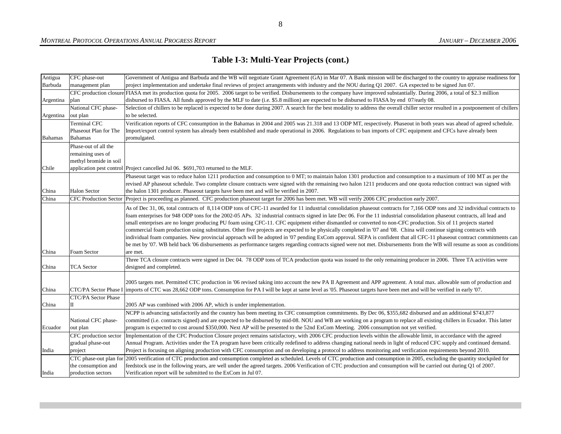## **Table I-3: Multi-Year Projects (cont.)**

| Antigua        | CFC phase-out          | Government of Antigua and Barbuda and the WB will negotiate Grant Agreement (GA) in Mar 07. A Bank mission will be discharged to the country to appraise readiness for                      |
|----------------|------------------------|---------------------------------------------------------------------------------------------------------------------------------------------------------------------------------------------|
| Barbuda        | management plan        | project implementation and undertake final reviews of project arrangements with industry and the NOU during Q1 2007. GA expected to be signed Jun 07.                                       |
|                |                        | CFC production closure FIASA met its production quota for 2005. 2006 target to be verified. Disbursements to the company have improved substantially. During 2006, a total of \$2.3 million |
| Argentina      | plan                   | disbursed to FIASA. All funds approved by the MLF to date (i.e. \$5.8 million) are expected to be disbursed to FIASA by end 07/early 08.                                                    |
|                | National CFC phase-    | Selection of chillers to be replaced is expected to be done during 2007. A search for the best modality to address the overall chiller sector resulted in a postponement of chillers        |
| Argentina      | out plan               | to be selected.                                                                                                                                                                             |
|                | <b>Terminal CFC</b>    | Verification reports of CFC consumption in the Bahamas in 2004 and 2005 was 21.318 and 13 ODP MT, respectively. Phaseout in both years was ahead of agreed schedule.                        |
|                | Phaseout Plan for The  | Import/export control system has already been established and made operational in 2006. Regulations to ban imports of CFC equipment and CFCs have already been                              |
| <b>Bahamas</b> | Bahamas                | promulgated.                                                                                                                                                                                |
|                | Phase-out of all the   |                                                                                                                                                                                             |
|                | remaining uses of      |                                                                                                                                                                                             |
|                | methyl bromide in soil |                                                                                                                                                                                             |
| Chile          |                        | application pest control Project cancelled Jul 06. \$691,703 returned to the MLF.                                                                                                           |
|                |                        | Phaseout target was to reduce halon 1211 production and consumption to 0 MT; to maintain halon 1301 production and consumption to a maximum of 100 MT as per the                            |
|                |                        | revised AP phaseout schedule. Two complete closure contracts were signed with the remaining two halon 1211 producers and one quota reduction contract was signed with                       |
| China          | Halon Sector           | the halon 1301 producer. Phaseout targets have been met and will be verified in 2007.                                                                                                       |
| China          |                        | CFC Production Sector Project is proceeding as planned. CFC production phaseout target for 2006 has been met. WB will verify 2006 CFC production early 2007.                                |
|                |                        | As of Dec 31, 06, total contracts of 8,114 ODP tons of CFC-11 awarded for 11 industrial consolidation phaseout contracts for 7,166 ODP tons and 32 individual contracts to                  |
|                |                        | foam enterprises for 948 ODP tons for the 2002-05 APs. 32 industrial contracts signed in late Dec 06. For the 11 industrial consolidation phaseout contracts, all lead and                  |
|                |                        | small enterprises are no longer producing PU foam using CFC-11. CFC equipment either dismantled or converted to non-CFC production. Six of 11 projects started                              |
|                |                        | commercial foam production using substitutes. Other five projects are expected to be physically completed in '07 and '08. China will continue signing contracts with                        |
|                |                        | individual foam companies. New provincial approach will be adopted in '07 pending ExCom approval. SEPA is confident that all CFC-11 phaseout contract commitments can                       |
|                |                        | be met by '07. WB held back '06 disbursements as performance targets regarding contracts signed were not met. Disbursements from the WB will resume as soon as conditions                   |
| China          | Foam Sector            | are met.                                                                                                                                                                                    |
|                |                        | Three TCA closure contracts were signed in Dec 04. 78 ODP tons of TCA production quota was issued to the only remaining producer in 2006. Three TA activities were                          |
| China          | <b>TCA</b> Sector      | designed and completed.                                                                                                                                                                     |
|                |                        |                                                                                                                                                                                             |
|                |                        | 2005 targets met. Permitted CTC production in '06 revised taking into account the new PA II Agreement and APP agreement. A total max. allowable sum of production and                       |
| China          |                        | CTC/PA Sector Phase I imports of CTC was 28,662 ODP tons. Consumption for PA I will be kept at same level as '05. Phaseout targets have been met and will be verified in early '07.         |
|                | CTC/PA Sector Phase    |                                                                                                                                                                                             |
| China          | П                      | 2005 AP was combined with 2006 AP, which is under implementation.                                                                                                                           |
|                |                        | NCPP is advancing satisfactorily and the country has been meeting its CFC consumption commitments. By Dec 06, \$355,682 disbursed and an additional \$743,877                               |
|                | National CFC phase-    | committed (i.e. contracts signed) and are expected to be disbursed by mid-08. NOU and WB are working on a program to replace all existing chillers in Ecuador. This latter                  |
| Ecuador        | out plan               | program is expected to cost around \$350,000. Next AP will be presented to the 52nd ExCom Meeting. 2006 consumption not yet verified.                                                       |
|                | CFC production sector  | Implementation of the CFC Production Closure project remains satisfactory, with 2006 CFC production levels within the allowable limit, in accordance with the agreed                        |
|                | gradual phase-out      | Annual Program. Activities under the TA program have been critically redefined to address changing national needs in light of reduced CFC supply and continued demand.                      |
| India          | project                | Project is focusing on aligning production with CFC consumption and on developing a protocol to address monitoring and verification requirements beyond 2010.                               |
|                |                        | CTC phase-out plan for 2005 verification of CTC production and consumption completed as scheduled. Levels of CTC production and consumption in 2005, excluding the quantity stockpiled for  |
|                | the consumption and    | feedstock use in the following years, are well under the agreed targets. 2006 Verification of CTC production and consumption will be carried out during Q1 of 2007.                         |
| India          | production sectors     | Verification report will be submitted to the ExCom in Jul 07.                                                                                                                               |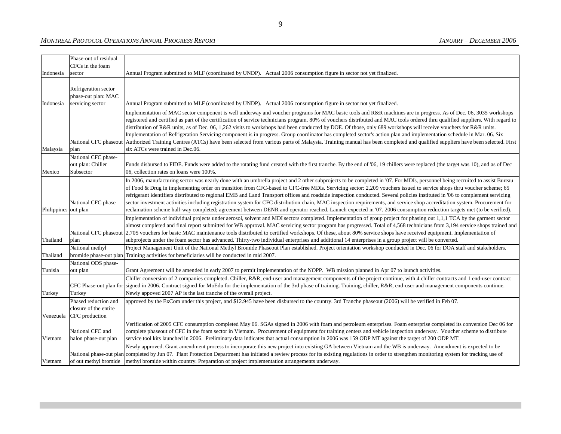#### *MONTREAL PROTOCOL OPERATIONS ANNUAL PROGRESS REPORT*

|                      | Phase-out of residual<br>CFCs in the foam                       |                                                                                                                                                                                                                                                                                                                                                                                                                                                                                                                                                                                                                                                                                                                                                                                                                                                                                                                    |
|----------------------|-----------------------------------------------------------------|--------------------------------------------------------------------------------------------------------------------------------------------------------------------------------------------------------------------------------------------------------------------------------------------------------------------------------------------------------------------------------------------------------------------------------------------------------------------------------------------------------------------------------------------------------------------------------------------------------------------------------------------------------------------------------------------------------------------------------------------------------------------------------------------------------------------------------------------------------------------------------------------------------------------|
| Indonesia            | sector                                                          | Annual Program submitted to MLF (coordinated by UNDP). Actual 2006 consumption figure in sector not yet finalized.                                                                                                                                                                                                                                                                                                                                                                                                                                                                                                                                                                                                                                                                                                                                                                                                 |
| Indonesia            | Refrigeration sector<br>phase-out plan: MAC<br>servicing sector | Annual Program submitted to MLF (coordinated by UNDP). Actual 2006 consumption figure in sector not yet finalized.                                                                                                                                                                                                                                                                                                                                                                                                                                                                                                                                                                                                                                                                                                                                                                                                 |
| Malaysia             | National CFC phaseout<br>plan                                   | Implementation of MAC sector component is well underway and voucher programs for MAC basic tools and R&R machines are in progress. As of Dec. 06, 3035 workshops<br>registered and certified as part of the certification of service technicians program. 80% of vouchers distributed and MAC tools ordered thru qualified suppliers. With regard to<br>distribution of R&R units, as of Dec. 06, 1,262 visits to workshops had been conducted by DOE. Of those, only 689 workshops will receive vouchers for R&R units.<br>Implementation of Refrigeration Servicing component is in progress. Group coordinator has completed sector's action plan and implementation schedule in Mar. 06. Six<br>Authorized Training Centres (ATCs) have been selected from various parts of Malaysia. Training manual has been completed and qualified suppliers have been selected. First<br>six ATCs were trained in Dec.06. |
| Mexico               | National CFC phase-<br>out plan: Chiller<br>Subsector           | Funds disbursed to FIDE. Funds were added to the rotating fund created with the first tranche. By the end of '06, 19 chillers were replaced (the target was 10), and as of Dec<br>06, collection rates on loans were 100%.                                                                                                                                                                                                                                                                                                                                                                                                                                                                                                                                                                                                                                                                                         |
| Philippines out plan | National CFC phase                                              | In 2006, manufacturing sector was nearly done with an umbrella project and 2 other subprojects to be completed in '07. For MDIs, personnel being recruited to assist Bureau<br>of Food & Drug in implementing order on transition from CFC-based to CFC-free MDIs. Servicing sector: 2,209 vouchers issued to service shops thru voucher scheme; 65<br>refrigerant identifiers distributed to regional EMB and Land Transport offices and roadside inspection conducted. Several policies instituted in '06 to complement servicing<br>sector investment activities including registration system for CFC distribution chain, MAC inspection requirements, and service shop accreditation system. Procurement for<br>reclamation scheme half-way completed; agreement between DENR and operator reached. Launch expected in '07. 2006 consumption reduction targets met (to be verified).                          |
| Thailand             | plan                                                            | Implementation of individual projects under aerosol, solvent and MDI sectors completed. Implementation of group project for phasing out 1,1,1 TCA by the garment sector<br>almost completed and final report submitted for WB approval. MAC servicing sector program has progressed. Total of 4,568 technicians from 3,194 service shops trained and<br>National CFC phaseout 2,705 vouchers for basic MAC maintenance tools distributed to certified workshops. Of these, about 80% service shops have received equipment. Implementation of<br>subprojects under the foam sector has advanced. Thirty-two individual enterprises and additional 14 enterprises in a group project will be converted.                                                                                                                                                                                                             |
| Thailand             | National methyl<br>bromide phase-out plan                       | Project Management Unit of the National Methyl Bromide Phaseout Plan established. Project orientation workshop conducted in Dec. 06 for DOA staff and stakeholders.<br>Training activities for beneficiaries will be conducted in mid 2007.                                                                                                                                                                                                                                                                                                                                                                                                                                                                                                                                                                                                                                                                        |
| Tunisia              | National ODS phase-<br>out plan                                 | Grant Agreement will be amended in early 2007 to permit implementation of the NOPP. WB mission planned in Apr 07 to launch activities.                                                                                                                                                                                                                                                                                                                                                                                                                                                                                                                                                                                                                                                                                                                                                                             |
| Turkey               | Turkey                                                          | Chiller conversion of 2 companies completed. Chiller, R&R, end-user and management components of the project continue, with 4 chiller contracts and 1 end-user contract<br>CFC Phase-out plan for signed in 2006. Contract signed for MoEdu for the implementation of the 3rd phase of training. Training, chiller, R&R, end-user and management components continue.<br>Newly appoved 2007 AP is the last tranche of the overall project.                                                                                                                                                                                                                                                                                                                                                                                                                                                                         |
| Venezuela            | Phased reduction and<br>closure of the entire<br>CFC production | approved by the ExCom under this project, and \$12.945 have been disbursed to the country. 3rd Tranche phaseout (2006) will be verified in Feb 07.                                                                                                                                                                                                                                                                                                                                                                                                                                                                                                                                                                                                                                                                                                                                                                 |
| Vietnam              | National CFC and<br>halon phase-out plan                        | Verification of 2005 CFC consumption completed May 06. SGAs signed in 2006 with foam and petroleum enterprises. Foam enterprise completed its conversion Dec 06 for<br>complete phaseout of CFC in the foam sector in Vietnam. Procurement of equipment for training centers and vehicle inspection underway. Voucher scheme to distribute<br>service tool kits launched in 2006. Preliminary data indicates that actual consumption in 2006 was 159 ODP MT against the target of 200 ODP MT.                                                                                                                                                                                                                                                                                                                                                                                                                      |
| Vietnam              |                                                                 | Newly approved. Grant amendment process to incorporate this new project into existing GA between Vietnam and the WB is underway. Amendment is expected to be<br>National phase-out plan completed by Jun 07. Plant Protection Department has initiated a review process for its existing regulations in order to strengthen monitoring system for tracking use of<br>of out methyl bromide   methyl bromide within country. Preparation of project implementation arrangements underway.                                                                                                                                                                                                                                                                                                                                                                                                                           |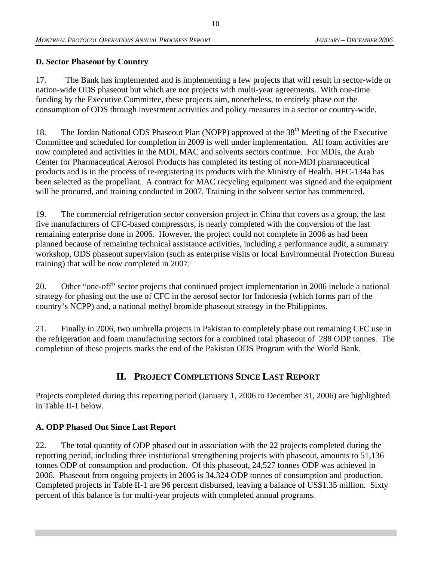#### **D. Sector Phaseout by Country**

17. The Bank has implemented and is implementing a few projects that will result in sector-wide or nation-wide ODS phaseout but which are not projects with multi-year agreements. With one-time funding by the Executive Committee, these projects aim, nonetheless, to entirely phase out the consumption of ODS through investment activities and policy measures in a sector or country-wide.

18. The Jordan National ODS Phaseout Plan (NOPP) approved at the 38<sup>th</sup> Meeting of the Executive Committee and scheduled for completion in 2009 is well under implementation. All foam activities are now completed and activities in the MDI, MAC and solvents sectors continue. For MDIs, the Arab Center for Pharmaceutical Aerosol Products has completed its testing of non-MDI pharmaceutical products and is in the process of re-registering its products with the Ministry of Health. HFC-134a has been selected as the propellant. A contract for MAC recycling equipment was signed and the equipment will be procured, and training conducted in 2007. Training in the solvent sector has commenced.

19. The commercial refrigeration sector conversion project in China that covers as a group, the last five manufacturers of CFC-based compressors, is nearly completed with the conversion of the last remaining enterprise done in 2006. However, the project could not complete in 2006 as had been planned because of remaining technical assistance activities, including a performance audit, a summary workshop, ODS phaseout supervision (such as enterprise visits or local Environmental Protection Bureau training) that will be now completed in 2007.

20. Other "one-off" sector projects that continued project implementation in 2006 include a national strategy for phasing out the use of CFC in the aerosol sector for Indonesia (which forms part of the country's NCPP) and, a national methyl bromide phaseout strategy in the Philippines.

21. Finally in 2006, two umbrella projects in Pakistan to completely phase out remaining CFC use in the refrigeration and foam manufacturing sectors for a combined total phaseout of 288 ODP tonnes. The completion of these projects marks the end of the Pakistan ODS Program with the World Bank.

# **II. PROJECT COMPLETIONS SINCE LAST REPORT**

Projects completed during this reporting period (January 1, 2006 to December 31, 2006) are highlighted in Table II-1 below.

### **A. ODP Phased Out Since Last Report**

22. The total quantity of ODP phased out in association with the 22 projects completed during the reporting period, including three institutional strengthening projects with phaseout, amounts to 51,136 tonnes ODP of consumption and production. Of this phaseout, 24,527 tonnes ODP was achieved in 2006. Phaseout from ongoing projects in 2006 is 34,324 ODP tonnes of consumption and production. Completed projects in Table II-1 are 96 percent disbursed, leaving a balance of US\$1.35 million. Sixty percent of this balance is for multi-year projects with completed annual programs.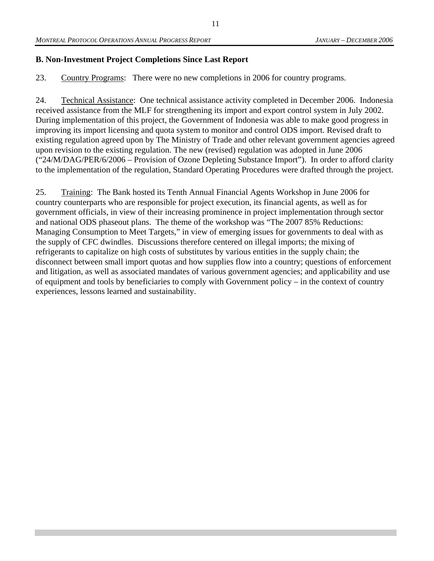#### **B. Non-Investment Project Completions Since Last Report**

23. Country Programs: There were no new completions in 2006 for country programs.

24. Technical Assistance: One technical assistance activity completed in December 2006. Indonesia received assistance from the MLF for strengthening its import and export control system in July 2002. During implementation of this project, the Government of Indonesia was able to make good progress in improving its import licensing and quota system to monitor and control ODS import. Revised draft to existing regulation agreed upon by The Ministry of Trade and other relevant government agencies agreed upon revision to the existing regulation. The new (revised) regulation was adopted in June 2006 ("24/M/DAG/PER/6/2006 – Provision of Ozone Depleting Substance Import"). In order to afford clarity to the implementation of the regulation, Standard Operating Procedures were drafted through the project.

25. Training: The Bank hosted its Tenth Annual Financial Agents Workshop in June 2006 for country counterparts who are responsible for project execution, its financial agents, as well as for government officials, in view of their increasing prominence in project implementation through sector and national ODS phaseout plans. The theme of the workshop was "The 2007 85% Reductions: Managing Consumption to Meet Targets," in view of emerging issues for governments to deal with as the supply of CFC dwindles. Discussions therefore centered on illegal imports; the mixing of refrigerants to capitalize on high costs of substitutes by various entities in the supply chain; the disconnect between small import quotas and how supplies flow into a country; questions of enforcement and litigation, as well as associated mandates of various government agencies; and applicability and use of equipment and tools by beneficiaries to comply with Government policy – in the context of country experiences, lessons learned and sustainability.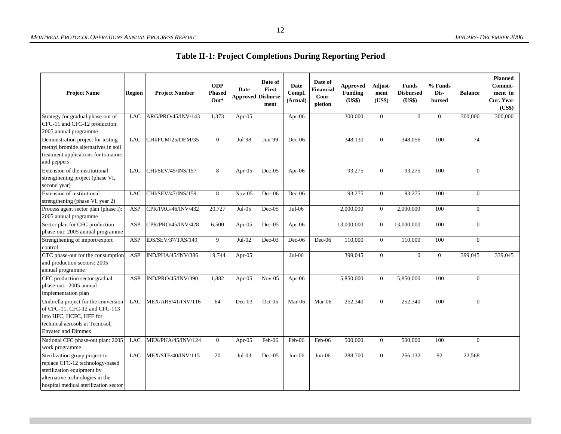**Table II-1: Project Completions During Reporting Period** 

| <b>Project Name</b>                                                                                                                                                                           | Region     | <b>Project Number</b> | <b>ODP</b><br><b>Phased</b><br>$Out*$ | Date     | Date of<br>First<br><b>Approved Disburse</b><br>ment | <b>Date</b><br>Compl.<br>(Actual) | Date of<br>Financial<br>Com-<br>pletion | Approved<br>Funding<br>(US\$) | Adjust-<br>ment<br>(US\$) | <b>Funds</b><br><b>Disbursed</b><br>(US\$) | % Funds<br>Dis-<br>bursed | <b>Balance</b> | <b>Planned</b><br>Commit-<br>ment in<br>Cur. Year<br>(US\$) |
|-----------------------------------------------------------------------------------------------------------------------------------------------------------------------------------------------|------------|-----------------------|---------------------------------------|----------|------------------------------------------------------|-----------------------------------|-----------------------------------------|-------------------------------|---------------------------|--------------------------------------------|---------------------------|----------------|-------------------------------------------------------------|
| Strategy for gradual phase-out of<br>CFC-11 and CFC-12 production:<br>2005 annual programme                                                                                                   | <b>LAC</b> | ARG/PRO/45/INV/143    | 1,373                                 | Apr-05   |                                                      | Apr-06                            |                                         | 300,000                       | $\overline{0}$            | $\overline{0}$                             | $\mathbf{0}$              | 300,000        | 300,000                                                     |
| Demonstration project for testing<br>methyl bromide alternatives in soil<br>treatment applications for tomatoes<br>and peppers                                                                | <b>LAC</b> | CHI/FUM/25/DEM/35     | $\theta$                              | Jul-98   | $Jun-99$                                             | $Dec-06$                          |                                         | 348.130                       | $\Omega$                  | 348,056                                    | 100                       | 74             |                                                             |
| Extension of the institutional<br>strengthening project (phase VI,<br>second year)                                                                                                            | <b>LAC</b> | CHI/SEV/45/INS/157    | 8                                     | Apr-05   | $Dec-05$                                             | Apr-06                            |                                         | 93,275                        | $\Omega$                  | 93,275                                     | 100                       | $\overline{0}$ |                                                             |
| Extension of institutional<br>strengthening (phase VI, year 2)                                                                                                                                | LAC        | CHI/SEV/47/INS/159    | 8                                     | $Nov-05$ | $Dec-06$                                             | $Dec-06$                          |                                         | 93,275                        | $\overline{0}$            | 93,275                                     | 100                       | $\overline{0}$ |                                                             |
| Process agent sector plan (phase I):<br>2005 annual programme                                                                                                                                 | <b>ASP</b> | CPR/PAG/46/INV/432    | 20,727                                | $Jul-05$ | $Dec-05$                                             | $Jul-06$                          |                                         | 2,000,000                     | $\mathbf{0}$              | 2,000,000                                  | 100                       | $\overline{0}$ |                                                             |
| Sector plan for CFC production<br>phase-out: 2005 annual programme                                                                                                                            | ASP        | CPR/PRO/45/INV/428    | 6,500                                 | Apr-05   | $Dec-05$                                             | Apr-06                            |                                         | 13,000,000                    | $\Omega$                  | 13,000,000                                 | 100                       | $\overline{0}$ |                                                             |
| Strengthening of import/export<br>control                                                                                                                                                     | ASP        | IDS/SEV/37/TAS/149    | 9                                     | $Jul-02$ | Dec-03                                               | $Dec-06$                          | Dec-06                                  | 110,000                       | $\overline{0}$            | 110,000                                    | 100                       | $\overline{0}$ |                                                             |
| CTC phase-out for the consumption<br>and production sectors: 2005<br>annual programme                                                                                                         | ASP        | IND/PHA/45/INV/386    | 19,744                                | Apr-05   |                                                      | $Jul-06$                          |                                         | 399,045                       | $\overline{0}$            | $\overline{0}$                             | $\overline{0}$            | 399,045        | 339,045                                                     |
| CFC production sector gradual<br>phase-out: 2005 annual<br>implementation plan                                                                                                                | <b>ASP</b> | IND/PRO/45/INV/390    | 1,882                                 | Apr-05   | $Nov-05$                                             | Apr- $06$                         |                                         | 5,850,000                     | $\Omega$                  | 5,850,000                                  | 100                       | $\Omega$       |                                                             |
| Umbrella project for the conversion<br>of CFC-11, CFC-12 and CFC-113<br>into HFC, HCFC, HFE for<br>technical aerosols at Tecnosol,<br><b>Envatec and Dimmex</b>                               | <b>LAC</b> | MEX/ARS/41/INV/116    | 64                                    | $Dec-03$ | $Oct-05$                                             | $Mar-06$                          | Mar-06                                  | 252,340                       | $\Omega$                  | 252,340                                    | 100                       | $\overline{0}$ |                                                             |
| National CFC phase-out plan: 2005                                                                                                                                                             | LAC        | MEX/PHA/45/INV/124    | $\theta$                              | Apr-05   | Feb-06                                               | Feb-06                            | Feb-06                                  | 500,000                       | $\Omega$                  | 500,000                                    | 100                       | $\Omega$       |                                                             |
| work programme<br>Sterilization group project to<br>replace CFC-12 technology-based<br>sterilization equipment by<br>alternative technologies in the<br>hospital medical sterilization sector | <b>LAC</b> | MEX/STE/40/INV/115    | 20                                    | $Jul-03$ | $Dec-05$                                             | $Jun-06$                          | $Jun-06$                                | 288,700                       | $\overline{0}$            | 266,132                                    | 92                        | 22,568         |                                                             |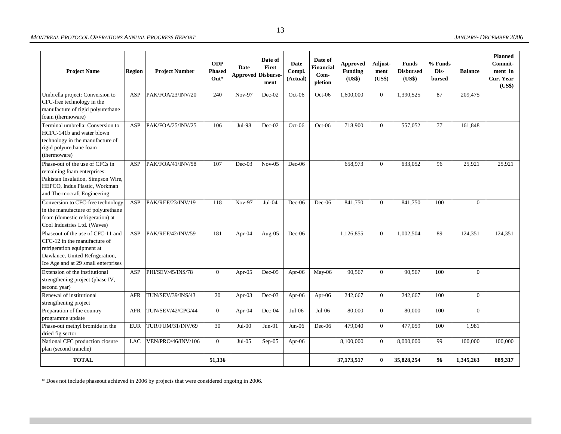#### *MONTREAL PROTOCOL OPERATIONS ANNUAL PROGRESS REPORT*

#### *JANUARY- DECEMBER 2006*

| <b>Project Name</b>                                                                                                                                                       | <b>Region</b> | <b>Project Number</b> | <b>ODP</b><br><b>Phased</b><br>$Out*$ | Date      | Date of<br>First<br><b>Approved Disburse-</b><br>ment | <b>Date</b><br>Compl.<br>(Actual) | Date of<br>Financial<br>$Com-$<br>pletion | <b>Approved</b><br><b>Funding</b><br>(US\$) | Adjust-<br>ment<br>(US\$) | <b>Funds</b><br><b>Disbursed</b><br>(US\$) | % Funds<br>Dis-<br>bursed | <b>Balance</b> | <b>Planned</b><br>Commit-<br>ment in<br>Cur. Year<br>(US\$) |
|---------------------------------------------------------------------------------------------------------------------------------------------------------------------------|---------------|-----------------------|---------------------------------------|-----------|-------------------------------------------------------|-----------------------------------|-------------------------------------------|---------------------------------------------|---------------------------|--------------------------------------------|---------------------------|----------------|-------------------------------------------------------------|
| Umbrella project: Conversion to<br>CFC-free technology in the<br>manufacture of rigid polyurethane<br>foam (thermoware)                                                   | ASP           | PAK/FOA/23/INV/20     | 240                                   | Nov-97    | $Dec-02$                                              | $Oct-06$                          | $Oct-06$                                  | 1,600,000                                   | $\Omega$                  | 1,390,525                                  | 87                        | 209,475        |                                                             |
| Terminal umbrella: Conversion to<br>HCFC-141b and water blown<br>technology in the manufacture of<br>rigid polyurethane foam<br>(thermoware)                              | <b>ASP</b>    | PAK/FOA/25/INV/25     | 106                                   | Jul-98    | $Dec-02$                                              | $Oct-06$                          | $Oct-06$                                  | 718,900                                     | $\overline{0}$            | 557,052                                    | 77                        | 161,848        |                                                             |
| Phase-out of the use of CFCs in<br>remaining foam enterprises:<br>Pakistan Insulation, Simpson Wire,<br>HEPCO, Indus Plastic, Workman<br>and Thermocraft Engineering      | ASP           | PAK/FOA/41/INV/58     | 107                                   | $Dec-03$  | $Nov-05$                                              | Dec-06                            |                                           | 658,973                                     | $\overline{0}$            | 633,052                                    | 96                        | 25,921         | 25,921                                                      |
| Conversion to CFC-free technology<br>in the manufacture of polyurethane<br>foam (domestic refrigeration) at<br>Cool Industries Ltd. (Waves)                               | ASP           | PAK/REF/23/INV/19     | 118                                   | Nov-97    | $Jul-04$                                              | $Dec-06$                          | $Dec-06$                                  | 841,750                                     | $\Omega$                  | 841,750                                    | 100                       | $\overline{0}$ |                                                             |
| Phaseout of the use of CFC-11 and<br>CFC-12 in the manufacture of<br>refrigeration equipment at<br>Dawlance, United Refrigeration,<br>Ice Age and at 29 small enterprises | ASP           | PAK/REF/42/INV/59     | 181                                   | Apr-04    | Aug-05                                                | $Dec-06$                          |                                           | 1.126.855                                   | $\Omega$                  | 1.002.504                                  | 89                        | 124,351        | 124.351                                                     |
| Extension of the institutional<br>strengthening project (phase IV,<br>second year)                                                                                        | ASP           | PHI/SEV/45/INS/78     | $\overline{0}$                        | Apr- $05$ | $Dec-05$                                              | Apr- $06$                         | May-06                                    | 90,567                                      | $\overline{0}$            | 90,567                                     | 100                       | $\overline{0}$ |                                                             |
| Renewal of institutional<br>strengthening project                                                                                                                         | <b>AFR</b>    | TUN/SEV/39/INS/43     | 20                                    | Apr- $03$ | $Dec-03$                                              | Apr-06                            | Apr- $06$                                 | 242,667                                     | $\overline{0}$            | 242,667                                    | 100                       | $\overline{0}$ |                                                             |
| Preparation of the country<br>programme update                                                                                                                            | <b>AFR</b>    | TUN/SEV/42/CPG/44     | $\overline{0}$                        | Apr-04    | $Dec-04$                                              | $Jul-06$                          | $Jul-06$                                  | 80,000                                      | $\overline{0}$            | 80,000                                     | 100                       | $\overline{0}$ |                                                             |
| Phase-out methyl bromide in the<br>dried fig sector                                                                                                                       | <b>EUR</b>    | TUR/FUM/31/INV/69     | 30                                    | $Jul-00$  | $Jun-01$                                              | $Jun-06$                          | Dec-06                                    | 479,040                                     | $\Omega$                  | 477,059                                    | 100                       | 1,981          |                                                             |
| National CFC production closure<br>plan (second tranche)                                                                                                                  | <b>LAC</b>    | VEN/PRO/46/INV/106    | $\Omega$                              | $Jul-05$  | $Sep-05$                                              | Apr- $06$                         |                                           | 8,100,000                                   | $\overline{0}$            | 8,000,000                                  | 99                        | 100,000        | 100,000                                                     |
| <b>TOTAL</b>                                                                                                                                                              |               |                       | 51,136                                |           |                                                       |                                   |                                           | 37,173,517                                  | $\bf{0}$                  | 35,828,254                                 | 96                        | 1,345,263      | 889,317                                                     |

\* Does not include phaseout achieved in 2006 by projects that were considered ongoing in 2006.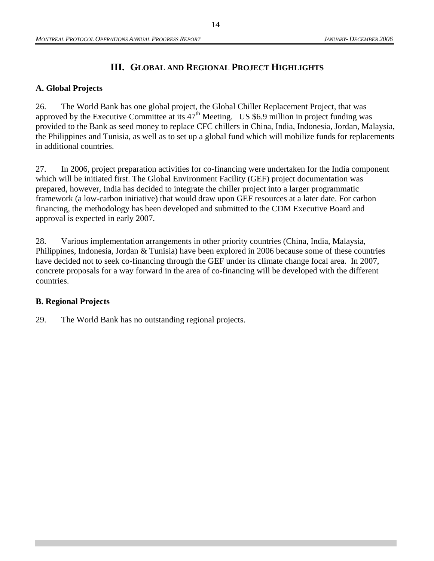## **III. GLOBAL AND REGIONAL PROJECT HIGHLIGHTS**

#### **A. Global Projects**

26. The World Bank has one global project, the Global Chiller Replacement Project, that was approved by the Executive Committee at its  $47<sup>th</sup>$  Meeting. US \$6.9 million in project funding was provided to the Bank as seed money to replace CFC chillers in China, India, Indonesia, Jordan, Malaysia, the Philippines and Tunisia, as well as to set up a global fund which will mobilize funds for replacements in additional countries.

27. In 2006, project preparation activities for co-financing were undertaken for the India component which will be initiated first. The Global Environment Facility (GEF) project documentation was prepared, however, India has decided to integrate the chiller project into a larger programmatic framework (a low-carbon initiative) that would draw upon GEF resources at a later date. For carbon financing, the methodology has been developed and submitted to the CDM Executive Board and approval is expected in early 2007.

28. Various implementation arrangements in other priority countries (China, India, Malaysia, Philippines, Indonesia, Jordan & Tunisia) have been explored in 2006 because some of these countries have decided not to seek co-financing through the GEF under its climate change focal area. In 2007, concrete proposals for a way forward in the area of co-financing will be developed with the different countries.

#### **B. Regional Projects**

29. The World Bank has no outstanding regional projects.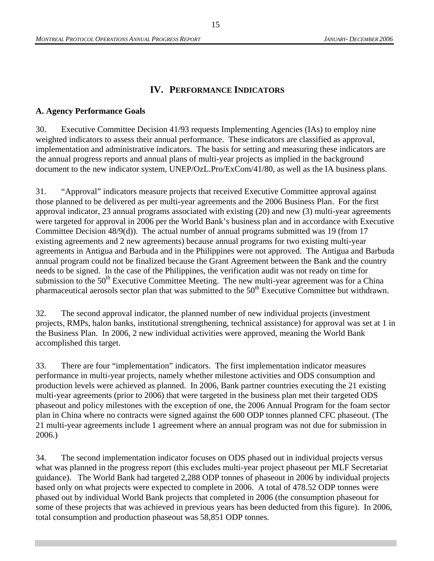#### **IV. PERFORMANCE INDICATORS**

#### **A. Agency Performance Goals**

30. Executive Committee Decision 41/93 requests Implementing Agencies (IAs) to employ nine weighted indicators to assess their annual performance. These indicators are classified as approval, implementation and administrative indicators. The basis for setting and measuring these indicators are the annual progress reports and annual plans of multi-year projects as implied in the background document to the new indicator system, UNEP/OzL.Pro/ExCom/41/80, as well as the IA business plans.

31. "Approval" indicators measure projects that received Executive Committee approval against those planned to be delivered as per multi-year agreements and the 2006 Business Plan. For the first approval indicator, 23 annual programs associated with existing (20) and new (3) multi-year agreements were targeted for approval in 2006 per the World Bank's business plan and in accordance with Executive Committee Decision 48/9(d)). The actual number of annual programs submitted was 19 (from 17 existing agreements and 2 new agreements) because annual programs for two existing multi-year agreements in Antigua and Barbuda and in the Philippines were not approved. The Antigua and Barbuda annual program could not be finalized because the Grant Agreement between the Bank and the country needs to be signed. In the case of the Philippines, the verification audit was not ready on time for submission to the  $50<sup>th</sup>$  Executive Committee Meeting. The new multi-year agreement was for a China pharmaceutical aerosols sector plan that was submitted to the  $50<sup>th</sup>$  Executive Committee but withdrawn.

32. The second approval indicator, the planned number of new individual projects (investment projects, RMPs, halon banks, institutional strengthening, technical assistance) for approval was set at 1 in the Business Plan. In 2006, 2 new individual activities were approved, meaning the World Bank accomplished this target.

33. There are four "implementation" indicators. The first implementation indicator measures performance in multi-year projects, namely whether milestone activities and ODS consumption and production levels were achieved as planned. In 2006, Bank partner countries executing the 21 existing multi-year agreements (prior to 2006) that were targeted in the business plan met their targeted ODS phaseout and policy milestones with the exception of one, the 2006 Annual Program for the foam sector plan in China where no contracts were signed against the 600 ODP tonnes planned CFC phaseout. (The 21 multi-year agreements include 1 agreement where an annual program was not due for submission in 2006.)

34. The second implementation indicator focuses on ODS phased out in individual projects versus what was planned in the progress report (this excludes multi-year project phaseout per MLF Secretariat guidance). The World Bank had targeted 2,288 ODP tonnes of phaseout in 2006 by individual projects based only on what projects were expected to complete in 2006. A total of 478.52 ODP tonnes were phased out by individual World Bank projects that completed in 2006 (the consumption phaseout for some of these projects that was achieved in previous years has been deducted from this figure). In 2006, total consumption and production phaseout was 58,851 ODP tonnes.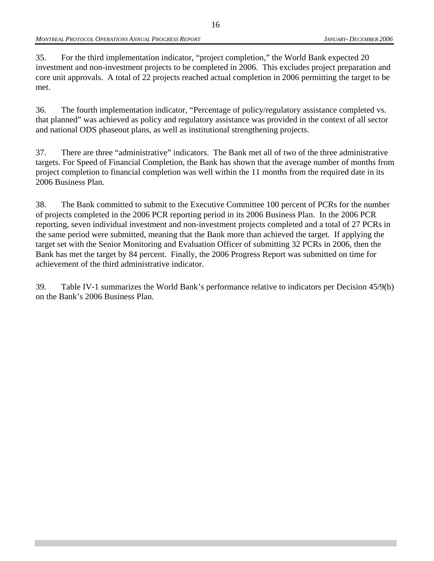35. For the third implementation indicator, "project completion," the World Bank expected 20 investment and non-investment projects to be completed in 2006. This excludes project preparation and core unit approvals. A total of 22 projects reached actual completion in 2006 permitting the target to be met.

36. The fourth implementation indicator, "Percentage of policy/regulatory assistance completed vs. that planned" was achieved as policy and regulatory assistance was provided in the context of all sector and national ODS phaseout plans, as well as institutional strengthening projects.

37. There are three "administrative" indicators. The Bank met all of two of the three administrative targets. For Speed of Financial Completion, the Bank has shown that the average number of months from project completion to financial completion was well within the 11 months from the required date in its 2006 Business Plan.

38. The Bank committed to submit to the Executive Committee 100 percent of PCRs for the number of projects completed in the 2006 PCR reporting period in its 2006 Business Plan. In the 2006 PCR reporting, seven individual investment and non-investment projects completed and a total of 27 PCRs in the same period were submitted, meaning that the Bank more than achieved the target. If applying the target set with the Senior Monitoring and Evaluation Officer of submitting 32 PCRs in 2006, then the Bank has met the target by 84 percent. Finally, the 2006 Progress Report was submitted on time for achievement of the third administrative indicator.

39. Table IV-1 summarizes the World Bank's performance relative to indicators per Decision 45/9(b) on the Bank's 2006 Business Plan.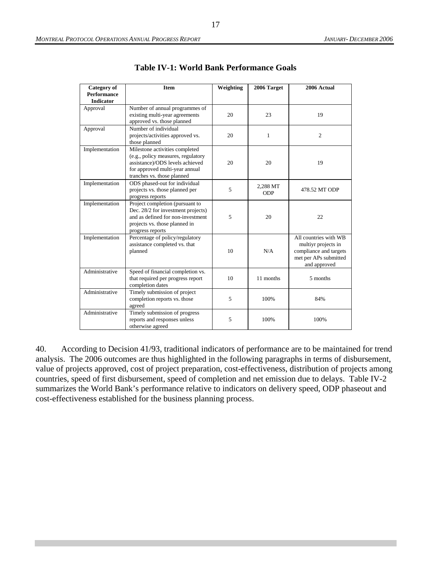| Category of        | <b>Item</b>                                                  | Weighting | 2006 Target | 2006 Actual            |
|--------------------|--------------------------------------------------------------|-----------|-------------|------------------------|
| <b>Performance</b> |                                                              |           |             |                        |
| <b>Indicator</b>   | Number of annual programmes of                               |           |             |                        |
| Approval           | existing multi-year agreements                               | 20        | 23          | 19                     |
|                    | approved vs. those planned                                   |           |             |                        |
| Approval           | Number of individual                                         |           |             |                        |
|                    | projects/activities approved vs.                             | 20        | 1           | 2                      |
|                    | those planned                                                |           |             |                        |
| Implementation     | Milestone activities completed                               |           |             |                        |
|                    | (e.g., policy measures, regulatory                           |           |             |                        |
|                    | assistance)/ODS levels achieved                              | 20        | 20          | 19                     |
|                    | for approved multi-year annual<br>tranches vs. those planned |           |             |                        |
| Implementation     | ODS phased-out for individual                                |           |             |                        |
|                    | projects vs. those planned per                               | 5         | 2,288 MT    | 478.52 MT ODP          |
|                    | progress reports                                             |           | <b>ODP</b>  |                        |
| Implementation     | Project completion (pursuant to                              |           |             |                        |
|                    | Dec. 28/2 for investment projects)                           |           |             |                        |
|                    | and as defined for non-investment                            | 5         | 20          | 22                     |
|                    | projects vs. those planned in                                |           |             |                        |
| Implementation     | progress reports<br>Percentage of policy/regulatory          |           |             | All countries with WB  |
|                    | assistance completed vs. that                                |           |             | multiye projects in    |
|                    | planned                                                      | 10        | N/A         | compliance and targets |
|                    |                                                              |           |             | met per APs submitted  |
|                    |                                                              |           |             | and approved           |
| Administrative     | Speed of financial completion vs.                            |           |             |                        |
|                    | that required per progress report                            | 10        | 11 months   | 5 months               |
| Administrative     | completion dates                                             |           |             |                        |
|                    | Timely submission of project<br>completion reports vs. those | 5         | 100%        | 84%                    |
|                    | agreed                                                       |           |             |                        |
| Administrative     | Timely submission of progress                                |           |             |                        |
|                    | reports and responses unless                                 | 5         | 100%        | 100%                   |
|                    | otherwise agreed                                             |           |             |                        |

**Table IV-1: World Bank Performance Goals** 

40. According to Decision 41/93, traditional indicators of performance are to be maintained for trend analysis. The 2006 outcomes are thus highlighted in the following paragraphs in terms of disbursement, value of projects approved, cost of project preparation, cost-effectiveness, distribution of projects among countries, speed of first disbursement, speed of completion and net emission due to delays. Table IV-2 summarizes the World Bank's performance relative to indicators on delivery speed, ODP phaseout and cost-effectiveness established for the business planning process.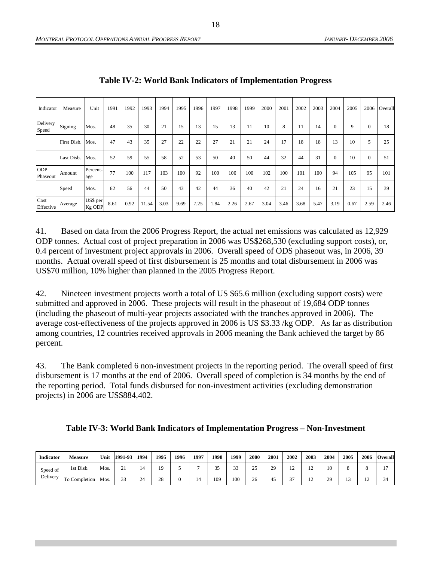| Indicator              | Measure     | Unit               | 1991 | 1992 | 1993  | 1994 | 1995 | 1996 | 1997 | 1998 | 1999 | 2000 | 2001 | 2002 | 2003 | 2004         | 2005 | 2006         | Overall |
|------------------------|-------------|--------------------|------|------|-------|------|------|------|------|------|------|------|------|------|------|--------------|------|--------------|---------|
| Delivery<br>Speed      | Signing     | Mos.               | 48   | 35   | 30    | 21   | 15   | 13   | 15   | 13   | 11   | 10   | 8    | 11   | 14   | $\mathbf{0}$ | 9    | $\mathbf{0}$ | 18      |
|                        | First Disb. | Mos.               | 47   | 43   | 35    | 27   | 22   | 22   | 27   | 21   | 21   | 24   | 17   | 18   | 18   | 13           | 10   | 5            | 25      |
|                        | Last Disb.  | Mos.               | 52   | 59   | 55    | 58   | 52   | 53   | 50   | 40   | 50   | 44   | 32   | 44   | 31   | $\mathbf{0}$ | 10   | $\Omega$     | 51      |
| <b>ODP</b><br>Phaseout | Amount      | Percent-<br>age    | 77   | 100  | 117   | 103  | 100  | 92   | 100  | 100  | 100  | 102  | 100  | 101  | 100  | 94           | 105  | 95           | 101     |
|                        | Speed       | Mos.               | 62   | 56   | 44    | 50   | 43   | 42   | 44   | 36   | 40   | 42   | 21   | 24   | 16   | 21           | 23   | 15           | 39      |
| Cost<br>Effective      | Average     | US\$ per<br>Kg ODP | 8.61 | 0.92 | 11.54 | 3.03 | 9.69 | 7.25 | 1.84 | 2.26 | 2.67 | 3.04 | 3.46 | 3.68 | 5.47 | 3.19         | 0.67 | 2.59         | 2.46    |

**Table IV-2: World Bank Indicators of Implementation Progress** 

41. Based on data from the 2006 Progress Report, the actual net emissions was calculated as 12,929 ODP tonnes. Actual cost of project preparation in 2006 was US\$268,530 (excluding support costs), or, 0.4 percent of investment project approvals in 2006. Overall speed of ODS phaseout was, in 2006, 39 months. Actual overall speed of first disbursement is 25 months and total disbursement in 2006 was US\$70 million, 10% higher than planned in the 2005 Progress Report.

42. Nineteen investment projects worth a total of US \$65.6 million (excluding support costs) were submitted and approved in 2006. These projects will result in the phaseout of 19,684 ODP tonnes (including the phaseout of multi-year projects associated with the tranches approved in 2006). The average cost-effectiveness of the projects approved in 2006 is US \$3.33 /kg ODP. As far as distribution among countries, 12 countries received approvals in 2006 meaning the Bank achieved the target by 86 percent.

43. The Bank completed 6 non-investment projects in the reporting period. The overall speed of first disbursement is 17 months at the end of 2006. Overall speed of completion is 34 months by the end of the reporting period. Total funds disbursed for non-investment activities (excluding demonstration projects) in 2006 are US\$884,402.

|  | Table IV-3: World Bank Indicators of Implementation Progress - Non-Investment |  |
|--|-------------------------------------------------------------------------------|--|
|  |                                                                               |  |

| Indicator | <b>Measure</b>    | Unit | 1991-93      | 1994 | 1995 | 1996 | 1997 | 1998             | 1999   | 2000     | 2001 | 2002 | 2003 | 2004 | 2005 | 2006 | <b>Overall</b> |
|-----------|-------------------|------|--------------|------|------|------|------|------------------|--------|----------|------|------|------|------|------|------|----------------|
| Speed of  | 1st Disb.         | Mos. | $\sim$<br>21 | 14   | 19   |      |      | <u>^ - </u><br>້ | $\sim$ | າເ<br>-- | 29   |      |      |      |      |      |                |
| Delivery  | 'To<br>Completion | Mos. | $\sim$<br>33 | 24   | 28   |      |      | 109              | 100    | 26       | 45   |      | . .  | 20   |      | . .  | $\sim$<br>34   |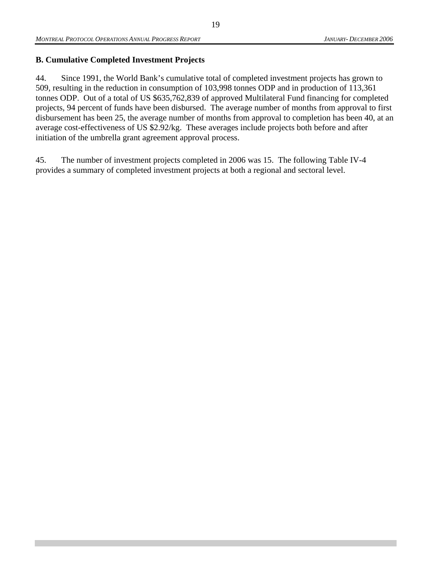### **B. Cumulative Completed Investment Projects**

44. Since 1991, the World Bank's cumulative total of completed investment projects has grown to 509, resulting in the reduction in consumption of 103,998 tonnes ODP and in production of 113,361 tonnes ODP. Out of a total of US \$635,762,839 of approved Multilateral Fund financing for completed projects, 94 percent of funds have been disbursed. The average number of months from approval to first disbursement has been 25, the average number of months from approval to completion has been 40, at an average cost-effectiveness of US \$2.92/kg. These averages include projects both before and after initiation of the umbrella grant agreement approval process.

45. The number of investment projects completed in 2006 was 15. The following Table IV-4 provides a summary of completed investment projects at both a regional and sectoral level.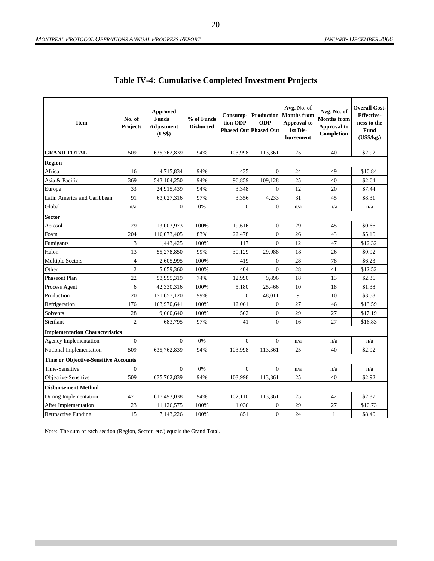| <b>Item</b>                                 | No. of<br><b>Projects</b> | Approved<br>Funds +<br><b>Adjustment</b><br>(US\$) | % of Funds<br><b>Disbursed</b> | Consump-<br>tion ODP | <b>ODP</b><br><b>Phased Out Phased Out</b> | Avg. No. of<br><b>Production</b> Months from<br>Approval to<br>1st Dis-<br>bursement | Avg. No. of<br><b>Months from</b><br>Approval to<br>Completion | <b>Overall Cost-</b><br><b>Effective-</b><br>ness to the<br><b>Fund</b><br>(US\$/kg.) |
|---------------------------------------------|---------------------------|----------------------------------------------------|--------------------------------|----------------------|--------------------------------------------|--------------------------------------------------------------------------------------|----------------------------------------------------------------|---------------------------------------------------------------------------------------|
| <b>GRAND TOTAL</b>                          | 509                       | 635,762,839                                        | 94%                            | 103,998              | 113,361                                    | 25                                                                                   | 40                                                             | \$2.92                                                                                |
| <b>Region</b>                               |                           |                                                    |                                |                      |                                            |                                                                                      |                                                                |                                                                                       |
| Africa                                      | 16                        | 4,715,834                                          | 94%                            | 435                  | $\overline{0}$                             | 24                                                                                   | 49                                                             | \$10.84                                                                               |
| Asia & Pacific                              | 369                       | 543,104,250                                        | 94%                            | 96,859               | 109,128                                    | 25                                                                                   | 40                                                             | \$2.64                                                                                |
| Europe                                      | 33                        | 24,915,439                                         | 94%                            | 3,348                | $\overline{0}$                             | 12                                                                                   | 20                                                             | \$7.44                                                                                |
| Latin America and Caribbean                 | 91                        | 63,027,316                                         | 97%                            | 3,356                | 4,233                                      | 31                                                                                   | 45                                                             | \$8.31                                                                                |
| Global                                      | n/a                       | $\overline{0}$                                     | 0%                             | $\mathbf{0}$         | $\overline{0}$                             | n/a                                                                                  | n/a                                                            | n/a                                                                                   |
| <b>Sector</b>                               |                           |                                                    |                                |                      |                                            |                                                                                      |                                                                |                                                                                       |
| Aerosol                                     | 29                        | 13,003,973                                         | 100%                           | 19,616               | $\boldsymbol{0}$                           | 29                                                                                   | 45                                                             | \$0.66                                                                                |
| Foam                                        | 204                       | 116,073,405                                        | 83%                            | 22,478               | $\overline{0}$                             | 26                                                                                   | 43                                                             | \$5.16                                                                                |
| Fumigants                                   | 3                         | 1,443,425                                          | 100%                           | 117                  | $\overline{0}$                             | 12                                                                                   | 47                                                             | \$12.32                                                                               |
| Halon                                       | 13                        | 55,278,850                                         | 99%                            | 30,129               | 29,988                                     | 18                                                                                   | 26                                                             | \$0.92                                                                                |
| <b>Multiple Sectors</b>                     | $\overline{4}$            | 2,605,995                                          | 100%                           | 419                  | $\overline{0}$                             | 28                                                                                   | 78                                                             | \$6.23                                                                                |
| Other                                       | $\mathbf{2}$              | 5,059,360                                          | 100%                           | 404                  | $\overline{0}$                             | 28                                                                                   | 41                                                             | \$12.52                                                                               |
| Phaseout Plan                               | 22                        | 53,995,319                                         | 74%                            | 12,990               | 9,896                                      | 18                                                                                   | 13                                                             | \$2.36                                                                                |
| Process Agent                               | 6                         | 42,330,316                                         | 100%                           | 5,180                | 25,466                                     | 10                                                                                   | 18                                                             | \$1.38                                                                                |
| Production                                  | 20                        | 171,657,120                                        | 99%                            | $\mathbf{0}$         | 48,011                                     | 9                                                                                    | 10                                                             | \$3.58                                                                                |
| Refrigeration                               | 176                       | 163,970,641                                        | 100%                           | 12,061               | $\overline{0}$                             | 27                                                                                   | 46                                                             | \$13.59                                                                               |
| Solvents                                    | 28                        | 9,660,640                                          | 100%                           | 562                  | $\Omega$                                   | 29                                                                                   | 27                                                             | \$17.19                                                                               |
| Sterilant                                   | $\overline{2}$            | 683,795                                            | 97%                            | 41                   | $\Omega$                                   | 16                                                                                   | 27                                                             | \$16.83                                                                               |
| <b>Implementation Characteristics</b>       |                           |                                                    |                                |                      |                                            |                                                                                      |                                                                |                                                                                       |
| Agency Implementation                       | $\mathbf{0}$              | $\overline{0}$                                     | 0%                             | $\mathbf{0}$         | $\overline{0}$                             | n/a                                                                                  | n/a                                                            | n/a                                                                                   |
| National Implementation                     | 509                       | 635,762,839                                        | 94%                            | 103.998              | 113,361                                    | 25                                                                                   | 40                                                             | \$2.92                                                                                |
| <b>Time or Objective-Sensitive Accounts</b> |                           |                                                    |                                |                      |                                            |                                                                                      |                                                                |                                                                                       |
| Time-Sensitive                              | $\mathbf{0}$              | $\overline{0}$                                     | 0%                             | $\mathbf{0}$         | $\overline{0}$                             | n/a                                                                                  | n/a                                                            | n/a                                                                                   |
| Objective-Sensitive                         | 509                       | 635,762,839                                        | 94%                            | 103,998              | 113,361                                    | 25                                                                                   | 40                                                             | \$2.92                                                                                |
| <b>Disbursement Method</b>                  |                           |                                                    |                                |                      |                                            |                                                                                      |                                                                |                                                                                       |
| During Implementation                       | 471                       | 617,493,038                                        | 94%                            | 102,110              | 113,361                                    | 25                                                                                   | 42                                                             | \$2.87                                                                                |
| After Implementation                        | 23                        | 11,126,575                                         | 100%                           | 1,036                | $\overline{0}$                             | 29                                                                                   | 27                                                             | \$10.73                                                                               |
| <b>Retroactive Funding</b>                  | 15                        | 7,143,226                                          | 100%                           | 851                  | $\overline{0}$                             | 24                                                                                   | $\mathbf{1}$                                                   | \$8.40                                                                                |

Note: The sum of each section (Region, Sector, etc.) equals the Grand Total.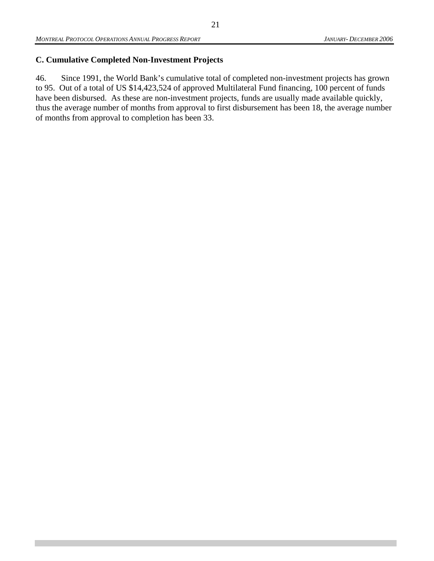## **C. Cumulative Completed Non-Investment Projects**

46. Since 1991, the World Bank's cumulative total of completed non-investment projects has grown to 95. Out of a total of US \$14,423,524 of approved Multilateral Fund financing, 100 percent of funds have been disbursed. As these are non-investment projects, funds are usually made available quickly, thus the average number of months from approval to first disbursement has been 18, the average number of months from approval to completion has been 33.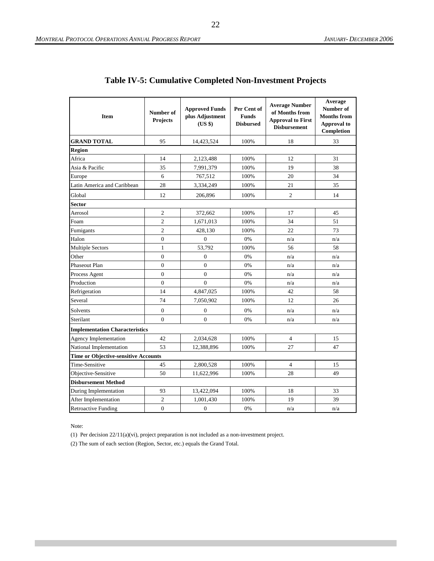| Item                                        | Number of<br>Projects | <b>Approved Funds</b><br>plus Adjustment<br>(US \$) | Per Cent of<br><b>Funds</b><br><b>Disbursed</b> | <b>Average Number</b><br>of Months from<br><b>Approval to First</b><br><b>Disbursement</b> | Average<br>Number of<br><b>Months from</b><br>Approval to<br>Completion |
|---------------------------------------------|-----------------------|-----------------------------------------------------|-------------------------------------------------|--------------------------------------------------------------------------------------------|-------------------------------------------------------------------------|
| <b>GRAND TOTAL</b>                          | 95                    | 14,423,524                                          | 100%                                            | 18                                                                                         | 33                                                                      |
| Region                                      |                       |                                                     |                                                 |                                                                                            |                                                                         |
| Africa                                      | 14                    | 2,123,488                                           | 100%                                            | 12                                                                                         | 31                                                                      |
| Asia & Pacific                              | 35                    | 7,991,379                                           | 100%                                            | 19                                                                                         | 38                                                                      |
| Europe                                      | 6                     | 767,512                                             | 100%                                            | 20                                                                                         | 34                                                                      |
| Latin America and Caribbean                 | 28                    | 3,334,249                                           | 100%                                            | 21                                                                                         | 35                                                                      |
| Global                                      | 12                    | 206,896                                             | 100%                                            | $\overline{2}$                                                                             | 14                                                                      |
| <b>Sector</b>                               |                       |                                                     |                                                 |                                                                                            |                                                                         |
| Aerosol                                     | $\overline{2}$        | 372,662                                             | 100%                                            | 17                                                                                         | 45                                                                      |
| Foam                                        | $\overline{2}$        | 1,671,013                                           | 100%                                            | 34                                                                                         | 51                                                                      |
| Fumigants                                   | $\overline{2}$        | 428,130                                             | 100%                                            | 22                                                                                         | 73                                                                      |
| Halon                                       | $\overline{0}$        | $\overline{0}$                                      | 0%                                              | n/a                                                                                        | n/a                                                                     |
| <b>Multiple Sectors</b>                     | $\mathbf{1}$          | 53,792                                              | 100%                                            | 56                                                                                         | 58                                                                      |
| Other                                       | $\overline{0}$        | $\overline{0}$                                      | 0%                                              | n/a                                                                                        | n/a                                                                     |
| Phaseout Plan                               | $\mathbf{0}$          | $\boldsymbol{0}$                                    | 0%                                              | n/a                                                                                        | n/a                                                                     |
| Process Agent                               | $\mathbf{0}$          | $\overline{0}$                                      | 0%                                              | n/a                                                                                        | n/a                                                                     |
| Production                                  | $\overline{0}$        | $\overline{0}$                                      | 0%                                              | n/a                                                                                        | n/a                                                                     |
| Refrigeration                               | 14                    | 4,847,025                                           | 100%                                            | 42                                                                                         | 58                                                                      |
| Several                                     | 74                    | 7,050,902                                           | 100%                                            | 12                                                                                         | 26                                                                      |
| Solvents                                    | $\overline{0}$        | $\theta$                                            | 0%                                              | n/a                                                                                        | n/a                                                                     |
| Sterilant                                   | $\theta$              | $\overline{0}$                                      | 0%                                              | n/a                                                                                        | n/a                                                                     |
| <b>Implementation Characteristics</b>       |                       |                                                     |                                                 |                                                                                            |                                                                         |
| <b>Agency Implementation</b>                | 42                    | 2,034,628                                           | 100%                                            | $\overline{4}$                                                                             | 15                                                                      |
| National Implementation                     | 53                    | 12,388,896                                          | 100%                                            | 27                                                                                         | 47                                                                      |
| <b>Time or Objective-sensitive Accounts</b> |                       |                                                     |                                                 |                                                                                            |                                                                         |
| Time-Sensitive                              | 45                    | 2,800,528                                           | 100%                                            | $\overline{4}$                                                                             | 15                                                                      |
| Objective-Sensitive                         | 50                    | 11,622,996                                          | 100%                                            | 28                                                                                         | 49                                                                      |
| <b>Disbursement Method</b>                  |                       |                                                     |                                                 |                                                                                            |                                                                         |
| During Implementation                       | 93                    | 13,422,094                                          | 100%                                            | 18                                                                                         | 33                                                                      |
| After Implementation                        | $\overline{c}$        | 1,001,430                                           | 100%                                            | 19                                                                                         | 39                                                                      |
| <b>Retroactive Funding</b>                  | $\mathbf{0}$          | $\boldsymbol{0}$                                    | 0%                                              | n/a                                                                                        | n/a                                                                     |

### **Table IV-5: Cumulative Completed Non-Investment Projects**

Note:

(1) Per decision 22/11(a)(vi), project preparation is not included as a non-investment project.

(2) The sum of each section (Region, Sector, etc.) equals the Grand Total.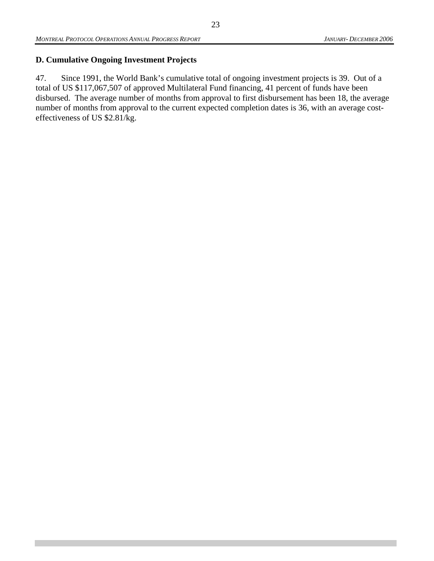### **D. Cumulative Ongoing Investment Projects**

47. Since 1991, the World Bank's cumulative total of ongoing investment projects is 39. Out of a total of US \$117,067,507 of approved Multilateral Fund financing, 41 percent of funds have been disbursed. The average number of months from approval to first disbursement has been 18, the average number of months from approval to the current expected completion dates is 36, with an average costeffectiveness of US \$2.81/kg.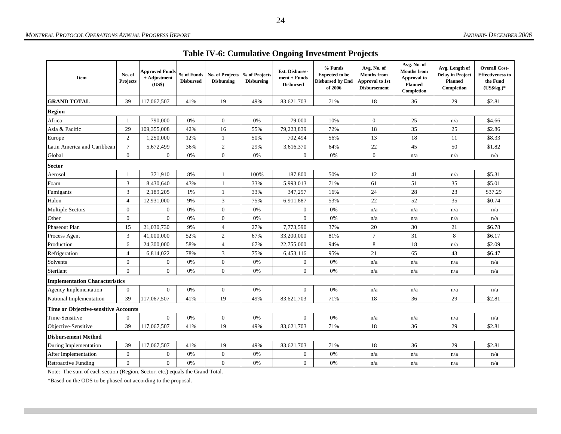| <b>Table IV-6: Cumulative Ongoing Investment Projects</b> |  |  |
|-----------------------------------------------------------|--|--|
|                                                           |  |  |

| Item                                  | No. of<br><b>Projects</b> | <b>Approved Funds</b><br>+ Adjustment<br>(US\$) | % of Funds<br><b>Disbursed</b> | No. of Projects<br><b>Disbursing</b> | % of Projects<br><b>Disbursing</b> | Est. Disburse-<br>$ment + Funds$<br><b>Disbursed</b> | % Funds<br><b>Expected to be</b><br><b>Disbursed by End</b><br>of 2006 | Avg. No. of<br><b>Months from</b><br>Approval to 1st<br><b>Disbursement</b> | Avg. No. of<br><b>Months from</b><br>Approval to<br><b>Planned</b><br>Completion | Avg. Length of<br><b>Delay in Project</b><br><b>Planned</b><br>Completion | <b>Overall Cost-</b><br><b>Effectiveness to</b><br>the Fund<br>$(US$/kg.)*$ |
|---------------------------------------|---------------------------|-------------------------------------------------|--------------------------------|--------------------------------------|------------------------------------|------------------------------------------------------|------------------------------------------------------------------------|-----------------------------------------------------------------------------|----------------------------------------------------------------------------------|---------------------------------------------------------------------------|-----------------------------------------------------------------------------|
| <b>GRAND TOTAL</b>                    | 39                        | 117,067,507                                     | 41%                            | 19                                   | 49%                                | 83,621,703                                           | 71%                                                                    | 18                                                                          | 36                                                                               | 29                                                                        | \$2.81                                                                      |
| <b>Region</b>                         |                           |                                                 |                                |                                      |                                    |                                                      |                                                                        |                                                                             |                                                                                  |                                                                           |                                                                             |
| Africa                                | -1                        | 790,000                                         | 0%                             | $\mathbf{0}$                         | 0%                                 | 79,000                                               | 10%                                                                    | $\mathbf{0}$                                                                | 25                                                                               | n/a                                                                       | \$4.66                                                                      |
| Asia & Pacific                        | 29                        | 109,355,008                                     | 42%                            | 16                                   | 55%                                | 79,223,839                                           | 72%                                                                    | 18                                                                          | 35                                                                               | 25                                                                        | \$2.86                                                                      |
| Europe                                | $\overline{2}$            | 1,250,000                                       | 12%                            | $\mathbf{1}$                         | 50%                                | 702,494                                              | 56%                                                                    | 13                                                                          | 18                                                                               | 11                                                                        | \$8.33                                                                      |
| Latin America and Caribbean           | $\tau$                    | 5,672,499                                       | 36%                            | $\sqrt{2}$                           | 29%                                | 3,616,370                                            | 64%                                                                    | 22                                                                          | 45                                                                               | 50                                                                        | \$1.82                                                                      |
| Global                                | $\overline{0}$            | $\overline{0}$                                  | 0%                             | $\boldsymbol{0}$                     | $0\%$                              | $\overline{0}$                                       | 0%                                                                     | $\mathbf{0}$                                                                | n/a                                                                              | n/a                                                                       | n/a                                                                         |
| Sector                                |                           |                                                 |                                |                                      |                                    |                                                      |                                                                        |                                                                             |                                                                                  |                                                                           |                                                                             |
| Aerosol                               |                           | 371,910                                         | 8%                             | $\mathbf{1}$                         | 100%                               | 187,800                                              | 50%                                                                    | 12                                                                          | 41                                                                               | n/a                                                                       | \$5.31                                                                      |
| Foam                                  | 3                         | 8,430,640                                       | 43%                            | $\mathbf{1}$                         | 33%                                | 5,993,013                                            | 71%                                                                    | 61                                                                          | 51                                                                               | 35                                                                        | \$5.01                                                                      |
| Fumigants                             | 3                         | 2,189,205                                       | 1%                             | -1                                   | 33%                                | 347,297                                              | 16%                                                                    | 24                                                                          | 28                                                                               | 23                                                                        | \$37.29                                                                     |
| Halon                                 | $\overline{4}$            | 12,931,000                                      | 9%                             | $\mathfrak{Z}$                       | 75%                                | 6,911,887                                            | 53%                                                                    | 22                                                                          | 52                                                                               | 35                                                                        | \$0.74                                                                      |
| <b>Multiple Sectors</b>               | $\boldsymbol{0}$          | $\theta$                                        | 0%                             | $\boldsymbol{0}$                     | 0%                                 | $\overline{0}$                                       | $0\%$                                                                  | n/a                                                                         | n/a                                                                              | n/a                                                                       | n/a                                                                         |
| Other                                 | $\boldsymbol{0}$          | $\mathbf{0}$                                    | 0%                             | $\boldsymbol{0}$                     | 0%                                 | $\boldsymbol{0}$                                     | 0%                                                                     | n/a                                                                         | n/a                                                                              | n/a                                                                       | n/a                                                                         |
| Phaseout Plan                         | 15                        | 21,030,730                                      | 9%                             | $\overline{4}$                       | 27%                                | 7,773,590                                            | 37%                                                                    | 20                                                                          | 30                                                                               | 21                                                                        | \$6.78                                                                      |
| Process Agent                         | 3                         | 41,000,000                                      | 52%                            | 2                                    | 67%                                | 33,200,000                                           | 81%                                                                    | $\tau$                                                                      | 31                                                                               | 8                                                                         | \$6.17                                                                      |
| Production                            | 6                         | 24,300,000                                      | 58%                            | $\overline{4}$                       | 67%                                | 22,755,000                                           | 94%                                                                    | 8                                                                           | 18                                                                               | n/a                                                                       | \$2.09                                                                      |
| Refrigeration                         | $\overline{4}$            | 6,814,022                                       | 78%                            | 3                                    | 75%                                | 6,453,116                                            | 95%                                                                    | 21                                                                          | 65                                                                               | 43                                                                        | \$6.47                                                                      |
| Solvents                              | $\overline{0}$            | $\overline{0}$                                  | 0%                             | $\mathbf{0}$                         | 0%                                 | $\overline{0}$                                       | 0%                                                                     | n/a                                                                         | n/a                                                                              | n/a                                                                       | n/a                                                                         |
| Sterilant                             | $\Omega$                  | $\overline{0}$                                  | 0%                             | $\overline{0}$                       | 0%                                 | $\overline{0}$                                       | 0%                                                                     | n/a                                                                         | n/a                                                                              | n/a                                                                       | n/a                                                                         |
| <b>Implementation Characteristics</b> |                           |                                                 |                                |                                      |                                    |                                                      |                                                                        |                                                                             |                                                                                  |                                                                           |                                                                             |
| <b>Agency Implementation</b>          | $\overline{0}$            | $\theta$                                        | 0%                             | $\overline{0}$                       | 0%                                 | $\overline{0}$                                       | 0%                                                                     | n/a                                                                         | n/a                                                                              | n/a                                                                       | n/a                                                                         |
| National Implementation               | 39                        | 117,067,507                                     | 41%                            | 19                                   | 49%                                | 83,621,703                                           | 71%                                                                    | 18                                                                          | 36                                                                               | 29                                                                        | \$2.81                                                                      |
| Time or Objective-sensitive Accounts  |                           |                                                 |                                |                                      |                                    |                                                      |                                                                        |                                                                             |                                                                                  |                                                                           |                                                                             |
| Time-Sensitive                        | $\overline{0}$            | $\overline{0}$                                  | 0%                             | $\mathbf{0}$                         | 0%                                 | $\overline{0}$                                       | 0%                                                                     | n/a                                                                         | n/a                                                                              | n/a                                                                       | n/a                                                                         |
| Objective-Sensitive                   | 39                        | 117,067,507                                     | 41%                            | 19                                   | 49%                                | 83,621,703                                           | 71%                                                                    | 18                                                                          | 36                                                                               | 29                                                                        | \$2.81                                                                      |
| <b>Disbursement Method</b>            |                           |                                                 |                                |                                      |                                    |                                                      |                                                                        |                                                                             |                                                                                  |                                                                           |                                                                             |
| During Implementation                 | 39                        | 117,067,507                                     | 41%                            | 19                                   | 49%                                | 83,621,703                                           | 71%                                                                    | 18                                                                          | 36                                                                               | 29                                                                        | \$2.81                                                                      |
| After Implementation                  | $\overline{0}$            | $\theta$                                        | 0%                             | $\boldsymbol{0}$                     | 0%                                 | $\overline{0}$                                       | 0%                                                                     | n/a                                                                         | n/a                                                                              | n/a                                                                       | n/a                                                                         |
| <b>Retroactive Funding</b>            | $\boldsymbol{0}$          | $\overline{0}$                                  | 0%                             | $\overline{0}$                       | 0%                                 | $\boldsymbol{0}$                                     | 0%                                                                     | n/a                                                                         | n/a                                                                              | n/a                                                                       | n/a                                                                         |

Note: The sum of each section (Region, Sector, etc.) equals the Grand Total.

\*Based on the ODS to be phased out according to the proposal.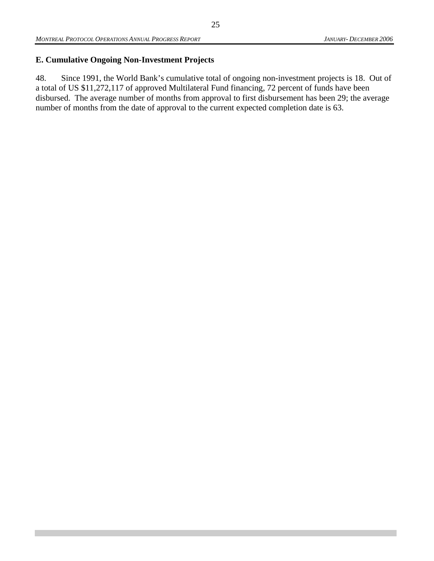#### **E. Cumulative Ongoing Non-Investment Projects**

48. Since 1991, the World Bank's cumulative total of ongoing non-investment projects is 18. Out of a total of US \$11,272,117 of approved Multilateral Fund financing, 72 percent of funds have been disbursed. The average number of months from approval to first disbursement has been 29; the average number of months from the date of approval to the current expected completion date is 63.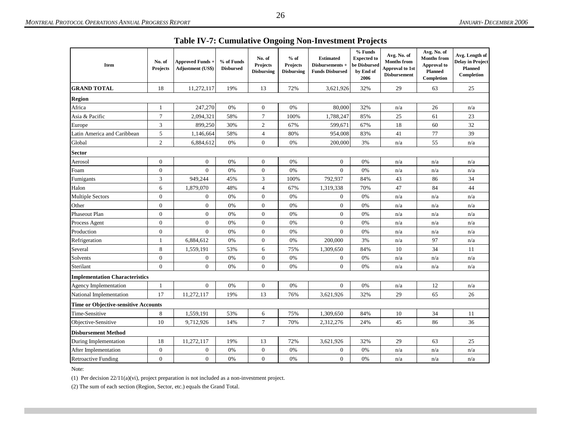| <b>Item</b>                                 | No. of<br><b>Projects</b> | <b>Approved Funds +</b><br><b>Adjustment (US\$)</b> | % of Funds<br><b>Disbursed</b> | No. of<br><b>Projects</b><br><b>Disbursing</b> | $%$ of<br>Projects<br><b>Disbursing</b> | <b>Estimated</b><br>Disbursements +<br><b>Funds Disbursed</b> | % Funds<br><b>Expected to</b><br>be Disbursed<br>by End of<br>2006 | Avg. No. of<br><b>Months from</b><br><b>Approval to 1st</b><br><b>Disbursement</b> | Avg. No. of<br><b>Months from</b><br><b>Approval</b> to<br><b>Planned</b><br>Completion | Avg. Length of<br><b>Delay in Project</b><br><b>Planned</b><br>Completion |
|---------------------------------------------|---------------------------|-----------------------------------------------------|--------------------------------|------------------------------------------------|-----------------------------------------|---------------------------------------------------------------|--------------------------------------------------------------------|------------------------------------------------------------------------------------|-----------------------------------------------------------------------------------------|---------------------------------------------------------------------------|
| <b>GRAND TOTAL</b>                          | 18                        | 11,272,117                                          | 19%                            | 13                                             | 72%                                     | 3,621,926                                                     | 32%                                                                | 29                                                                                 | 63                                                                                      | 25                                                                        |
| <b>Region</b>                               |                           |                                                     |                                |                                                |                                         |                                                               |                                                                    |                                                                                    |                                                                                         |                                                                           |
| Africa                                      | 1                         | 247,270                                             | 0%                             | $\boldsymbol{0}$                               | 0%                                      | 80,000                                                        | 32%                                                                | n/a                                                                                | 26                                                                                      | n/a                                                                       |
| Asia & Pacific                              | $\tau$                    | 2,094,321                                           | 58%                            | $\overline{7}$                                 | 100%                                    | 1,788,247                                                     | 85%                                                                | 25                                                                                 | 61                                                                                      | 23                                                                        |
| Europe                                      | 3                         | 899,250                                             | 30%                            | $\mathfrak{2}$                                 | 67%                                     | 599,671                                                       | 67%                                                                | 18                                                                                 | 60                                                                                      | 32                                                                        |
| Latin America and Caribbean                 | 5                         | 1,146,664                                           | 58%                            | 4                                              | 80%                                     | 954,008                                                       | 83%                                                                | 41                                                                                 | 77                                                                                      | 39                                                                        |
| Global                                      | 2                         | 6,884,612                                           | 0%                             | $\theta$                                       | 0%                                      | 200,000                                                       | 3%                                                                 | n/a                                                                                | 55                                                                                      | n/a                                                                       |
| <b>Sector</b>                               |                           |                                                     |                                |                                                |                                         |                                                               |                                                                    |                                                                                    |                                                                                         |                                                                           |
| Aerosol                                     | $\boldsymbol{0}$          | $\boldsymbol{0}$                                    | 0%                             | $\mathbf{0}$                                   | 0%                                      | $\mathbf{0}$                                                  | 0%                                                                 | n/a                                                                                | n/a                                                                                     | n/a                                                                       |
| Foam                                        | $\boldsymbol{0}$          | $\mathbf{0}$                                        | 0%                             | $\mathbf{0}$                                   | 0%                                      | $\mathbf{0}$                                                  | 0%                                                                 | n/a                                                                                | n/a                                                                                     | n/a                                                                       |
| Fumigants                                   | 3                         | 949,244                                             | 45%                            | 3                                              | 100%                                    | 792,937                                                       | 84%                                                                | 43                                                                                 | 86                                                                                      | 34                                                                        |
| Halon                                       | 6                         | 1,879,070                                           | 48%                            | $\overline{4}$                                 | 67%                                     | 1,319,338                                                     | 70%                                                                | 47                                                                                 | 84                                                                                      | 44                                                                        |
| <b>Multiple Sectors</b>                     | $\boldsymbol{0}$          | $\boldsymbol{0}$                                    | 0%                             | $\mathbf{0}$                                   | 0%                                      | $\overline{0}$                                                | 0%                                                                 | n/a                                                                                | n/a                                                                                     | n/a                                                                       |
| Other                                       | $\boldsymbol{0}$          | $\boldsymbol{0}$                                    | 0%                             | $\mathbf{0}$                                   | 0%                                      | $\boldsymbol{0}$                                              | 0%                                                                 | n/a                                                                                | n/a                                                                                     | n/a                                                                       |
| Phaseout Plan                               | $\boldsymbol{0}$          | $\boldsymbol{0}$                                    | 0%                             | $\mathbf{0}$                                   | 0%                                      | $\mathbf{0}$                                                  | 0%                                                                 | n/a                                                                                | n/a                                                                                     | n/a                                                                       |
| Process Agent                               | $\overline{0}$            | $\boldsymbol{0}$                                    | 0%                             | $\mathbf{0}$                                   | 0%                                      | $\mathbf{0}$                                                  | 0%                                                                 | n/a                                                                                | n/a                                                                                     | n/a                                                                       |
| Production                                  | $\boldsymbol{0}$          | $\mathbf{0}$                                        | 0%                             | $\mathbf{0}$                                   | 0%                                      | $\mathbf{0}$                                                  | 0%                                                                 | n/a                                                                                | n/a                                                                                     | n/a                                                                       |
| Refrigeration                               | 1                         | 6,884,612                                           | 0%                             | $\mathbf{0}$                                   | 0%                                      | 200,000                                                       | 3%                                                                 | n/a                                                                                | 97                                                                                      | n/a                                                                       |
| Several                                     | 8                         | 1,559,191                                           | 53%                            | 6                                              | 75%                                     | 1,309,650                                                     | 84%                                                                | 10                                                                                 | 34                                                                                      | 11                                                                        |
| Solvents                                    | $\boldsymbol{0}$          | $\boldsymbol{0}$                                    | 0%                             | $\boldsymbol{0}$                               | 0%                                      | $\mathbf{0}$                                                  | 0%                                                                 | n/a                                                                                | n/a                                                                                     | n/a                                                                       |
| Sterilant                                   | $\overline{0}$            | $\overline{0}$                                      | 0%                             | $\mathbf{0}$                                   | 0%                                      | $\overline{0}$                                                | 0%                                                                 | n/a                                                                                | n/a                                                                                     | n/a                                                                       |
| <b>Implementation Characteristics</b>       |                           |                                                     |                                |                                                |                                         |                                                               |                                                                    |                                                                                    |                                                                                         |                                                                           |
| <b>Agency Implementation</b>                | 1                         | $\mathbf{0}$                                        | 0%                             | $\mathbf{0}$                                   | 0%                                      | $\mathbf{0}$                                                  | 0%                                                                 | n/a                                                                                | 12                                                                                      | n/a                                                                       |
| National Implementation                     | 17                        | 11,272,117                                          | 19%                            | 13                                             | 76%                                     | 3,621,926                                                     | 32%                                                                | 29                                                                                 | 65                                                                                      | 26                                                                        |
| <b>Time or Objective-sensitive Accounts</b> |                           |                                                     |                                |                                                |                                         |                                                               |                                                                    |                                                                                    |                                                                                         |                                                                           |
| Time-Sensitive                              | 8                         | 1,559,191                                           | 53%                            | 6                                              | 75%                                     | 1,309,650                                                     | 84%                                                                | 10                                                                                 | 34                                                                                      | 11                                                                        |
| Objective-Sensitive                         | 10                        | 9,712,926                                           | 14%                            | $\overline{7}$                                 | 70%                                     | 2,312,276                                                     | 24%                                                                | 45                                                                                 | 86                                                                                      | 36                                                                        |
| <b>Disbursement Method</b>                  |                           |                                                     |                                |                                                |                                         |                                                               |                                                                    |                                                                                    |                                                                                         |                                                                           |
| During Implementation                       | 18                        | 11,272,117                                          | 19%                            | 13                                             | 72%                                     | 3,621,926                                                     | 32%                                                                | 29                                                                                 | 63                                                                                      | 25                                                                        |
| After Implementation                        | $\boldsymbol{0}$          | $\boldsymbol{0}$                                    | 0%                             | $\mathbf{0}$                                   | 0%                                      | $\mathbf{0}$                                                  | 0%                                                                 | n/a                                                                                | n/a                                                                                     | n/a                                                                       |
| <b>Retroactive Funding</b>                  | $\mathbf{0}$              | $\overline{0}$                                      | 0%                             | $\overline{0}$                                 | 0%                                      | $\mathbf{0}$                                                  | 0%                                                                 | n/a                                                                                | n/a                                                                                     | n/a                                                                       |

|  | Table IV-7: Cumulative Ongoing Non-Investment Projects |  |  |
|--|--------------------------------------------------------|--|--|
|  |                                                        |  |  |

Note:

(1) Per decision 22/11(a)(vi), project preparation is not included as a non-investment project.

(2) The sum of each section (Region, Sector, etc.) equals the Grand Total.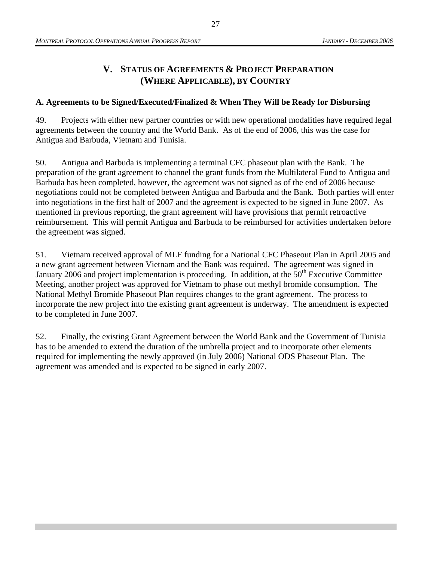## **V. STATUS OF AGREEMENTS & PROJECT PREPARATION (WHERE APPLICABLE), BY COUNTRY**

#### **A. Agreements to be Signed/Executed/Finalized & When They Will be Ready for Disbursing**

49. Projects with either new partner countries or with new operational modalities have required legal agreements between the country and the World Bank. As of the end of 2006, this was the case for Antigua and Barbuda, Vietnam and Tunisia.

50. Antigua and Barbuda is implementing a terminal CFC phaseout plan with the Bank. The preparation of the grant agreement to channel the grant funds from the Multilateral Fund to Antigua and Barbuda has been completed, however, the agreement was not signed as of the end of 2006 because negotiations could not be completed between Antigua and Barbuda and the Bank. Both parties will enter into negotiations in the first half of 2007 and the agreement is expected to be signed in June 2007. As mentioned in previous reporting, the grant agreement will have provisions that permit retroactive reimbursement. This will permit Antigua and Barbuda to be reimbursed for activities undertaken before the agreement was signed.

51. Vietnam received approval of MLF funding for a National CFC Phaseout Plan in April 2005 and a new grant agreement between Vietnam and the Bank was required. The agreement was signed in January 2006 and project implementation is proceeding. In addition, at the  $50<sup>th</sup>$  Executive Committee Meeting, another project was approved for Vietnam to phase out methyl bromide consumption. The National Methyl Bromide Phaseout Plan requires changes to the grant agreement. The process to incorporate the new project into the existing grant agreement is underway. The amendment is expected to be completed in June 2007.

52. Finally, the existing Grant Agreement between the World Bank and the Government of Tunisia has to be amended to extend the duration of the umbrella project and to incorporate other elements required for implementing the newly approved (in July 2006) National ODS Phaseout Plan. The agreement was amended and is expected to be signed in early 2007.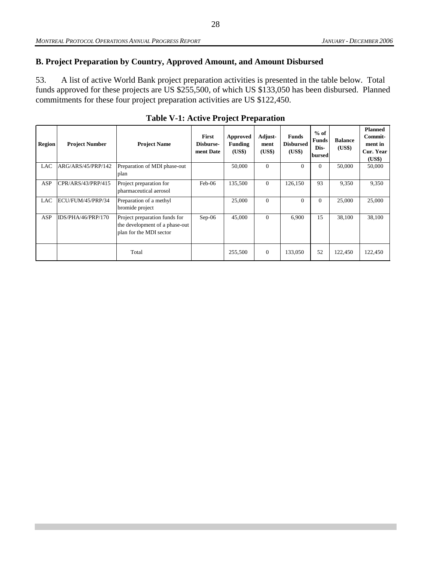## **B. Project Preparation by Country, Approved Amount, and Amount Disbursed**

53. A list of active World Bank project preparation activities is presented in the table below. Total funds approved for these projects are US \$255,500, of which US \$133,050 has been disbursed. Planned commitments for these four project preparation activities are US \$122,450.

| <b>Region</b> | <b>Project Number</b> | <b>Project Name</b>                                                                        | <b>First</b><br>Disburse-<br>ment Date | Approved<br>Funding<br>(US\$) | Adjust-<br>ment<br>(US\$) | <b>Funds</b><br><b>Disbursed</b><br>(US\$) | $%$ of<br><b>Funds</b><br>Dis-<br>bursed | <b>Balance</b><br>(US\$) | <b>Planned</b><br>Commit-<br>ment in<br>Cur. Year<br>(US\$) |
|---------------|-----------------------|--------------------------------------------------------------------------------------------|----------------------------------------|-------------------------------|---------------------------|--------------------------------------------|------------------------------------------|--------------------------|-------------------------------------------------------------|
| LAC           | ARG/ARS/45/PRP/142    | Preparation of MDI phase-out<br>plan                                                       |                                        | 50,000                        | $\Omega$                  | $\mathbf{0}$                               | $\overline{0}$                           | 50,000                   | 50,000                                                      |
| <b>ASP</b>    | CPR/ARS/43/PRP/415    | Project preparation for<br>pharmaceutical aerosol                                          | Feb-06                                 | 135,500                       | $\theta$                  | 126,150                                    | 93                                       | 9,350                    | 9,350                                                       |
| <b>LAC</b>    | ECU/FUM/45/PRP/34     | Preparation of a methyl<br>bromide project                                                 |                                        | 25,000                        | $\Omega$                  | $\Omega$                                   | $\Omega$                                 | 25,000                   | 25,000                                                      |
| <b>ASP</b>    | IDS/PHA/46/PRP/170    | Project preparation funds for<br>the development of a phase-out<br>plan for the MDI sector | $Sep-06$                               | 45,000                        | $\Omega$                  | 6,900                                      | 15                                       | 38,100                   | 38,100                                                      |
|               |                       | Total                                                                                      |                                        | 255,500                       | $\theta$                  | 133,050                                    | 52                                       | 122,450                  | 122,450                                                     |

**Table V-1: Active Project Preparation**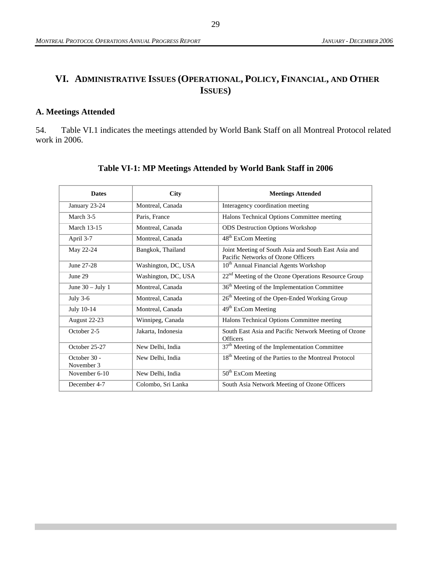# **VI. ADMINISTRATIVE ISSUES (OPERATIONAL, POLICY, FINANCIAL, AND OTHER ISSUES)**

#### **A. Meetings Attended**

54. Table VI.1 indicates the meetings attended by World Bank Staff on all Montreal Protocol related work in 2006.

| <b>Dates</b>               | City                | <b>Meetings Attended</b>                                                                  |
|----------------------------|---------------------|-------------------------------------------------------------------------------------------|
| January 23-24              | Montreal, Canada    | Interagency coordination meeting                                                          |
| March 3-5                  | Paris, France       | Halons Technical Options Committee meeting                                                |
| <b>March 13-15</b>         | Montreal, Canada    | <b>ODS</b> Destruction Options Workshop                                                   |
| April 3-7                  | Montreal, Canada    | 48 <sup>th</sup> ExCom Meeting                                                            |
| May 22-24                  | Bangkok, Thailand   | Joint Meeting of South Asia and South East Asia and<br>Pacific Networks of Ozone Officers |
| June 27-28                 | Washington, DC, USA | 10 <sup>th</sup> Annual Financial Agents Workshop                                         |
| June 29                    | Washington, DC, USA | 22 <sup>nd</sup> Meeting of the Ozone Operations Resource Group                           |
| June $30 -$ July 1         | Montreal, Canada    | 36 <sup>th</sup> Meeting of the Implementation Committee                                  |
| July $3-6$                 | Montreal, Canada    | 26 <sup>th</sup> Meeting of the Open-Ended Working Group                                  |
| July 10-14                 | Montreal, Canada    | 49 <sup>th</sup> ExCom Meeting                                                            |
| August 22-23               | Winnipeg, Canada    | Halons Technical Options Committee meeting                                                |
| October 2-5                | Jakarta, Indonesia  | South East Asia and Pacific Network Meeting of Ozone<br><b>Officers</b>                   |
| October 25-27              | New Delhi, India    | 37 <sup>th</sup> Meeting of the Implementation Committee                                  |
| October 30 -<br>November 3 | New Delhi, India    | 18 <sup>th</sup> Meeting of the Parties to the Montreal Protocol                          |
| November 6-10              | New Delhi, India    | 50 <sup>th</sup> ExCom Meeting                                                            |
| December 4-7               | Colombo, Sri Lanka  | South Asia Network Meeting of Ozone Officers                                              |

#### **Table VI-1: MP Meetings Attended by World Bank Staff in 2006**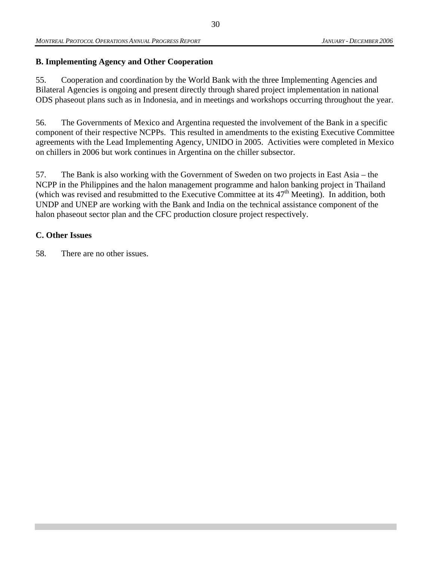#### **B. Implementing Agency and Other Cooperation**

55. Cooperation and coordination by the World Bank with the three Implementing Agencies and Bilateral Agencies is ongoing and present directly through shared project implementation in national ODS phaseout plans such as in Indonesia, and in meetings and workshops occurring throughout the year.

56. The Governments of Mexico and Argentina requested the involvement of the Bank in a specific component of their respective NCPPs. This resulted in amendments to the existing Executive Committee agreements with the Lead Implementing Agency, UNIDO in 2005. Activities were completed in Mexico on chillers in 2006 but work continues in Argentina on the chiller subsector.

57. The Bank is also working with the Government of Sweden on two projects in East Asia – the NCPP in the Philippines and the halon management programme and halon banking project in Thailand (which was revised and resubmitted to the Executive Committee at its 47<sup>th</sup> Meeting). In addition, both UNDP and UNEP are working with the Bank and India on the technical assistance component of the halon phaseout sector plan and the CFC production closure project respectively.

#### **C. Other Issues**

58. There are no other issues.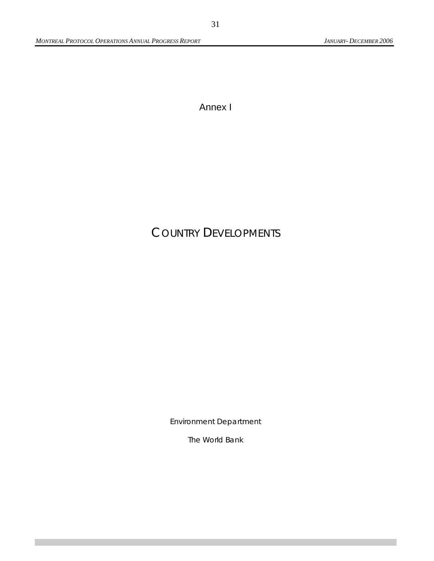Annex I

# COUNTRY DEVELOPMENTS

Environment Department

The World Bank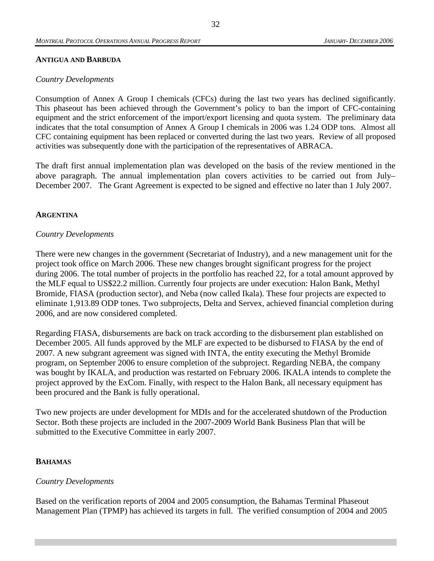#### **ANTIGUA AND BARBUDA**

#### *Country Developments*

Consumption of Annex A Group I chemicals (CFCs) during the last two years has declined significantly. This phaseout has been achieved through the Government's policy to ban the import of CFC-containing equipment and the strict enforcement of the import/export licensing and quota system. The preliminary data indicates that the total consumption of Annex A Group I chemicals in 2006 was 1.24 ODP tons. Almost all CFC containing equipment has been replaced or converted during the last two years. Review of all proposed activities was subsequently done with the participation of the representatives of ABRACA.

The draft first annual implementation plan was developed on the basis of the review mentioned in the above paragraph. The annual implementation plan covers activities to be carried out from July– December 2007. The Grant Agreement is expected to be signed and effective no later than 1 July 2007.

#### **ARGENTINA**

#### *Country Developments*

There were new changes in the government (Secretariat of Industry), and a new management unit for the project took office on March 2006. These new changes brought significant progress for the project during 2006. The total number of projects in the portfolio has reached 22, for a total amount approved by the MLF equal to US\$22.2 million. Currently four projects are under execution: Halon Bank, Methyl Bromide, FIASA (production sector), and Neba (now called Ikala). These four projects are expected to eliminate 1,913.89 ODP tones. Two subprojects, Delta and Servex, achieved financial completion during 2006, and are now considered completed.

Regarding FIASA, disbursements are back on track according to the disbursement plan established on December 2005. All funds approved by the MLF are expected to be disbursed to FIASA by the end of 2007. A new subgrant agreement was signed with INTA, the entity executing the Methyl Bromide program, on September 2006 to ensure completion of the subproject. Regarding NEBA, the company was bought by IKALA, and production was restarted on February 2006. IKALA intends to complete the project approved by the ExCom. Finally, with respect to the Halon Bank, all necessary equipment has been procured and the Bank is fully operational.

Two new projects are under development for MDIs and for the accelerated shutdown of the Production Sector. Both these projects are included in the 2007-2009 World Bank Business Plan that will be submitted to the Executive Committee in early 2007.

#### **BAHAMAS**

#### *Country Developments*

Based on the verification reports of 2004 and 2005 consumption, the Bahamas Terminal Phaseout Management Plan (TPMP) has achieved its targets in full. The verified consumption of 2004 and 2005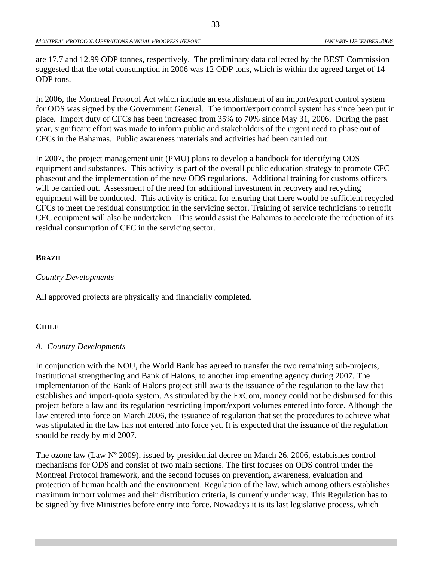are 17.7 and 12.99 ODP tonnes, respectively. The preliminary data collected by the BEST Commission suggested that the total consumption in 2006 was 12 ODP tons, which is within the agreed target of 14 ODP tons.

In 2006, the Montreal Protocol Act which include an establishment of an import/export control system for ODS was signed by the Government General. The import/export control system has since been put in place. Import duty of CFCs has been increased from 35% to 70% since May 31, 2006. During the past year, significant effort was made to inform public and stakeholders of the urgent need to phase out of CFCs in the Bahamas. Public awareness materials and activities had been carried out.

In 2007, the project management unit (PMU) plans to develop a handbook for identifying ODS equipment and substances. This activity is part of the overall public education strategy to promote CFC phaseout and the implementation of the new ODS regulations. Additional training for customs officers will be carried out. Assessment of the need for additional investment in recovery and recycling equipment will be conducted. This activity is critical for ensuring that there would be sufficient recycled CFCs to meet the residual consumption in the servicing sector. Training of service technicians to retrofit CFC equipment will also be undertaken. This would assist the Bahamas to accelerate the reduction of its residual consumption of CFC in the servicing sector.

#### **BRAZIL**

#### *Country Developments*

All approved projects are physically and financially completed.

#### **CHILE**

#### *A. Country Developments*

In conjunction with the NOU, the World Bank has agreed to transfer the two remaining sub-projects, institutional strengthening and Bank of Halons, to another implementing agency during 2007. The implementation of the Bank of Halons project still awaits the issuance of the regulation to the law that establishes and import-quota system. As stipulated by the ExCom, money could not be disbursed for this project before a law and its regulation restricting import/export volumes entered into force. Although the law entered into force on March 2006, the issuance of regulation that set the procedures to achieve what was stipulated in the law has not entered into force yet. It is expected that the issuance of the regulation should be ready by mid 2007.

The ozone law (Law Nº 2009), issued by presidential decree on March 26, 2006, establishes control mechanisms for ODS and consist of two main sections. The first focuses on ODS control under the Montreal Protocol framework, and the second focuses on prevention, awareness, evaluation and protection of human health and the environment. Regulation of the law, which among others establishes maximum import volumes and their distribution criteria, is currently under way. This Regulation has to be signed by five Ministries before entry into force. Nowadays it is its last legislative process, which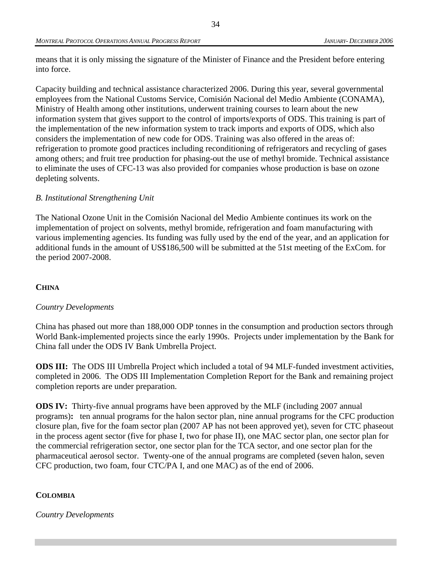means that it is only missing the signature of the Minister of Finance and the President before entering into force.

Capacity building and technical assistance characterized 2006. During this year, several governmental employees from the National Customs Service, Comisión Nacional del Medio Ambiente (CONAMA), Ministry of Health among other institutions, underwent training courses to learn about the new information system that gives support to the control of imports/exports of ODS. This training is part of the implementation of the new information system to track imports and exports of ODS, which also considers the implementation of new code for ODS. Training was also offered in the areas of: refrigeration to promote good practices including reconditioning of refrigerators and recycling of gases among others; and fruit tree production for phasing-out the use of methyl bromide. Technical assistance to eliminate the uses of CFC-13 was also provided for companies whose production is base on ozone depleting solvents.

#### *B. Institutional Strengthening Unit*

The National Ozone Unit in the Comisión Nacional del Medio Ambiente continues its work on the implementation of project on solvents, methyl bromide, refrigeration and foam manufacturing with various implementing agencies. Its funding was fully used by the end of the year, and an application for additional funds in the amount of US\$186,500 will be submitted at the 51st meeting of the ExCom. for the period 2007-2008.

#### **CHINA**

#### *Country Developments*

China has phased out more than 188,000 ODP tonnes in the consumption and production sectors through World Bank-implemented projects since the early 1990s. Projects under implementation by the Bank for China fall under the ODS IV Bank Umbrella Project.

**ODS III:** The ODS III Umbrella Project which included a total of 94 MLF-funded investment activities, completed in 2006. The ODS III Implementation Completion Report for the Bank and remaining project completion reports are under preparation.

**ODS IV:** Thirty-five annual programs have been approved by the MLF (including 2007 annual programs)**:** ten annual programs for the halon sector plan, nine annual programs for the CFC production closure plan, five for the foam sector plan (2007 AP has not been approved yet), seven for CTC phaseout in the process agent sector (five for phase I, two for phase II), one MAC sector plan, one sector plan for the commercial refrigeration sector, one sector plan for the TCA sector, and one sector plan for the pharmaceutical aerosol sector. Twenty-one of the annual programs are completed (seven halon, seven CFC production, two foam, four CTC/PA I, and one MAC) as of the end of 2006.

#### **COLOMBIA**

*Country Developments*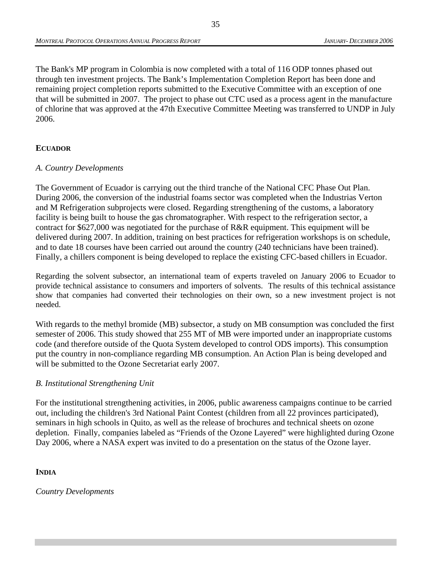The Bank's MP program in Colombia is now completed with a total of 116 ODP tonnes phased out through ten investment projects. The Bank's Implementation Completion Report has been done and remaining project completion reports submitted to the Executive Committee with an exception of one that will be submitted in 2007. The project to phase out CTC used as a process agent in the manufacture of chlorine that was approved at the 47th Executive Committee Meeting was transferred to UNDP in July 2006.

### **ECUADOR**

#### *A. Country Developments*

The Government of Ecuador is carrying out the third tranche of the National CFC Phase Out Plan. During 2006, the conversion of the industrial foams sector was completed when the Industrias Verton and M Refrigeration subprojects were closed. Regarding strengthening of the customs, a laboratory facility is being built to house the gas chromatographer. With respect to the refrigeration sector, a contract for \$627,000 was negotiated for the purchase of R&R equipment. This equipment will be delivered during 2007. In addition, training on best practices for refrigeration workshops is on schedule, and to date 18 courses have been carried out around the country (240 technicians have been trained). Finally, a chillers component is being developed to replace the existing CFC-based chillers in Ecuador.

Regarding the solvent subsector, an international team of experts traveled on January 2006 to Ecuador to provide technical assistance to consumers and importers of solvents. The results of this technical assistance show that companies had converted their technologies on their own, so a new investment project is not needed.

With regards to the methyl bromide (MB) subsector, a study on MB consumption was concluded the first semester of 2006. This study showed that 255 MT of MB were imported under an inappropriate customs code (and therefore outside of the Quota System developed to control ODS imports). This consumption put the country in non-compliance regarding MB consumption. An Action Plan is being developed and will be submitted to the Ozone Secretariat early 2007.

#### *B. Institutional Strengthening Unit*

For the institutional strengthening activities, in 2006, public awareness campaigns continue to be carried out, including the children's 3rd National Paint Contest (children from all 22 provinces participated), seminars in high schools in Quito, as well as the release of brochures and technical sheets on ozone depletion. Finally, companies labeled as "Friends of the Ozone Layered" were highlighted during Ozone Day 2006, where a NASA expert was invited to do a presentation on the status of the Ozone layer.

#### **INDIA**

*Country Developments*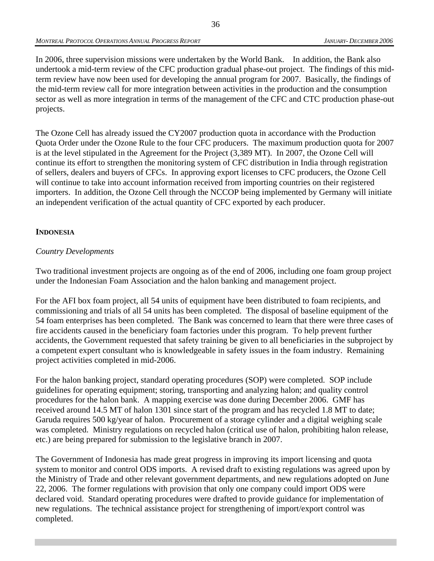In 2006, three supervision missions were undertaken by the World Bank. In addition, the Bank also undertook a mid-term review of the CFC production gradual phase-out project. The findings of this midterm review have now been used for developing the annual program for 2007. Basically, the findings of the mid-term review call for more integration between activities in the production and the consumption sector as well as more integration in terms of the management of the CFC and CTC production phase-out projects.

The Ozone Cell has already issued the CY2007 production quota in accordance with the Production Quota Order under the Ozone Rule to the four CFC producers. The maximum production quota for 2007 is at the level stipulated in the Agreement for the Project (3,389 MT). In 2007, the Ozone Cell will continue its effort to strengthen the monitoring system of CFC distribution in India through registration of sellers, dealers and buyers of CFCs. In approving export licenses to CFC producers, the Ozone Cell will continue to take into account information received from importing countries on their registered importers. In addition, the Ozone Cell through the NCCOP being implemented by Germany will initiate an independent verification of the actual quantity of CFC exported by each producer.

#### **INDONESIA**

#### *Country Developments*

Two traditional investment projects are ongoing as of the end of 2006, including one foam group project under the Indonesian Foam Association and the halon banking and management project.

For the AFI box foam project, all 54 units of equipment have been distributed to foam recipients, and commissioning and trials of all 54 units has been completed. The disposal of baseline equipment of the 54 foam enterprises has been completed. The Bank was concerned to learn that there were three cases of fire accidents caused in the beneficiary foam factories under this program. To help prevent further accidents, the Government requested that safety training be given to all beneficiaries in the subproject by a competent expert consultant who is knowledgeable in safety issues in the foam industry. Remaining project activities completed in mid-2006.

For the halon banking project, standard operating procedures (SOP) were completed. SOP include guidelines for operating equipment; storing, transporting and analyzing halon; and quality control procedures for the halon bank. A mapping exercise was done during December 2006. GMF has received around 14.5 MT of halon 1301 since start of the program and has recycled 1.8 MT to date; Garuda requires 500 kg/year of halon. Procurement of a storage cylinder and a digital weighing scale was completed. Ministry regulations on recycled halon (critical use of halon, prohibiting halon release, etc.) are being prepared for submission to the legislative branch in 2007.

The Government of Indonesia has made great progress in improving its import licensing and quota system to monitor and control ODS imports. A revised draft to existing regulations was agreed upon by the Ministry of Trade and other relevant government departments, and new regulations adopted on June 22, 2006. The former regulations with provision that only one company could import ODS were declared void. Standard operating procedures were drafted to provide guidance for implementation of new regulations. The technical assistance project for strengthening of import/export control was completed.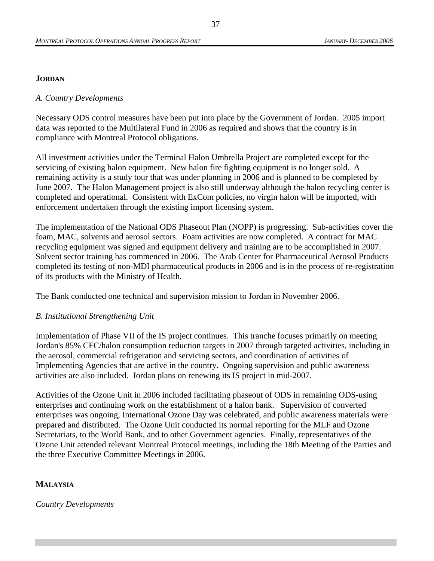#### **JORDAN**

#### *A. Country Developments*

Necessary ODS control measures have been put into place by the Government of Jordan. 2005 import data was reported to the Multilateral Fund in 2006 as required and shows that the country is in compliance with Montreal Protocol obligations.

All investment activities under the Terminal Halon Umbrella Project are completed except for the servicing of existing halon equipment. New halon fire fighting equipment is no longer sold. A remaining activity is a study tour that was under planning in 2006 and is planned to be completed by June 2007. The Halon Management project is also still underway although the halon recycling center is completed and operational. Consistent with ExCom policies, no virgin halon will be imported, with enforcement undertaken through the existing import licensing system.

The implementation of the National ODS Phaseout Plan (NOPP) is progressing. Sub-activities cover the foam, MAC, solvents and aerosol sectors. Foam activities are now completed. A contract for MAC recycling equipment was signed and equipment delivery and training are to be accomplished in 2007. Solvent sector training has commenced in 2006. The Arab Center for Pharmaceutical Aerosol Products completed its testing of non-MDI pharmaceutical products in 2006 and is in the process of re-registration of its products with the Ministry of Health.

The Bank conducted one technical and supervision mission to Jordan in November 2006.

#### *B. Institutional Strengthening Unit*

Implementation of Phase VII of the IS project continues. This tranche focuses primarily on meeting Jordan's 85% CFC/halon consumption reduction targets in 2007 through targeted activities, including in the aerosol, commercial refrigeration and servicing sectors, and coordination of activities of Implementing Agencies that are active in the country. Ongoing supervision and public awareness activities are also included. Jordan plans on renewing its IS project in mid-2007.

Activities of the Ozone Unit in 2006 included facilitating phaseout of ODS in remaining ODS-using enterprises and continuing work on the establishment of a halon bank. Supervision of converted enterprises was ongoing, International Ozone Day was celebrated, and public awareness materials were prepared and distributed. The Ozone Unit conducted its normal reporting for the MLF and Ozone Secretariats, to the World Bank, and to other Government agencies. Finally, representatives of the Ozone Unit attended relevant Montreal Protocol meetings, including the 18th Meeting of the Parties and the three Executive Committee Meetings in 2006.

#### **MALAYSIA**

#### *Country Developments*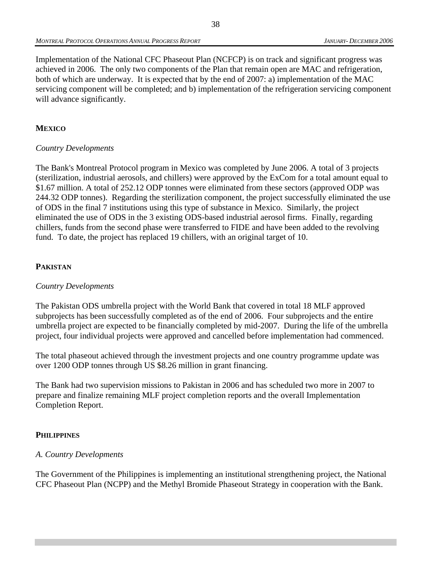Implementation of the National CFC Phaseout Plan (NCFCP) is on track and significant progress was achieved in 2006. The only two components of the Plan that remain open are MAC and refrigeration, both of which are underway. It is expected that by the end of 2007: a) implementation of the MAC servicing component will be completed; and b) implementation of the refrigeration servicing component will advance significantly.

### **MEXICO**

#### *Country Developments*

The Bank's Montreal Protocol program in Mexico was completed by June 2006. A total of 3 projects (sterilization, industrial aerosols, and chillers) were approved by the ExCom for a total amount equal to \$1.67 million. A total of 252.12 ODP tonnes were eliminated from these sectors (approved ODP was 244.32 ODP tonnes). Regarding the sterilization component, the project successfully eliminated the use of ODS in the final 7 institutions using this type of substance in Mexico. Similarly, the project eliminated the use of ODS in the 3 existing ODS-based industrial aerosol firms. Finally, regarding chillers, funds from the second phase were transferred to FIDE and have been added to the revolving fund. To date, the project has replaced 19 chillers, with an original target of 10.

#### **PAKISTAN**

#### *Country Developments*

The Pakistan ODS umbrella project with the World Bank that covered in total 18 MLF approved subprojects has been successfully completed as of the end of 2006. Four subprojects and the entire umbrella project are expected to be financially completed by mid-2007. During the life of the umbrella project, four individual projects were approved and cancelled before implementation had commenced.

The total phaseout achieved through the investment projects and one country programme update was over 1200 ODP tonnes through US \$8.26 million in grant financing.

The Bank had two supervision missions to Pakistan in 2006 and has scheduled two more in 2007 to prepare and finalize remaining MLF project completion reports and the overall Implementation Completion Report.

#### **PHILIPPINES**

#### *A. Country Developments*

The Government of the Philippines is implementing an institutional strengthening project, the National CFC Phaseout Plan (NCPP) and the Methyl Bromide Phaseout Strategy in cooperation with the Bank.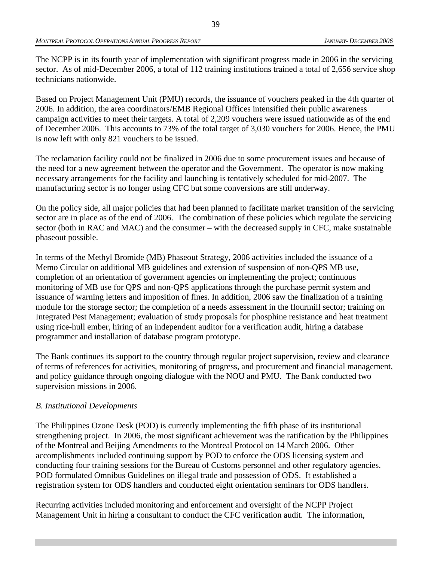The NCPP is in its fourth year of implementation with significant progress made in 2006 in the servicing sector. As of mid-December 2006, a total of 112 training institutions trained a total of 2,656 service shop technicians nationwide.

Based on Project Management Unit (PMU) records, the issuance of vouchers peaked in the 4th quarter of 2006. In addition, the area coordinators/EMB Regional Offices intensified their public awareness campaign activities to meet their targets. A total of 2,209 vouchers were issued nationwide as of the end of December 2006. This accounts to 73% of the total target of 3,030 vouchers for 2006. Hence, the PMU is now left with only 821 vouchers to be issued.

The reclamation facility could not be finalized in 2006 due to some procurement issues and because of the need for a new agreement between the operator and the Government. The operator is now making necessary arrangements for the facility and launching is tentatively scheduled for mid-2007. The manufacturing sector is no longer using CFC but some conversions are still underway.

On the policy side, all major policies that had been planned to facilitate market transition of the servicing sector are in place as of the end of 2006. The combination of these policies which regulate the servicing sector (both in RAC and MAC) and the consumer – with the decreased supply in CFC, make sustainable phaseout possible.

In terms of the Methyl Bromide (MB) Phaseout Strategy, 2006 activities included the issuance of a Memo Circular on additional MB guidelines and extension of suspension of non-QPS MB use, completion of an orientation of government agencies on implementing the project; continuous monitoring of MB use for QPS and non-QPS applications through the purchase permit system and issuance of warning letters and imposition of fines. In addition, 2006 saw the finalization of a training module for the storage sector; the completion of a needs assessment in the flourmill sector; training on Integrated Pest Management; evaluation of study proposals for phosphine resistance and heat treatment using rice-hull ember, hiring of an independent auditor for a verification audit, hiring a database programmer and installation of database program prototype.

The Bank continues its support to the country through regular project supervision, review and clearance of terms of references for activities, monitoring of progress, and procurement and financial management, and policy guidance through ongoing dialogue with the NOU and PMU. The Bank conducted two supervision missions in 2006.

#### *B. Institutional Developments*

The Philippines Ozone Desk (POD) is currently implementing the fifth phase of its institutional strengthening project. In 2006, the most significant achievement was the ratification by the Philippines of the Montreal and Beijing Amendments to the Montreal Protocol on 14 March 2006. Other accomplishments included continuing support by POD to enforce the ODS licensing system and conducting four training sessions for the Bureau of Customs personnel and other regulatory agencies. POD formulated Omnibus Guidelines on illegal trade and possession of ODS. It established a registration system for ODS handlers and conducted eight orientation seminars for ODS handlers.

Recurring activities included monitoring and enforcement and oversight of the NCPP Project Management Unit in hiring a consultant to conduct the CFC verification audit. The information,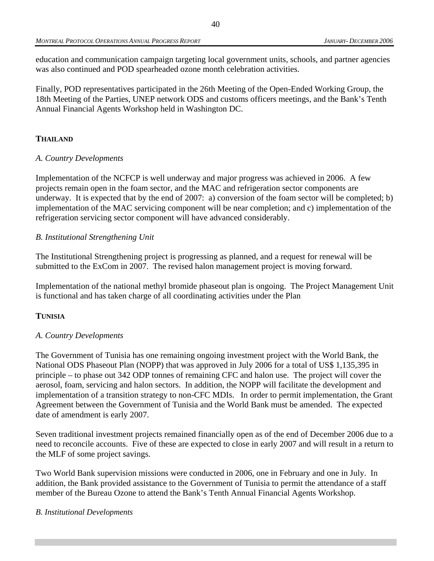education and communication campaign targeting local government units, schools, and partner agencies was also continued and POD spearheaded ozone month celebration activities.

Finally, POD representatives participated in the 26th Meeting of the Open-Ended Working Group, the 18th Meeting of the Parties, UNEP network ODS and customs officers meetings, and the Bank's Tenth Annual Financial Agents Workshop held in Washington DC.

#### **THAILAND**

#### *A. Country Developments*

Implementation of the NCFCP is well underway and major progress was achieved in 2006. A few projects remain open in the foam sector, and the MAC and refrigeration sector components are underway. It is expected that by the end of 2007: a) conversion of the foam sector will be completed; b) implementation of the MAC servicing component will be near completion; and c) implementation of the refrigeration servicing sector component will have advanced considerably.

#### *B. Institutional Strengthening Unit*

The Institutional Strengthening project is progressing as planned, and a request for renewal will be submitted to the ExCom in 2007. The revised halon management project is moving forward.

Implementation of the national methyl bromide phaseout plan is ongoing. The Project Management Unit is functional and has taken charge of all coordinating activities under the Plan

#### **TUNISIA**

#### *A. Country Developments*

The Government of Tunisia has one remaining ongoing investment project with the World Bank, the National ODS Phaseout Plan (NOPP) that was approved in July 2006 for a total of US\$ 1,135,395 in principle – to phase out 342 ODP tonnes of remaining CFC and halon use. The project will cover the aerosol, foam, servicing and halon sectors. In addition, the NOPP will facilitate the development and implementation of a transition strategy to non-CFC MDIs. In order to permit implementation, the Grant Agreement between the Government of Tunisia and the World Bank must be amended. The expected date of amendment is early 2007.

Seven traditional investment projects remained financially open as of the end of December 2006 due to a need to reconcile accounts. Five of these are expected to close in early 2007 and will result in a return to the MLF of some project savings.

Two World Bank supervision missions were conducted in 2006, one in February and one in July. In addition, the Bank provided assistance to the Government of Tunisia to permit the attendance of a staff member of the Bureau Ozone to attend the Bank's Tenth Annual Financial Agents Workshop.

#### *B. Institutional Developments*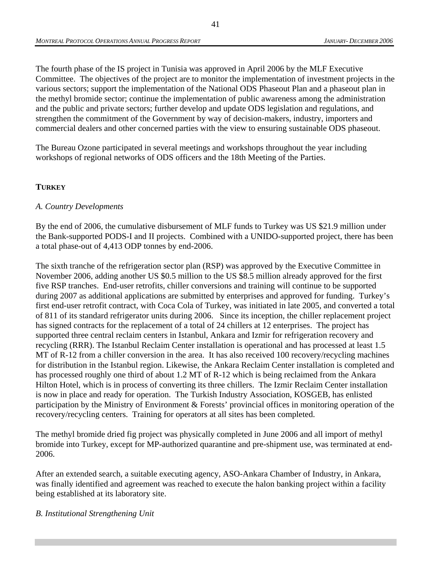The fourth phase of the IS project in Tunisia was approved in April 2006 by the MLF Executive Committee. The objectives of the project are to monitor the implementation of investment projects in the various sectors; support the implementation of the National ODS Phaseout Plan and a phaseout plan in the methyl bromide sector; continue the implementation of public awareness among the administration and the public and private sectors; further develop and update ODS legislation and regulations, and strengthen the commitment of the Government by way of decision-makers, industry, importers and commercial dealers and other concerned parties with the view to ensuring sustainable ODS phaseout.

The Bureau Ozone participated in several meetings and workshops throughout the year including workshops of regional networks of ODS officers and the 18th Meeting of the Parties.

#### **TURKEY**

#### *A. Country Developments*

By the end of 2006, the cumulative disbursement of MLF funds to Turkey was US \$21.9 million under the Bank-supported PODS-I and II projects. Combined with a UNIDO-supported project, there has been a total phase-out of 4,413 ODP tonnes by end-2006.

The sixth tranche of the refrigeration sector plan (RSP) was approved by the Executive Committee in November 2006, adding another US \$0.5 million to the US \$8.5 million already approved for the first five RSP tranches. End-user retrofits, chiller conversions and training will continue to be supported during 2007 as additional applications are submitted by enterprises and approved for funding. Turkey's first end-user retrofit contract, with Coca Cola of Turkey, was initiated in late 2005, and converted a total of 811 of its standard refrigerator units during 2006. Since its inception, the chiller replacement project has signed contracts for the replacement of a total of 24 chillers at 12 enterprises. The project has supported three central reclaim centers in Istanbul, Ankara and Izmir for refrigeration recovery and recycling (RRR). The Istanbul Reclaim Center installation is operational and has processed at least 1.5 MT of R-12 from a chiller conversion in the area. It has also received 100 recovery/recycling machines for distribution in the Istanbul region. Likewise, the Ankara Reclaim Center installation is completed and has processed roughly one third of about 1.2 MT of R-12 which is being reclaimed from the Ankara Hilton Hotel, which is in process of converting its three chillers. The Izmir Reclaim Center installation is now in place and ready for operation. The Turkish Industry Association, KOSGEB, has enlisted participation by the Ministry of Environment & Forests' provincial offices in monitoring operation of the recovery/recycling centers. Training for operators at all sites has been completed.

The methyl bromide dried fig project was physically completed in June 2006 and all import of methyl bromide into Turkey, except for MP-authorized quarantine and pre-shipment use, was terminated at end-2006.

After an extended search, a suitable executing agency, ASO-Ankara Chamber of Industry, in Ankara, was finally identified and agreement was reached to execute the halon banking project within a facility being established at its laboratory site.

#### *B. Institutional Strengthening Unit*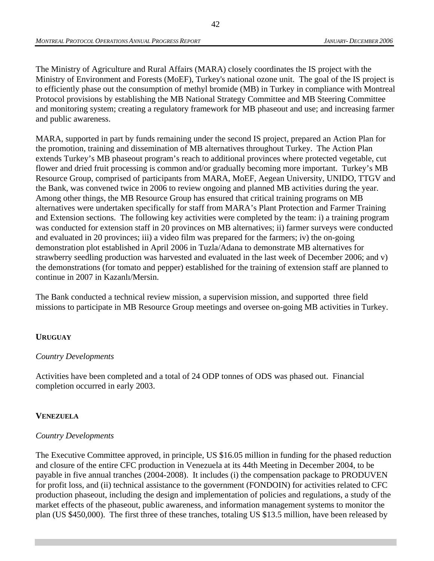The Ministry of Agriculture and Rural Affairs (MARA) closely coordinates the IS project with the Ministry of Environment and Forests (MoEF), Turkey's national ozone unit. The goal of the IS project is to efficiently phase out the consumption of methyl bromide (MB) in Turkey in compliance with Montreal Protocol provisions by establishing the MB National Strategy Committee and MB Steering Committee and monitoring system; creating a regulatory framework for MB phaseout and use; and increasing farmer and public awareness.

MARA, supported in part by funds remaining under the second IS project, prepared an Action Plan for the promotion, training and dissemination of MB alternatives throughout Turkey. The Action Plan extends Turkey's MB phaseout program's reach to additional provinces where protected vegetable, cut flower and dried fruit processing is common and/or gradually becoming more important. Turkey's MB Resource Group, comprised of participants from MARA, MoEF, Aegean University, UNIDO, TTGV and the Bank, was convened twice in 2006 to review ongoing and planned MB activities during the year. Among other things, the MB Resource Group has ensured that critical training programs on MB alternatives were undertaken specifically for staff from MARA's Plant Protection and Farmer Training and Extension sections. The following key activities were completed by the team: i) a training program was conducted for extension staff in 20 provinces on MB alternatives; ii) farmer surveys were conducted and evaluated in 20 provinces; iii) a video film was prepared for the farmers; iv) the on-going demonstration plot established in April 2006 in Tuzla/Adana to demonstrate MB alternatives for strawberry seedling production was harvested and evaluated in the last week of December 2006; and v) the demonstrations (for tomato and pepper) established for the training of extension staff are planned to continue in 2007 in Kazanlı/Mersin.

The Bank conducted a technical review mission, a supervision mission, and supported three field missions to participate in MB Resource Group meetings and oversee on-going MB activities in Turkey.

#### **URUGUAY**

#### *Country Developments*

Activities have been completed and a total of 24 ODP tonnes of ODS was phased out. Financial completion occurred in early 2003.

### **VENEZUELA**

#### *Country Developments*

The Executive Committee approved, in principle, US \$16.05 million in funding for the phased reduction and closure of the entire CFC production in Venezuela at its 44th Meeting in December 2004, to be payable in five annual tranches (2004-2008). It includes (i) the compensation package to PRODUVEN for profit loss, and (ii) technical assistance to the government (FONDOIN) for activities related to CFC production phaseout, including the design and implementation of policies and regulations, a study of the market effects of the phaseout, public awareness, and information management systems to monitor the plan (US \$450,000). The first three of these tranches, totaling US \$13.5 million, have been released by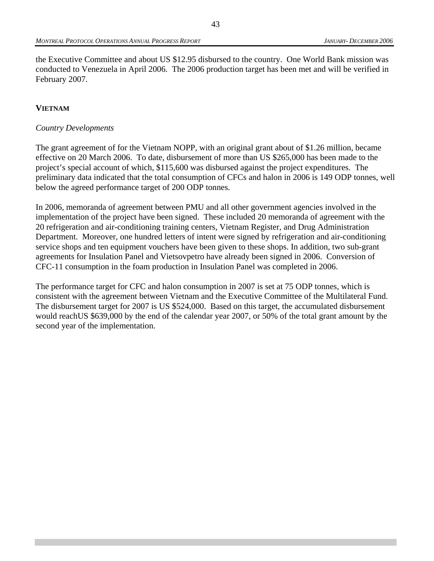the Executive Committee and about US \$12.95 disbursed to the country. One World Bank mission was conducted to Venezuela in April 2006. The 2006 production target has been met and will be verified in February 2007.

#### **VIETNAM**

#### *Country Developments*

The grant agreement of for the Vietnam NOPP, with an original grant about of \$1.26 million, became effective on 20 March 2006. To date, disbursement of more than US \$265,000 has been made to the project's special account of which, \$115,600 was disbursed against the project expenditures. The preliminary data indicated that the total consumption of CFCs and halon in 2006 is 149 ODP tonnes, well below the agreed performance target of 200 ODP tonnes.

In 2006, memoranda of agreement between PMU and all other government agencies involved in the implementation of the project have been signed. These included 20 memoranda of agreement with the 20 refrigeration and air-conditioning training centers, Vietnam Register, and Drug Administration Department. Moreover, one hundred letters of intent were signed by refrigeration and air-conditioning service shops and ten equipment vouchers have been given to these shops. In addition, two sub-grant agreements for Insulation Panel and Vietsovpetro have already been signed in 2006. Conversion of CFC-11 consumption in the foam production in Insulation Panel was completed in 2006.

The performance target for CFC and halon consumption in 2007 is set at 75 ODP tonnes, which is consistent with the agreement between Vietnam and the Executive Committee of the Multilateral Fund. The disbursement target for 2007 is US \$524,000. Based on this target, the accumulated disbursement would reachUS \$639,000 by the end of the calendar year 2007, or 50% of the total grant amount by the second year of the implementation.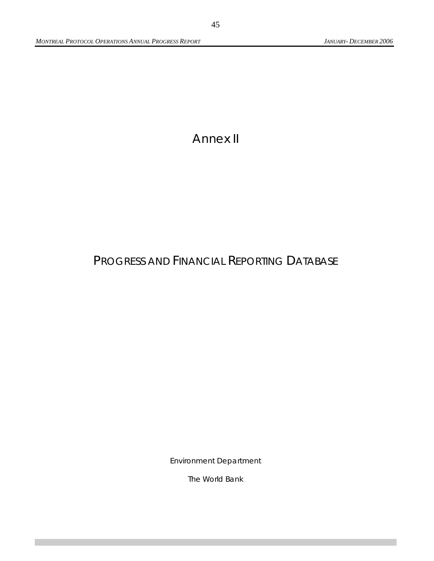# Annex II

# PROGRESS AND FINANCIAL REPORTING DATABASE

Environment Department

The World Bank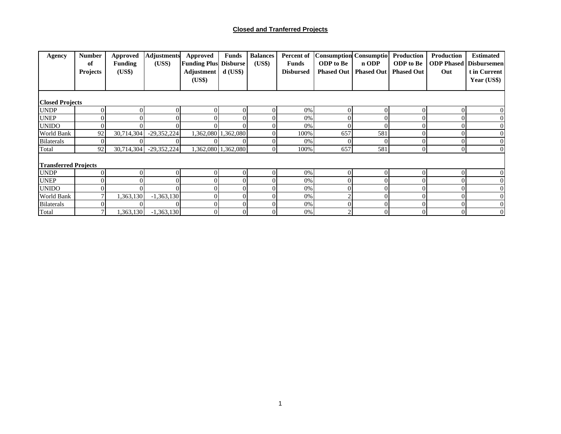#### **Closed and Tranferred Projects**

| Agency                      | <b>Number</b><br>of<br><b>Projects</b> | <b>Approved</b><br><b>Funding</b><br>(US\$) | <b>Adjustments</b><br>(USS) | <b>Approved</b><br><b>Funding Plus Disburse</b><br>Adjustment | <b>Funds</b><br>$d$ (US\$) | <b>Balances</b><br>(US\$) | Percent of<br><b>Funds</b><br><b>Disbursed</b> | <b>Consumption Consumptio</b><br><b>ODP</b> to Be<br><b>Phased Out</b> | n ODP<br><b>Phased Out</b> | Production<br><b>ODP</b> to Be<br><b>Phased Out</b> | Production<br>Out | <b>Estimated</b><br><b>ODP Phased   Disbursemen</b><br>t in Current |
|-----------------------------|----------------------------------------|---------------------------------------------|-----------------------------|---------------------------------------------------------------|----------------------------|---------------------------|------------------------------------------------|------------------------------------------------------------------------|----------------------------|-----------------------------------------------------|-------------------|---------------------------------------------------------------------|
|                             |                                        |                                             |                             | (US\$)                                                        |                            |                           |                                                |                                                                        |                            |                                                     |                   | Year $(US$)$                                                        |
| <b>Closed Projects</b>      |                                        |                                             |                             |                                                               |                            |                           |                                                |                                                                        |                            |                                                     |                   |                                                                     |
| <b>UNDP</b>                 | ОI                                     | $\Omega$                                    | 01                          | $\Omega$                                                      |                            |                           | 0%                                             |                                                                        |                            |                                                     | $\Omega$          |                                                                     |
| <b>UNEP</b>                 |                                        | $\overline{0}$                              |                             |                                                               |                            |                           | 0%                                             |                                                                        |                            |                                                     | 0                 |                                                                     |
| <b>UNIDO</b>                | ΟI                                     | $\Omega$                                    | ΟI                          | Ol                                                            |                            |                           | 0%                                             |                                                                        |                            |                                                     | $\Omega$          | $\theta$                                                            |
| World Bank                  | 92                                     | 30,714,304                                  | $-29,352,224$               |                                                               | 1,362,080 1,362,080        |                           | 100%                                           | 657                                                                    | 581                        |                                                     | $\Omega$          |                                                                     |
| <b>Bilaterals</b>           | ΩI                                     | $\Omega$                                    |                             |                                                               |                            |                           | 0%                                             |                                                                        |                            |                                                     | $\Omega$          | $\Omega$                                                            |
| Total                       | 92                                     | 30,714,304                                  | $-29,352,224$               |                                                               | 1,362,080 1,362,080        | $\Omega$                  | 100%                                           | 657                                                                    | 581                        | $\Omega$                                            | $\overline{0}$    | $\Omega$                                                            |
| <b>Transferred Projects</b> |                                        |                                             |                             |                                                               |                            |                           |                                                |                                                                        |                            |                                                     |                   |                                                                     |
| <b>UNDP</b>                 | ΩI                                     | $\Omega$                                    | ΩI                          | 01                                                            |                            |                           | 0%                                             |                                                                        |                            |                                                     | $\Omega$          |                                                                     |
| <b>UNEP</b>                 |                                        |                                             |                             |                                                               |                            |                           | 0%                                             |                                                                        |                            |                                                     | $\overline{0}$    |                                                                     |
| <b>UNIDO</b>                |                                        | $\Omega$                                    |                             |                                                               |                            |                           | 0%                                             |                                                                        |                            |                                                     | 0                 | $\Omega$                                                            |
| World Bank                  |                                        | 1,363,130                                   | $-1,363,130$                | $\overline{0}$                                                | 0                          |                           | 0%                                             |                                                                        |                            |                                                     | $\Omega$          | $\overline{0}$                                                      |
| <b>Bilaterals</b>           | ΩI                                     | $\overline{0}$                              | $\Omega$                    | $\overline{0}$                                                | 0                          |                           | 0%                                             |                                                                        |                            |                                                     | $\Omega$          | $\overline{0}$                                                      |
| Total                       | 7 <sup>1</sup>                         | 1,363,130                                   | $-1,363,130$                | $\overline{0}$                                                | $\overline{0}$             | $\overline{0}$            | 0%                                             |                                                                        | $\overline{0}$             | $\overline{0}$                                      | $\overline{0}$    | $\overline{0}$                                                      |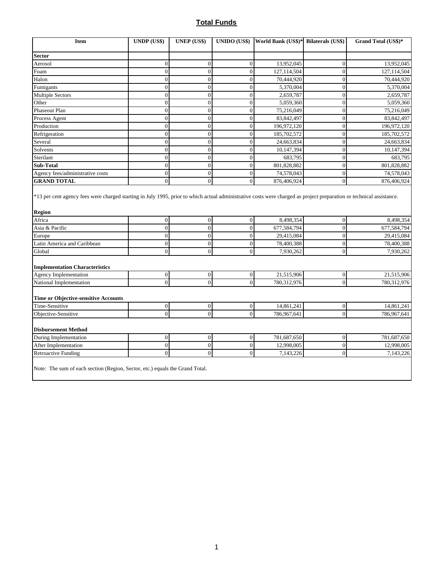### **Total Funds**

| <b>Item</b>                                                                  | UNDP (US\$)      | <b>UNEP</b> (US\$) | UNIDO (US\$)     | World Bank (US\$)* Bilaterals (US\$) |                  | Grand Total (US\$)* |
|------------------------------------------------------------------------------|------------------|--------------------|------------------|--------------------------------------|------------------|---------------------|
| <b>Sector</b>                                                                |                  |                    |                  |                                      |                  |                     |
| Aerosol                                                                      | $\boldsymbol{0}$ | $\mathbf{0}$       | $\overline{0}$   | 13,952,045                           | $\boldsymbol{0}$ | 13,952,045          |
| Foam                                                                         | $\overline{0}$   | $\mathbf{0}$       | $\overline{0}$   | 127,114,504                          | $\overline{0}$   | 127,114,504         |
| Halon                                                                        | $\mathbf{0}$     | $\Omega$           | $\mathbf{0}$     | 70,444,920                           | $\boldsymbol{0}$ | 70,444,920          |
| Fumigants                                                                    | $\boldsymbol{0}$ | $\mathbf{0}$       | $\overline{0}$   | 5,370,004                            | $\boldsymbol{0}$ | 5,370,004           |
| Multiple Sectors                                                             | $\mathbf{0}$     | $\Omega$           | $\overline{0}$   | 2,659,787                            | $\mathbf{0}$     | 2,659,787           |
| Other                                                                        | $\boldsymbol{0}$ | $\mathbf{0}$       | $\overline{0}$   | $\overline{5,059,360}$               | $\boldsymbol{0}$ | 5,059,360           |
| Phaseout Plan                                                                | $\mathbf{0}$     | $\Omega$           | $\overline{0}$   | 75,216,049                           | $\overline{0}$   | 75,216,049          |
| Process Agent                                                                | $\boldsymbol{0}$ | $\mathbf{0}$       | $\mathbf{0}$     | 83, 842, 497                         | $\boldsymbol{0}$ | 83, 842, 497        |
| Production                                                                   | $\mathbf{0}$     | $\theta$           | $\overline{0}$   | 196,972,120                          | $\mathbf{0}$     | 196,972,120         |
| Refrigeration                                                                | $\overline{0}$   | $\mathbf{0}$       | $\theta$         | 185,702,572                          | $\mathbf{0}$     | 185,702,572         |
| Several                                                                      | $\mathbf{0}$     | $\mathbf{0}$       | $\overline{0}$   | 24,663,834                           | $\mathbf{0}$     | 24,663,834          |
| Solvents                                                                     | $\overline{0}$   | $\mathbf{0}$       | $\overline{0}$   | 10,147,394                           | $\overline{0}$   | 10,147,394          |
| Sterilant                                                                    | $\boldsymbol{0}$ | $\mathbf{0}$       | $\overline{0}$   | 683,795                              | $\overline{0}$   | 683,795             |
| Sub-Total                                                                    | $\mathbf{0}$     | $\mathbf{0}$       | $\overline{0}$   | 801,828,882                          | $\overline{0}$   | 801,828,882         |
| Agency fees/administrative costs                                             | $\mathbf{0}$     | $\mathbf{0}$       | $\boldsymbol{0}$ | 74,578,043                           | $\boldsymbol{0}$ | 74,578,043          |
| <b>GRAND TOTAL</b>                                                           | $\overline{0}$   | $\mathbf{0}$       | $\overline{0}$   | 876,406,924                          | $\overline{0}$   | 876,406,924         |
| <b>Region</b><br>Africa                                                      | $\mathbf{0}$     | $\mathbf{0}$       | $\overline{0}$   | 8,498,354                            | $\mathbf{0}$     | 8,498,354           |
| Asia & Pacific                                                               | $\boldsymbol{0}$ | $\boldsymbol{0}$   | $\overline{0}$   | 677,584,794                          | $\boldsymbol{0}$ | 677,584,794         |
| Europe                                                                       | $\mathbf{0}$     | $\theta$           | $\overline{0}$   | 29,415,084                           | $\overline{0}$   | 29,415,084          |
| Latin America and Caribbean                                                  | $\overline{0}$   | $\mathbf{0}$       | $\overline{0}$   | 78,400,388                           | $\mathbf{0}$     | 78,400,388          |
| Global                                                                       | $\overline{0}$   | $\mathbf{0}$       | $\theta$         | 7,930,262                            | $\overline{0}$   | 7,930,262           |
| <b>Implementation Characteristics</b>                                        |                  |                    |                  |                                      |                  |                     |
| Agency Implementation                                                        | $\boldsymbol{0}$ | $\boldsymbol{0}$   | $\boldsymbol{0}$ | 21,515,906                           | $\boldsymbol{0}$ | 21,515,906          |
| National Implementation                                                      | $\theta$         | $\Omega$           | $\Omega$         | 780,312,976                          | $\Omega$         | 780,312,976         |
| <b>Time or Objective-sensitive Accounts</b>                                  |                  |                    |                  |                                      |                  |                     |
| Time-Sensitive                                                               | $\boldsymbol{0}$ | $\mathbf{0}$       | $\boldsymbol{0}$ | 14,861,241                           | $\boldsymbol{0}$ | 14,861,241          |
| Objective-Sensitive                                                          | $\overline{0}$   | $\theta$           | $\overline{0}$   | 786,967,641                          | $\overline{0}$   | 786,967,641         |
| <b>Disbursement Method</b>                                                   |                  |                    |                  |                                      |                  |                     |
| During Implementation                                                        | $\boldsymbol{0}$ | $\boldsymbol{0}$   | $\boldsymbol{0}$ | 781,687,650                          | $\boldsymbol{0}$ | 781,687,650         |
| After Implementation                                                         | $\overline{0}$   | $\mathbf{0}$       | $\overline{0}$   | 12,998,005                           | $\overline{0}$   | 12,998,005          |
| Retroactive Funding                                                          | $\mathbf{0}$     | $\Omega$           | $\theta$         | 7,143,226                            | $\overline{0}$   | 7,143,226           |
| Note: The sum of each section (Region, Sector, etc.) equals the Grand Total. |                  |                    |                  |                                      |                  |                     |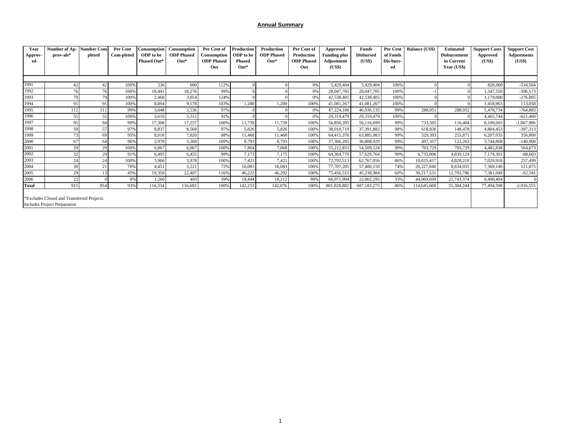#### **Annual Summary**

| Year<br>Approv-<br>ed | Number of Ap-<br>prov-als*                                                | <b>Number Com-</b><br>pleted | Per Cent<br>Com-pleted | <b>Consumption</b><br>ODP to be<br>Phased Out* | Consumption<br><b>ODP</b> Phased<br>$Out*$ | Per Cent of<br><b>Consumption</b><br><b>ODP</b> Phased<br>Out | Production<br>ODP to be<br><b>Phased</b><br>$Out*$ | Production<br><b>ODP</b> Phased<br>$Out*$ | Per Cent of<br>Production<br><b>ODP</b> Phased<br>Out | Approved<br><b>Funding plus</b><br>Adjustment<br>(US\$) | <b>Funds</b><br><b>Disbursed</b><br>(US\$) | Per Cent<br>of Funds<br>Dis-burs-<br>ed | <b>Balance (US\$)</b> | <b>Estimated</b><br><b>Disbursement</b><br>in Current<br>Year (US\$) | <b>Support Costs</b><br><b>Approved</b><br>(US\$) | <b>Support Cost</b><br><b>Adjustments</b><br>(US\$) |
|-----------------------|---------------------------------------------------------------------------|------------------------------|------------------------|------------------------------------------------|--------------------------------------------|---------------------------------------------------------------|----------------------------------------------------|-------------------------------------------|-------------------------------------------------------|---------------------------------------------------------|--------------------------------------------|-----------------------------------------|-----------------------|----------------------------------------------------------------------|---------------------------------------------------|-----------------------------------------------------|
|                       |                                                                           |                              |                        |                                                |                                            |                                                               |                                                    |                                           |                                                       |                                                         |                                            |                                         |                       |                                                                      |                                                   |                                                     |
| 1991                  |                                                                           | 42                           | 100%                   | 536                                            | 600                                        | 112%                                                          |                                                    |                                           | 0%                                                    | 5,429,404                                               | 5,429,404                                  | 100%                                    |                       |                                                                      | 820,000                                           | $-534,564$                                          |
| 1992                  | 76                                                                        | 761                          | 100%                   | 18,441                                         | 18,276                                     | 99%                                                           |                                                    |                                           | 0%                                                    | 28,047,705                                              | 28,047,705                                 | 100%                                    |                       |                                                                      | 1,347,550                                         | $-396,573$                                          |
| 1993                  | 79                                                                        | 79                           | 100%                   | 2,468                                          | 3,054                                      | 124%                                                          | $\Omega$                                           |                                           | 0%                                                    | 42,538,405                                              | 42,538,405                                 | 100%                                    |                       |                                                                      | 1,179,000                                         | $-276,805$                                          |
| 1994                  | 91                                                                        | 91                           | 100%                   | 8.894                                          | 9,178                                      | 103%                                                          | 1.200                                              | 1.200                                     | 100%                                                  | 41,081,267                                              | 41,081,267                                 | 100%                                    |                       |                                                                      | 1,418,963                                         | 113,858                                             |
| 1995                  | 112                                                                       | 111                          | 99%                    | 3.648                                          | 3,536                                      | 97%                                                           |                                                    |                                           | 0%                                                    | 47,224,186                                              | 46,936,135                                 | 99%                                     | 288,051               | 288,052                                                              | 5,478,734                                         | $-764,883$                                          |
| 1996                  | 55                                                                        | 55                           | 100%                   | 3.610                                          | 3,312                                      | 92%                                                           |                                                    |                                           | 0%                                                    | 29,319,479                                              | 29,319,479                                 | 100%                                    |                       |                                                                      | 4,465,744                                         | $-621,460$                                          |
| 1997                  | 95                                                                        | 94                           | 99%                    | 17,308                                         | 17,257                                     | 100%                                                          | 11,739                                             | 11,739                                    | 100%                                                  | 56,850,205                                              | 56,116,699                                 | 99%                                     | 733,505               | 116,404                                                              | 8,100,603                                         | $-1,067,986$                                        |
| 1998                  | 59                                                                        | 57                           | 97%                    | 8,837                                          | 8,568                                      | 97%                                                           | 5,826                                              | 5,826                                     | 100%                                                  | 38,010,719                                              | 37.391.882                                 | 98%                                     | 618,836               | 148,478                                                              | 4,804,453                                         | $-397,313$                                          |
| 1999                  | 73                                                                        | 69                           | 95%                    | 8,016                                          | 7,020                                      | 88%                                                           | 11.468                                             | 11,468                                    | 100%                                                  | 64,415,376                                              | 63,885,983                                 | 99%                                     | 529,393               | 255,871                                                              | 6,207,035                                         | 356,809                                             |
| 2000                  | 67                                                                        | 64                           | 96%                    | 2,978                                          | 3,260                                      | 109%                                                          | 8,793                                              | 8,793                                     | 100%                                                  | 37,306,285                                              | 36,808,929                                 | 99%                                     | 497.357               | 122,263                                                              | 3,744,868                                         | $-140,900$                                          |
| 2001                  | 29                                                                        | 29                           | 100%                   | 6.067                                          | 6,067                                      | 100%                                                          | 7,864                                              | 7,868                                     | 100%                                                  | 55,212,853                                              | 54,509,124                                 | 99%                                     | 703.729               | 703,729                                                              | 4,482,838                                         | 564,673                                             |
| 2002                  | 32                                                                        | 29                           | 91%                    | 6.495                                          | 6,455                                      | 99%                                                           | 7,173                                              | 7,175                                     | 100%                                                  | 64,364,770                                              | 57,629,764                                 | 90%                                     | 6,735,006             | 4,839,124                                                            | 7,174,301                                         | $-68,603$                                           |
| 2003                  | 24                                                                        | 24                           | 100%                   | 3.966                                          | 3,978                                      | 100%                                                          | 7,421                                              | 7,421                                     | 100%                                                  | 72,792,513                                              | 62,767,056                                 | 86%                                     | 10,025,457            | 4,828,218                                                            | 7,029,910                                         | 257,499                                             |
| 2004                  | 30                                                                        | 21                           | 70%                    | 4,451                                          | 3,221                                      | 72%                                                           | 16,083                                             | 16,083                                    | 100%                                                  | 77,707,205                                              | 57,480,159                                 | 74%                                     | 20,227,046            | 8.634.935                                                            | 7,369,146                                         | 121,875                                             |
| 2005                  | 29                                                                        | 13                           | 45%                    | 19,359                                         | 22,407                                     | 116%                                                          | 46,223                                             | 46,292                                    | 100%                                                  | 75,456,515                                              | 45,238,984                                 | 60%                                     | 30,217,531            | 12,703,796                                                           | 7,381,049                                         | $-62,181$                                           |
| 2006                  | 22                                                                        |                              | 0%                     | 1,260                                          | 493                                        | 39%                                                           | 18,444                                             | 18,212                                    | 99%                                                   | 66,071,994                                              | 22,002,295                                 | 33%                                     | 44,069,699            | 22,743,374                                                           | 6,490,404                                         | $\theta$                                            |
| <b>Total</b>          | 915                                                                       | 854                          | 93%                    | 116,334                                        | 116,682                                    | 100%                                                          | 142,233                                            | 142,076                                   | 100%                                                  | 801,828,882                                             | 687,183,273                                | 86%                                     | 114,645,608           | 55,384,244                                                           | 77,494,598                                        | $-2,916,555$                                        |
|                       | *Excludes Closed and Transferred Projects<br>Includes Project Preparation |                              |                        |                                                |                                            |                                                               |                                                    |                                           |                                                       |                                                         |                                            |                                         |                       |                                                                      |                                                   |                                                     |

Includes Project Preparation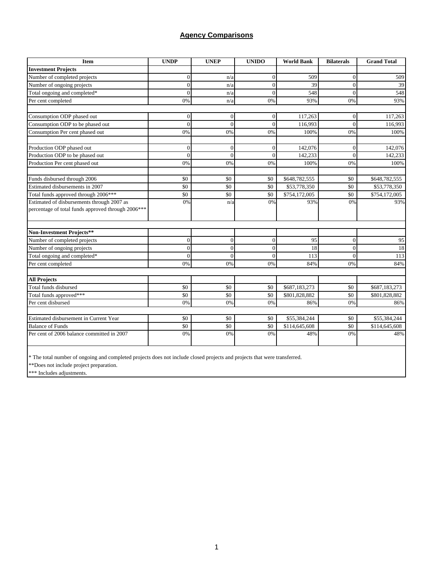### **Agency Comparisons**

| <b>Item</b>                                        | <b>UNDP</b> | <b>UNEP</b>  | <b>UNIDO</b>   | <b>World Bank</b> | <b>Bilaterals</b> | <b>Grand Total</b> |
|----------------------------------------------------|-------------|--------------|----------------|-------------------|-------------------|--------------------|
| <b>Investment Projects</b>                         |             |              |                |                   |                   |                    |
| Number of completed projects                       | $\Omega$    | n/a          | $\theta$       | 509               | $\Omega$          | 509                |
| Number of ongoing projects                         | $\Omega$    | n/a          | $\overline{0}$ | 39                | $\overline{0}$    | 39                 |
| Total ongoing and completed*                       | $\Omega$    | n/a          | $\theta$       | 548               | $\Omega$          | 548                |
| Per cent completed                                 | 0%          | n/a          | 0%             | 93%               | 0%                | 93%                |
| Consumption ODP phased out                         | $\Omega$    | $\mathbf{0}$ | $\overline{0}$ | 117,263           | $\overline{0}$    | 117,263            |
| Consumption ODP to be phased out                   | $\theta$    | $\Omega$     | $\overline{0}$ | 116,993           | $\theta$          | 116,993            |
| Consumption Per cent phased out                    | 0%          | 0%           | 0%             | 100%              | 0%                | 100%               |
| Production ODP phased out                          | $\Omega$    | $\theta$     | $\overline{0}$ | 142,076           | $\overline{0}$    | 142,076            |
| Production ODP to be phased out                    | $\theta$    | $\theta$     | $\overline{0}$ | 142,233           | $\theta$          | 142,233            |
| Production Per cent phased out                     | 0%          | 0%           | 0%             | 100%              | 0%                | 100%               |
| Funds disbursed through 2006                       | \$0         | \$0          | \$0            | \$648,782,555     | \$0               | \$648,782,555      |
| Estimated disbursements in 2007                    | \$0         | \$0          | \$0            | \$53,778,350      | \$0               | \$53,778,350       |
| Total funds approved through 2006***               | \$0         | \$0          | \$0            | \$754,172,005     | \$0               | \$754,172,005      |
| Estimated of disbursements through 2007 as         | 0%          | n/a          | 0%             | 93%               | 0%                | 93%                |
| percentage of total funds approved through 2006*** |             |              |                |                   |                   |                    |
| Non-Investment Projects**                          |             |              |                |                   |                   |                    |
| Number of completed projects                       | $\Omega$    | $\mathbf{0}$ | $\overline{0}$ | 95                | $\overline{0}$    | 95                 |
| Number of ongoing projects                         | $\Omega$    | $\theta$     | $\overline{0}$ | 18                | $\overline{0}$    | 18                 |
| Total ongoing and completed*                       | $\Omega$    | $\theta$     | $\theta$       | 113               | $\theta$          | 113                |
| Per cent completed                                 | 0%          | 0%           | 0%             | 84%               | 0%                | 84%                |
| <b>All Projects</b>                                |             |              |                |                   |                   |                    |
| Total funds disbursed                              | \$0         | \$0          | \$0            | \$687,183,273     | \$0               | \$687,183,273      |
| Total funds approved***                            | \$0         | \$0          | \$0            | \$801,828,882     | \$0               | \$801,828,882      |
| Per cent disbursed                                 | 0%          | 0%           | 0%             | 86%               | 0%                | 86%                |
| Estimated disbursement in Current Year             | \$0         | \$0          | \$0            | \$55,384,244      | \$0               | \$55,384,244       |
| <b>Balance</b> of Funds                            | \$0         | \$0          | \$0            | \$114,645,608     | \$0               | \$114,645,608      |
| Per cent of 2006 balance committed in 2007         | 0%          | 0%           | 0%             | 48%               | 0%                | 48%                |
|                                                    |             |              |                |                   |                   |                    |

\* The total number of ongoing and completed projects does not include closed projects and projects that were transferred.

\*\*Does not include project preparation.

\*\*\* Includes adjustments.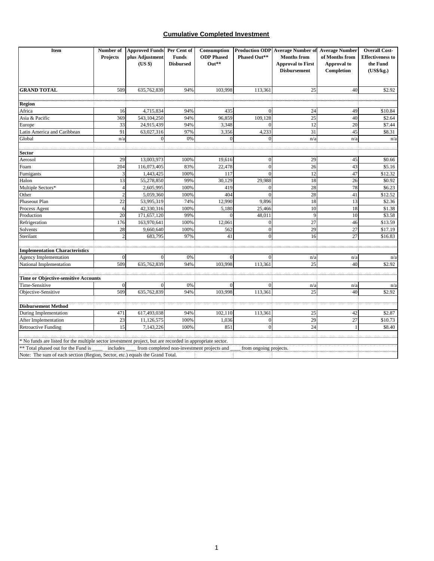#### **Cumulative Completed Investment**

| Item                                                                                                      | Number of      | <b>Approved Funds</b> Per Cent of |                  | Consumption                                |                        | <b>Production ODP</b> Average Number of Average Number |                | <b>Overall Cost-</b>    |
|-----------------------------------------------------------------------------------------------------------|----------------|-----------------------------------|------------------|--------------------------------------------|------------------------|--------------------------------------------------------|----------------|-------------------------|
|                                                                                                           | Projects       | plus Adjustment                   | <b>Funds</b>     | <b>ODP</b> Phased                          | Phased Out**           | <b>Months from</b>                                     | of Months from | <b>Effectiveness to</b> |
|                                                                                                           |                | (US \$)                           | <b>Disbursed</b> | $Out**$                                    |                        | <b>Approval to First</b>                               | Approval to    | the Fund                |
|                                                                                                           |                |                                   |                  |                                            |                        | <b>Disbursement</b>                                    | Completion     | (US\$/kg.)              |
|                                                                                                           |                |                                   |                  |                                            |                        |                                                        |                |                         |
| <b>GRAND TOTAL</b>                                                                                        | 509            | 635,762,839                       | 94%              | 103,998                                    | 113,361                | 25                                                     | 40             | \$2.92                  |
|                                                                                                           |                |                                   |                  |                                            |                        |                                                        |                |                         |
| <b>Region</b><br>Africa                                                                                   | 16             | 4,715,834                         | 94%              | 435                                        | $\mathbf{0}$           | 24                                                     | 49             | \$10.84                 |
|                                                                                                           | 369            |                                   | 94%              |                                            | 109,128                | 25                                                     | 40             |                         |
| Asia & Pacific                                                                                            | 33             | 543,104,250<br>24,915,439         | 94%              | 96,859<br>3,348                            | $\Omega$               | $\overline{12}$                                        | 20             | \$2.64<br>\$7.44        |
| Europe<br>Latin America and Caribbean                                                                     | 91             |                                   | 97%              |                                            | 4,233                  | 31                                                     | 45             | \$8.31                  |
|                                                                                                           |                | 63,027,316                        | 0%               | 3,356                                      | $\theta$               |                                                        |                |                         |
| Global                                                                                                    | n/a            | $\mathbf{0}$                      |                  |                                            |                        | n/a                                                    | n/a            | n/a                     |
| <b>Sector</b>                                                                                             |                |                                   |                  |                                            |                        |                                                        |                |                         |
| Aerosol                                                                                                   | 29             | 13,003,973                        | 100%             | 19,616                                     | $\mathbf{0}$           | 29                                                     | 45             | \$0.66                  |
| Foam                                                                                                      | 204            | 116,073,405                       | 83%              | 22,478                                     | $\theta$               | 26                                                     | 43             | \$5.16                  |
| Fumigants                                                                                                 | 3              | 1,443,425                         | 100%             | 117                                        | $\mathbf{0}$           | 12                                                     | 47             | \$12.32                 |
| Halon                                                                                                     | 13             | 55,278,850                        | 99%              | 30,129                                     | 29,988                 | 18                                                     | 26             | \$0.92                  |
| Multiple Sectors*                                                                                         | $\overline{4}$ | 2,605,995                         | 100%             | 419                                        | $\Omega$               | 28                                                     | 78             | \$6.23                  |
| Other                                                                                                     | $\overline{c}$ | 5,059,360                         | 100%             | 404                                        | $\Omega$               | 28                                                     | 41             | \$12.52                 |
| Phaseout Plan                                                                                             | 22             | 53,995,319                        | 74%              | 12,990                                     | 9,896                  | 18                                                     | 13             | \$2.36                  |
| Process Agent                                                                                             | 6              | 42,330,316                        | 100%             | 5,180                                      | 25,466                 | 10                                                     | 18             | \$1.38                  |
| Production                                                                                                | 20             | 171,657,120                       | 99%              | $\Omega$                                   | 48,011                 | 9                                                      | 10             | \$3.58                  |
| Refrigeration                                                                                             | 176            | 163,970,641                       | 100%             | 12,061                                     | $\mathbf{0}$           | $\overline{27}$                                        | 46             | \$13.59                 |
| Solvents                                                                                                  | 28             | 9,660,640                         | 100%             | 562                                        | $\theta$               | 29                                                     | 27             | \$17.19                 |
| Sterilant                                                                                                 | $\overline{c}$ | 683,795                           | 97%              | 41                                         | $\theta$               | 16                                                     | 27             | \$16.83                 |
|                                                                                                           |                |                                   |                  |                                            |                        |                                                        |                |                         |
| <b>Implementation Characteristics</b>                                                                     |                |                                   |                  |                                            |                        |                                                        |                |                         |
| Agency Implementation                                                                                     | $\overline{0}$ | $\theta$                          | 0%               | $\Omega$                                   | $\mathbf{0}$           | n/a                                                    | n/a            | n/a                     |
| National Implementation                                                                                   | 509            | 635,762,839                       | 94%              | 103,998                                    | 113,361                | 25                                                     | 40             | \$2.92                  |
| Time or Objective-sensitive Accounts                                                                      |                |                                   |                  |                                            |                        |                                                        |                |                         |
| Time-Sensitive                                                                                            | $\overline{0}$ | $\Omega$                          | 0%               | $\Omega$                                   | $\Omega$               | n/a                                                    | n/a            | n/a                     |
| Objective-Sensitive                                                                                       | 509            | 635,762,839                       | 94%              | 103,998                                    | 113,361                | 25                                                     | 40             | \$2.92                  |
| <b>Disbursement Method</b>                                                                                |                |                                   |                  |                                            |                        |                                                        |                |                         |
| During Implementation                                                                                     | 471            | 617,493,038                       | 94%              | 102,110                                    | 113,361                | 25                                                     | 42             | \$2.87                  |
| After Implementation                                                                                      | 23             | 11,126,575                        | 100%             | 1,036                                      | $\overline{0}$         | 29                                                     | 27             | \$10.73                 |
| <b>Retroactive Funding</b>                                                                                | 15             | 7,143,226                         | 100%             | 851                                        | $\mathbf{0}$           | 24                                                     | $\mathbf{1}$   | \$8.40                  |
|                                                                                                           |                |                                   |                  |                                            |                        |                                                        |                |                         |
| * No funds are listed for the multiple sector investment project, but are recorded in appropriate sector. |                |                                   |                  |                                            |                        |                                                        |                |                         |
| ** Total phased out for the Fund is                                                                       | includes       |                                   |                  | from completed non-investment projects and | from ongoing projects. |                                                        |                |                         |
| Note: The sum of each section (Region, Sector, etc.) equals the Grand Total.                              |                |                                   |                  |                                            |                        |                                                        |                |                         |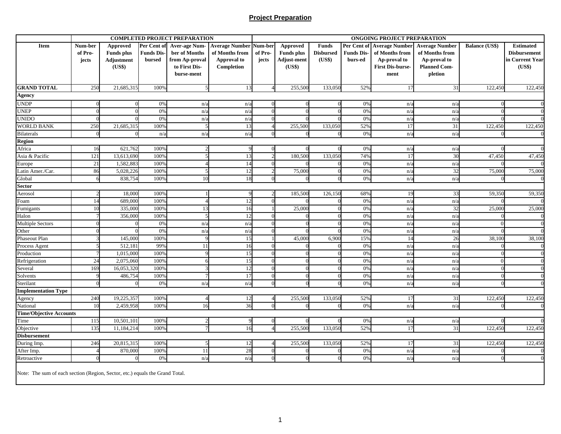#### **Project Preparation**

|                                |          |                   |                  | <b>COMPLETED PROJECT PREPARATION</b> |                       |          |                    |                  |                   | <b>ONGOING PROJECT PREPARATION</b> |                       |                       |                     |
|--------------------------------|----------|-------------------|------------------|--------------------------------------|-----------------------|----------|--------------------|------------------|-------------------|------------------------------------|-----------------------|-----------------------|---------------------|
| Item                           | Num-ber  | Approved          | Per Cent of      | <b>Aver-age Num-</b>                 | <b>Average Number</b> | Num-ber  | Approved           | <b>Funds</b>     | Per Cent of       | <b>Average Number</b>              | <b>Average Number</b> | <b>Balance (US\$)</b> | <b>Estimated</b>    |
|                                | of Pro-  | <b>Funds</b> plus | <b>Funds Dis</b> | ber of Months                        | of Months from        | of Pro-  | <b>Funds</b> plus  | <b>Disbursed</b> | <b>Funds Dis-</b> | of Months from                     | of Months from        |                       | <b>Disbursement</b> |
|                                | jects    | Adjustment        | bursed           | from Ap-proval                       | Approval to           | jects    | <b>Adjust-ment</b> | (US\$)           | burs-ed           | Ap-proval to                       | Ap-proval to          |                       | in Current Year     |
|                                |          | (US\$)            |                  | to First Dis-                        | Completion            |          | (US\$)             |                  |                   | <b>First Dis-burse-</b>            | <b>Planned Com-</b>   |                       | (US\$)              |
|                                |          |                   |                  | burse-ment                           |                       |          |                    |                  |                   | ment                               | pletion               |                       |                     |
|                                |          |                   |                  |                                      |                       |          |                    |                  |                   |                                    |                       |                       |                     |
| <b>GRAND TOTAL</b>             | 250      | 21,685,315        | 100%             | $\overline{5}$                       | 13                    |          | 255,500            | 133,050          | 52%               | 17                                 | 31                    | 122,450               | 122,450             |
| <b>Agency</b>                  |          |                   |                  |                                      |                       |          |                    |                  |                   |                                    |                       |                       |                     |
| <b>UNDP</b>                    |          |                   | 0%               | n/a                                  | n/a                   |          |                    |                  | 0%                | $n/\varepsilon$                    | n/a                   |                       |                     |
| <b>UNEP</b>                    |          |                   | 0%               | n/a                                  | n/a                   |          |                    |                  | 0%                | $n/\varepsilon$                    | n/a                   |                       |                     |
| <b>UNIDO</b>                   |          |                   | 0%               | n/a                                  | n/a                   |          |                    |                  | 0%                | n/i                                | n/a                   |                       |                     |
| <b>WORLD BANK</b>              | 250      | 21,685,315        | 100%             | $\overline{\phantom{1}}$             | 13                    |          | 255,500            | 133,050          | 52%               | 17                                 | 31                    | 122,450               | 122,450             |
| <b>Bilaterals</b>              | $\Omega$ |                   | n/a              | n/a                                  | n/a                   |          |                    |                  | 0%                | $n/\varepsilon$                    | n/a                   |                       | $\Omega$            |
| Region                         |          |                   |                  |                                      |                       |          |                    |                  |                   |                                    |                       |                       |                     |
| Africa                         | 16       | 621,762           | 100%             |                                      |                       |          |                    |                  | 0%                | n/a                                | n/a                   |                       | $\Omega$            |
| Asia & Pacific                 | 121      | 13,613,690        | 100%             |                                      | 13                    |          | 180,500            | 133,050          | 74%               | 17                                 | 30                    | 47,450                | 47,450              |
| Europe                         | 21       | 1,582,883         | 100%             |                                      | 14                    |          |                    |                  | 0%                | $n/\varepsilon$                    | n/a                   |                       |                     |
| Latin Amer./Car.               | 86       | 5,028,226         | 100%             |                                      | 12                    |          | 75,000             |                  | 0%                | n/a                                | 32                    | 75,000                | 75,000              |
| Global                         | 6        | 838,754           | 100%             | 10                                   | 18                    | 0        |                    |                  | 0%                | n/a                                | n/a                   |                       | $\Omega$            |
| <b>Sector</b>                  |          |                   |                  |                                      |                       |          |                    |                  |                   |                                    |                       |                       |                     |
| Aerosol                        |          | 18,00             | 100%             |                                      |                       |          | 185,500            | 126,150          | 68%               | 19                                 | 33                    | 59,350                | 59,350              |
| $\operatorname{Foam}$          | 14       | 689,00            | 1009             |                                      | 12                    |          |                    |                  | 0%                | $n/\varepsilon$                    | n/a                   |                       |                     |
| Fumigants                      | 10       | 335,00            | 100%             | 13                                   | 16                    |          | 25,000             |                  | 0%                | n                                  | 32                    | 25,000                | 25,000              |
| Halon                          |          | 356,000           | 100%             |                                      | 12                    |          |                    |                  | 0%                | $n/\varepsilon$                    | n/a                   |                       | $\overline{0}$      |
| <b>Multiple Sectors</b>        |          |                   | 0%               | n/a                                  | n/a                   |          |                    |                  | 0%                | n/i                                | n/a                   | $\sqrt{ }$            | $\Omega$            |
| Other                          |          |                   | 0%               | n/a                                  | n/a                   |          |                    |                  | 0%                | $n/\varepsilon$                    | n/a                   |                       |                     |
| Phaseout Plan                  |          | 145,00            | 1009             |                                      | 15                    |          | 45,000             | 6,900            | 15%               | 14                                 | 26                    | 38,100                | 38,100              |
| Process Agent                  |          | 512,181           | 99%              | 11                                   | 16                    |          |                    |                  | 0%                | $n/\varepsilon$                    | n/a                   |                       |                     |
| Production                     |          | 1,015,00          | 100%             |                                      | 15                    |          |                    |                  | 0%                | $n/\varepsilon$                    | n/a                   |                       | $\Omega$            |
| Refrigeration                  | 24       | 2,075,06          | 1009             |                                      | 15                    |          |                    |                  | 0%                | $n/\varepsilon$                    | n/a                   |                       | $\Omega$            |
| Several                        | 169      | 16,053,32         | 1009             |                                      | 12                    |          |                    |                  | 0%                | n/i                                | n/a                   |                       | $\Omega$            |
| Solvents                       |          | 486,754           | 100%             |                                      | 17                    | $\Omega$ |                    |                  | 0%                | n/i                                | n/a                   |                       | $\Omega$            |
| Sterilant                      | $\Omega$ |                   | 0%               | n/a                                  | n/a                   |          |                    |                  | 0%                | $n/\varepsilon$                    | n/a                   |                       | $\Omega$            |
| <b>Implementation Type</b>     |          |                   |                  |                                      |                       |          |                    |                  |                   |                                    |                       |                       |                     |
| Agency                         | 240      | 19,225,357        | 100%             |                                      | 12                    |          | 255,500            | 133,050          | 52%               | 17                                 | 31                    | 122,450               | 122,450             |
| National                       | 10       | 2,459,958         | 100%             | 16                                   | 36                    | $\Omega$ |                    |                  | 0%                | $n/\varepsilon$                    | n/a                   |                       | $\Omega$            |
| <b>Time/Objective Accounts</b> |          |                   |                  |                                      |                       |          |                    |                  |                   |                                    |                       |                       |                     |
| Time                           | 115      | 10,501,101        | 100%             |                                      |                       |          |                    |                  | 0%                | n/a                                | n/a                   |                       |                     |
| Objective                      | 135      | 11,184,214        | 1009             |                                      | 16                    |          | 255,500            | 133,050          | 52%               | 17                                 | 31                    | 122,450               | 122,450             |
| <b>Disbursement</b>            |          |                   |                  |                                      |                       |          |                    |                  |                   |                                    |                       |                       |                     |
| During Imp.                    | 246      | 20,815,315        | 100%             |                                      | 12                    |          | 255,500            | 133,050          | 52%               | 17                                 | 31                    | 122,450               | 122,450             |
| After Imp.                     |          | 870,000           | 100%             | 11                                   | 28                    |          |                    |                  | 0%                | n/a                                | n/a                   |                       | $\Omega$            |
| Retroactive                    |          |                   | 0%               | n/a                                  | n/a                   |          |                    |                  | 0%                | n/a                                | n/a                   |                       |                     |
|                                |          |                   |                  |                                      |                       |          |                    |                  |                   |                                    |                       |                       |                     |